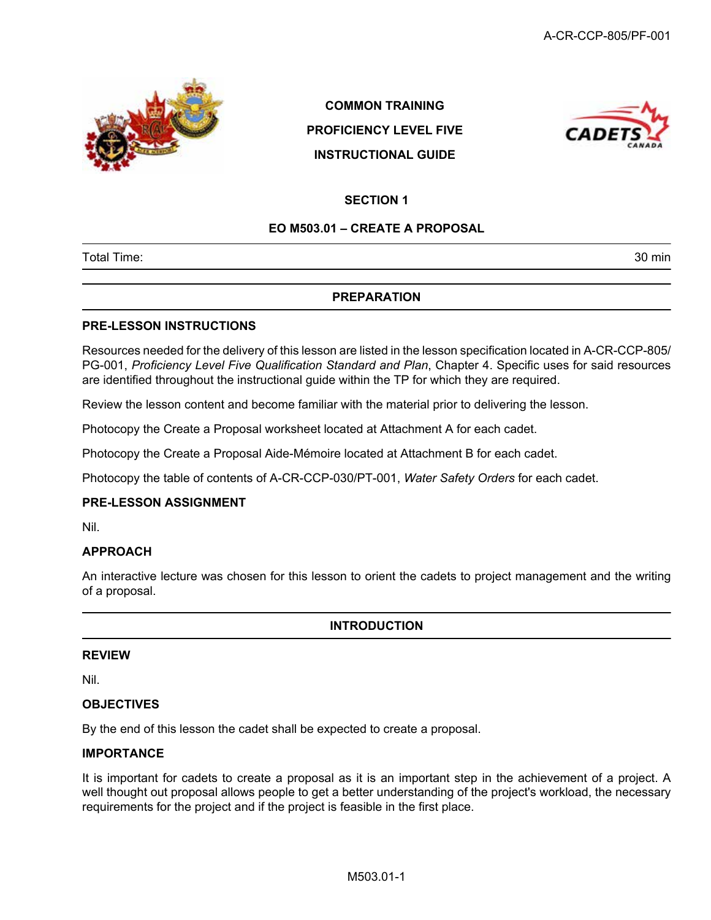

**COMMON TRAINING PROFICIENCY LEVEL FIVE INSTRUCTIONAL GUIDE**



# **SECTION 1**

## **EO M503.01 – CREATE A PROPOSAL**

Total Time: 30 min

# **PREPARATION**

### **PRE-LESSON INSTRUCTIONS**

Resources needed for the delivery of this lesson are listed in the lesson specification located in A-CR-CCP-805/ PG-001, *Proficiency Level Five Qualification Standard and Plan*, Chapter 4. Specific uses for said resources are identified throughout the instructional guide within the TP for which they are required.

Review the lesson content and become familiar with the material prior to delivering the lesson.

Photocopy the Create a Proposal worksheet located at Attachment A for each cadet.

Photocopy the Create a Proposal Aide-Mémoire located at Attachment B for each cadet.

Photocopy the table of contents of A-CR-CCP-030/PT-001, *Water Safety Orders* for each cadet.

### **PRE-LESSON ASSIGNMENT**

Nil.

### **APPROACH**

An interactive lecture was chosen for this lesson to orient the cadets to project management and the writing of a proposal.

**INTRODUCTION**

### **REVIEW**

Nil.

## **OBJECTIVES**

By the end of this lesson the cadet shall be expected to create a proposal.

### **IMPORTANCE**

It is important for cadets to create a proposal as it is an important step in the achievement of a project. A well thought out proposal allows people to get a better understanding of the project's workload, the necessary requirements for the project and if the project is feasible in the first place.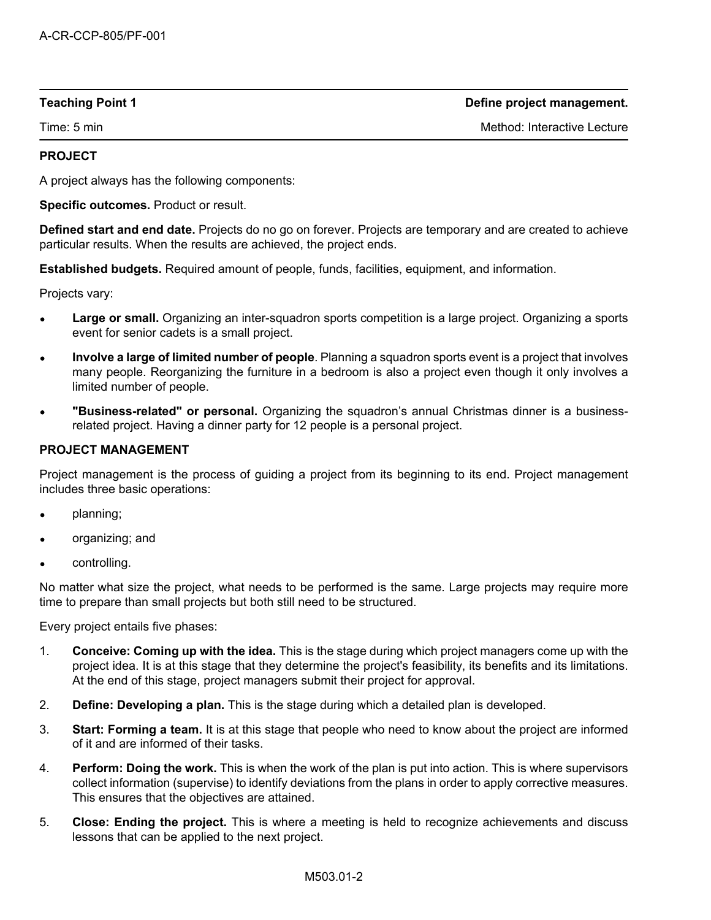**Teaching Point 1 Define project management.**

Time: 5 min Method: Interactive Lecture Companies and Method: Interactive Lecture

# **PROJECT**

A project always has the following components:

**Specific outcomes.** Product or result.

**Defined start and end date.** Projects do no go on forever. Projects are temporary and are created to achieve particular results. When the results are achieved, the project ends.

**Established budgets.** Required amount of people, funds, facilities, equipment, and information.

Projects vary:

- **Large or small.** Organizing an inter-squadron sports competition is a large project. Organizing a sports event for senior cadets is a small project.
- **Involve a large of limited number of people**. Planning a squadron sports event is a project that involves many people. Reorganizing the furniture in a bedroom is also a project even though it only involves a limited number of people.
- **"Business-related" or personal.** Organizing the squadron's annual Christmas dinner is a businessrelated project. Having a dinner party for 12 people is a personal project.

## **PROJECT MANAGEMENT**

Project management is the process of guiding a project from its beginning to its end. Project management includes three basic operations:

- planning;
- organizing; and
- controlling.  $\bullet$

No matter what size the project, what needs to be performed is the same. Large projects may require more time to prepare than small projects but both still need to be structured.

Every project entails five phases:

- 1. **Conceive: Coming up with the idea.** This is the stage during which project managers come up with the project idea. It is at this stage that they determine the project's feasibility, its benefits and its limitations. At the end of this stage, project managers submit their project for approval.
- 2. **Define: Developing a plan.** This is the stage during which a detailed plan is developed.
- 3. **Start: Forming a team.** It is at this stage that people who need to know about the project are informed of it and are informed of their tasks.
- 4. **Perform: Doing the work.** This is when the work of the plan is put into action. This is where supervisors collect information (supervise) to identify deviations from the plans in order to apply corrective measures. This ensures that the objectives are attained.
- 5. **Close: Ending the project.** This is where a meeting is held to recognize achievements and discuss lessons that can be applied to the next project.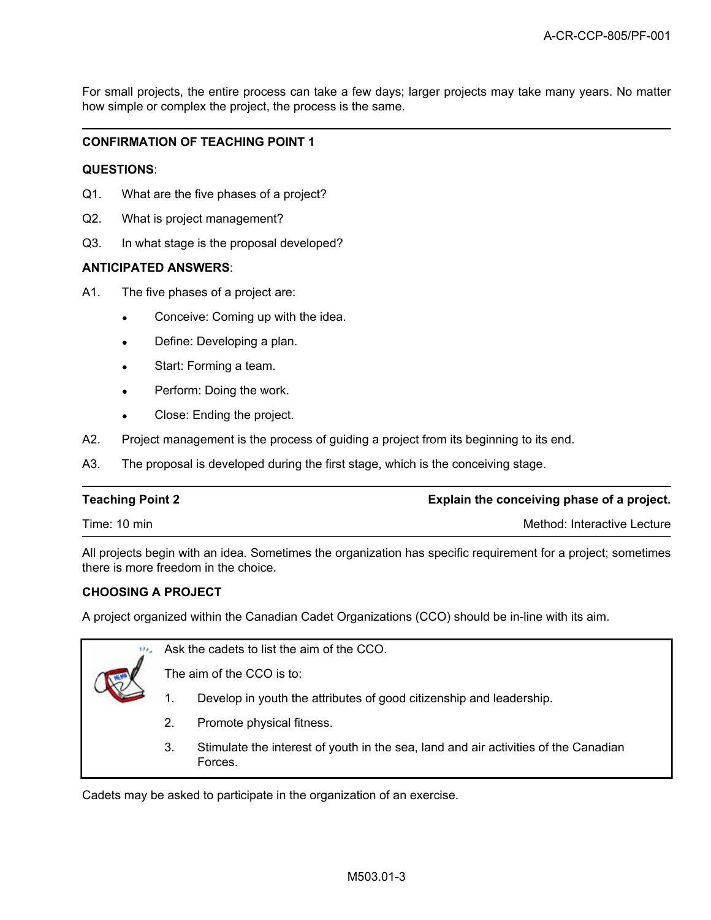For small projects, the entire process can take a few days; larger projects may take many years. No matter how simple or complex the project, the process is the same.

## **CONFIRMATION OF TEACHING POINT 1**

## **QUESTIONS**:

- Q1. What are the five phases of a project?
- Q2. What is project management?
- Q3. In what stage is the proposal developed?

## **ANTICIPATED ANSWERS**:

- A1. The five phases of a project are:
	- $\bullet$ Conceive: Coming up with the idea.
	- Define: Developing a plan.  $\bullet$
	- Start: Forming a team.  $\bullet$
	- Perform: Doing the work.  $\bullet$
	- Close: Ending the project.  $\bullet$
- A2. Project management is the process of guiding a project from its beginning to its end.
- A3. The proposal is developed during the first stage, which is the conceiving stage.

| <b>Teaching Point 2</b> | Explain the conceiving phase of a project. |
|-------------------------|--------------------------------------------|
|                         |                                            |

Time: 10 min Method: Interactive Lecture Communication of the Method: Interactive Lecture

All projects begin with an idea. Sometimes the organization has specific requirement for a project; sometimes there is more freedom in the choice.

### **CHOOSING A PROJECT**

A project organized within the Canadian Cadet Organizations (CCO) should be in-line with its aim.

Ask the cadets to list the aim of the CCO.

The aim of the CCO is to:

- 1. Develop in youth the attributes of good citizenship and leadership.
- 2. Promote physical fitness.
- 3. Stimulate the interest of youth in the sea, land and air activities of the Canadian Forces.

Cadets may be asked to participate in the organization of an exercise.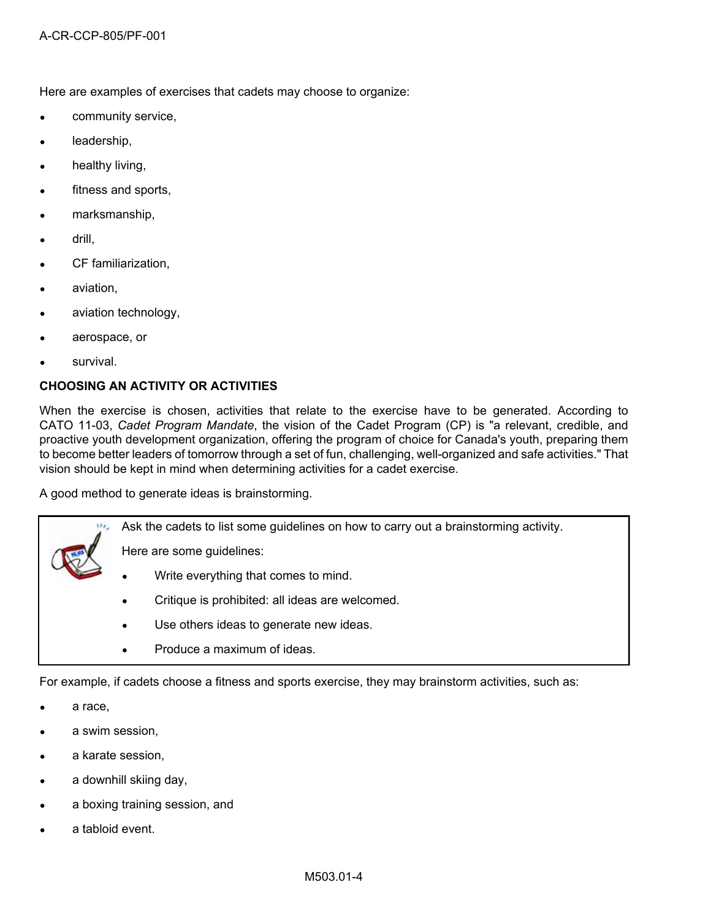Here are examples of exercises that cadets may choose to organize:

- community service,
- leadership,
- healthy living,
- fitness and sports,
- marksmanship,
- drill,
- CF familiarization,
- aviation,
- aviation technology,
- aerospace, or
- survival.

# **CHOOSING AN ACTIVITY OR ACTIVITIES**

When the exercise is chosen, activities that relate to the exercise have to be generated. According to CATO 11-03, *Cadet Program Mandate*, the vision of the Cadet Program (CP) is "a relevant, credible, and proactive youth development organization, offering the program of choice for Canada's youth, preparing them to become better leaders of tomorrow through a set of fun, challenging, well-organized and safe activities." That vision should be kept in mind when determining activities for a cadet exercise.

A good method to generate ideas is brainstorming.

Ask the cadets to list some guidelines on how to carry out a brainstorming activity.

Here are some guidelines:

- Write everything that comes to mind.
- Critique is prohibited: all ideas are welcomed.  $\bullet$
- Use others ideas to generate new ideas.
- Produce a maximum of ideas.

For example, if cadets choose a fitness and sports exercise, they may brainstorm activities, such as:

- a race,
- a swim session,
- a karate session,  $\bullet$
- a downhill skiing day,  $\bullet$
- a boxing training session, and  $\bullet$
- a tabloid event.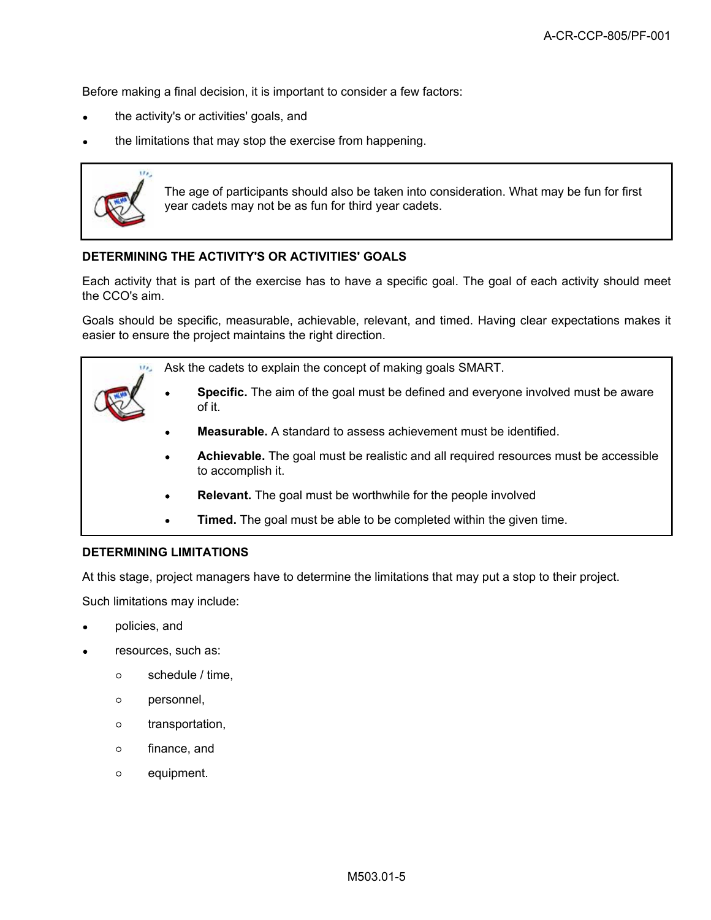Before making a final decision, it is important to consider a few factors:

- the activity's or activities' goals, and
- the limitations that may stop the exercise from happening.



The age of participants should also be taken into consideration. What may be fun for first year cadets may not be as fun for third year cadets.

## **DETERMINING THE ACTIVITY'S OR ACTIVITIES' GOALS**

Each activity that is part of the exercise has to have a specific goal. The goal of each activity should meet the CCO's aim.

Goals should be specific, measurable, achievable, relevant, and timed. Having clear expectations makes it easier to ensure the project maintains the right direction.

Ask the cadets to explain the concept of making goals SMART.

- **Specific.** The aim of the goal must be defined and everyone involved must be aware of it.
- **Measurable.** A standard to assess achievement must be identified.
- **Achievable.** The goal must be realistic and all required resources must be accessible to accomplish it.
- **Relevant.** The goal must be worthwhile for the people involved
- **Timed.** The goal must be able to be completed within the given time.

#### **DETERMINING LIMITATIONS**

At this stage, project managers have to determine the limitations that may put a stop to their project.

Such limitations may include:

- policies, and
- resources, such as:
	- $\circ$ schedule / time,
	- $\circ$ personnel,
	- transportation,  $\circ$
	- finance, and  $\circ$
	- equipment. $\circ$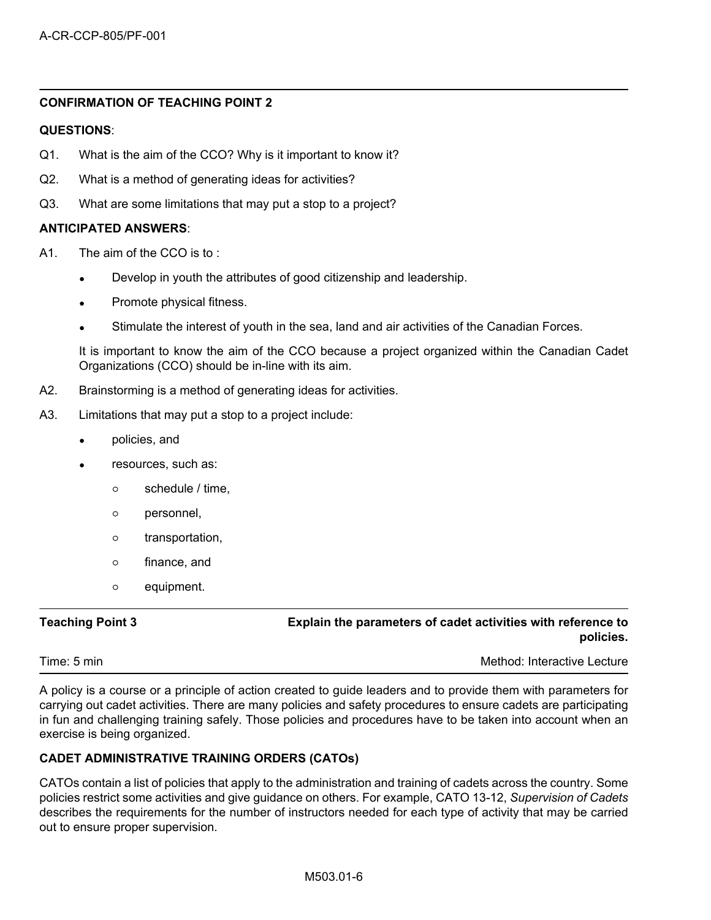# **CONFIRMATION OF TEACHING POINT 2**

## **QUESTIONS**:

- Q1. What is the aim of the CCO? Why is it important to know it?
- Q2. What is a method of generating ideas for activities?
- Q3. What are some limitations that may put a stop to a project?

### **ANTICIPATED ANSWERS**:

- A1. The aim of the CCO is to :
	- $\bullet$ Develop in youth the attributes of good citizenship and leadership.
	- Promote physical fitness.
	- Stimulate the interest of youth in the sea, land and air activities of the Canadian Forces.

It is important to know the aim of the CCO because a project organized within the Canadian Cadet Organizations (CCO) should be in-line with its aim.

- A2. Brainstorming is a method of generating ideas for activities.
- A3. Limitations that may put a stop to a project include:
	- policies, and
	- resources, such as:
		- schedule / time,  $\circ$
		- $\circ$ personnel,
		- transportation,  $\circ$
		- $\circ$ finance, and
		- $\circ$ equipment.

**Teaching Point 3 Explain the parameters of cadet activities with reference to policies.**

Time: 5 min Method: Interactive Lecture Company of Time: 5 min Method: Interactive Lecture

A policy is a course or a principle of action created to guide leaders and to provide them with parameters for carrying out cadet activities. There are many policies and safety procedures to ensure cadets are participating in fun and challenging training safely. Those policies and procedures have to be taken into account when an exercise is being organized.

# **CADET ADMINISTRATIVE TRAINING ORDERS (CATOs)**

CATOs contain a list of policies that apply to the administration and training of cadets across the country. Some policies restrict some activities and give guidance on others. For example, CATO 13-12, *Supervision of Cadets* describes the requirements for the number of instructors needed for each type of activity that may be carried out to ensure proper supervision.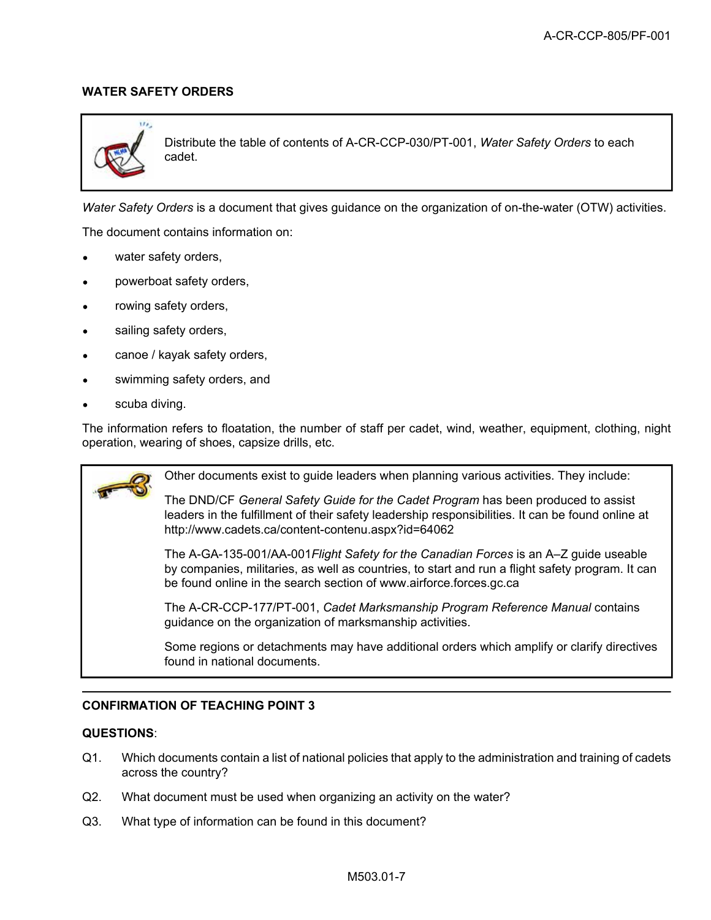# **WATER SAFETY ORDERS**



Distribute the table of contents of A-CR-CCP-030/PT-001, *Water Safety Orders* to each cadet.

*Water Safety Orders* is a document that gives guidance on the organization of on-the-water (OTW) activities.

The document contains information on:

- water safety orders,
- powerboat safety orders,
- rowing safety orders,
- sailing safety orders,
- canoe / kayak safety orders,
- swimming safety orders, and
- scuba diving.

The information refers to floatation, the number of staff per cadet, wind, weather, equipment, clothing, night operation, wearing of shoes, capsize drills, etc.

Other documents exist to guide leaders when planning various activities. They include: The DND/CF *General Safety Guide for the Cadet Program* has been produced to assist leaders in the fulfillment of their safety leadership responsibilities. It can be found online at http://www.cadets.ca/content-contenu.aspx?id=64062 The A-GA-135-001/AA-001*Flight Safety for the Canadian Forces* is an A–Z guide useable by companies, militaries, as well as countries, to start and run a flight safety program. It can be found online in the search section of www.airforce.forces.gc.ca The A-CR-CCP-177/PT-001, *Cadet Marksmanship Program Reference Manual* contains guidance on the organization of marksmanship activities. Some regions or detachments may have additional orders which amplify or clarify directives found in national documents.

# **CONFIRMATION OF TEACHING POINT 3**

### **QUESTIONS**:

- Q1. Which documents contain a list of national policies that apply to the administration and training of cadets across the country?
- Q2. What document must be used when organizing an activity on the water?
- Q3. What type of information can be found in this document?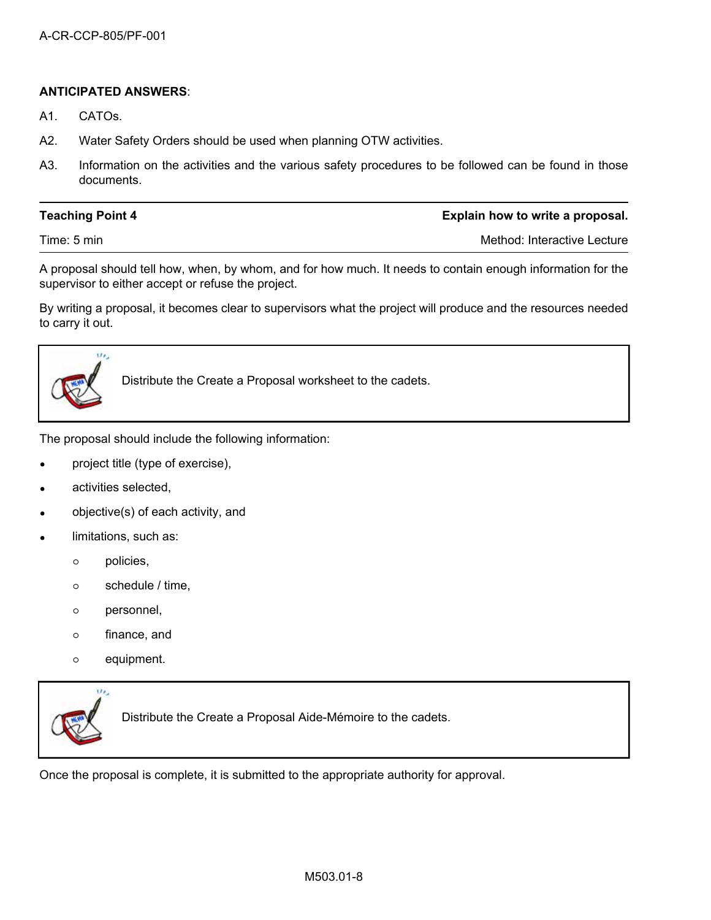## **ANTICIPATED ANSWERS**:

- A1. CATOs.
- A2. Water Safety Orders should be used when planning OTW activities.
- A3. Information on the activities and the various safety procedures to be followed can be found in those documents.

| <b>Teaching Point 4</b> | <b>Explain how to write a proposal.</b> |
|-------------------------|-----------------------------------------|

Time: 5 min Method: Interactive Lecture Company of Time: 5 min Method: Interactive Lecture

A proposal should tell how, when, by whom, and for how much. It needs to contain enough information for the supervisor to either accept or refuse the project.

By writing a proposal, it becomes clear to supervisors what the project will produce and the resources needed to carry it out.



Distribute the Create a Proposal worksheet to the cadets.

The proposal should include the following information:

- project title (type of exercise),
- activities selected,
- objective(s) of each activity, and
- limitations, such as:
	- policies,  $\circ$
	- $\circ$ schedule / time,
	- personnel,  $\circ$
	- finance, and  $\circ$
	- equipment.  $\circ$



Distribute the Create a Proposal Aide-Mémoire to the cadets.

Once the proposal is complete, it is submitted to the appropriate authority for approval.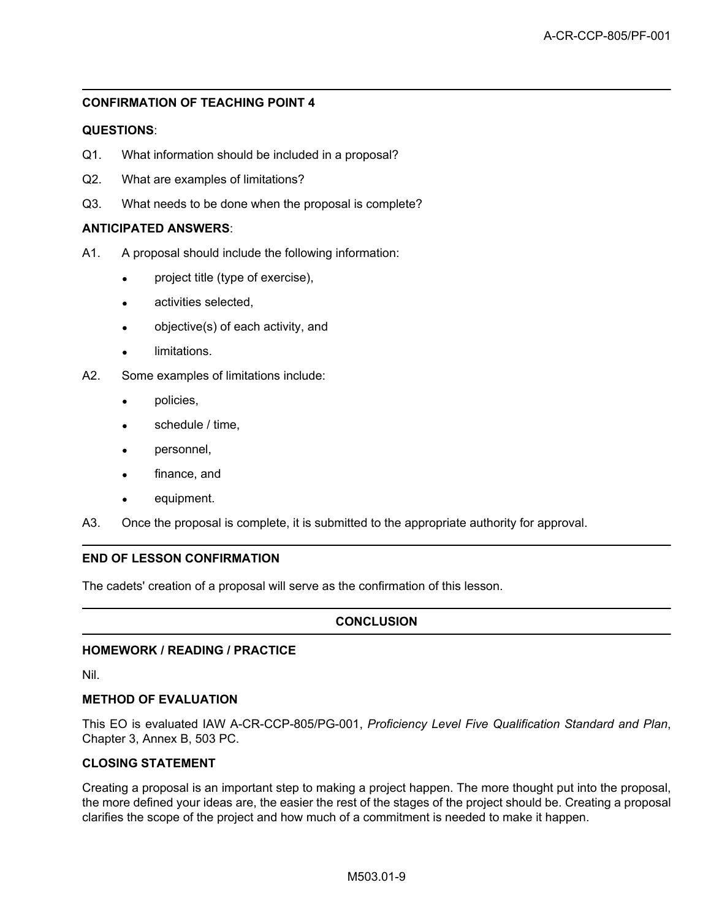# **CONFIRMATION OF TEACHING POINT 4**

## **QUESTIONS**:

- Q1. What information should be included in a proposal?
- Q2. What are examples of limitations?
- Q3. What needs to be done when the proposal is complete?

## **ANTICIPATED ANSWERS**:

- A1. A proposal should include the following information:
	- $\bullet$ project title (type of exercise),
	- $\bullet$ activities selected,
	- objective(s) of each activity, and  $\bullet$
	- limitations.  $\bullet$
- A2. Some examples of limitations include:
	- $\bullet$ policies,
	- schedule / time,  $\bullet$
	- personnel,  $\bullet$
	- $\bullet$ finance, and
	- $\bullet$ equipment.
- A3. Once the proposal is complete, it is submitted to the appropriate authority for approval.

### **END OF LESSON CONFIRMATION**

The cadets' creation of a proposal will serve as the confirmation of this lesson.

# **CONCLUSION**

## **HOMEWORK / READING / PRACTICE**

Nil.

### **METHOD OF EVALUATION**

This EO is evaluated IAW A-CR-CCP-805/PG-001, *Proficiency Level Five Qualification Standard and Plan*, Chapter 3, Annex B, 503 PC.

## **CLOSING STATEMENT**

Creating a proposal is an important step to making a project happen. The more thought put into the proposal, the more defined your ideas are, the easier the rest of the stages of the project should be. Creating a proposal clarifies the scope of the project and how much of a commitment is needed to make it happen.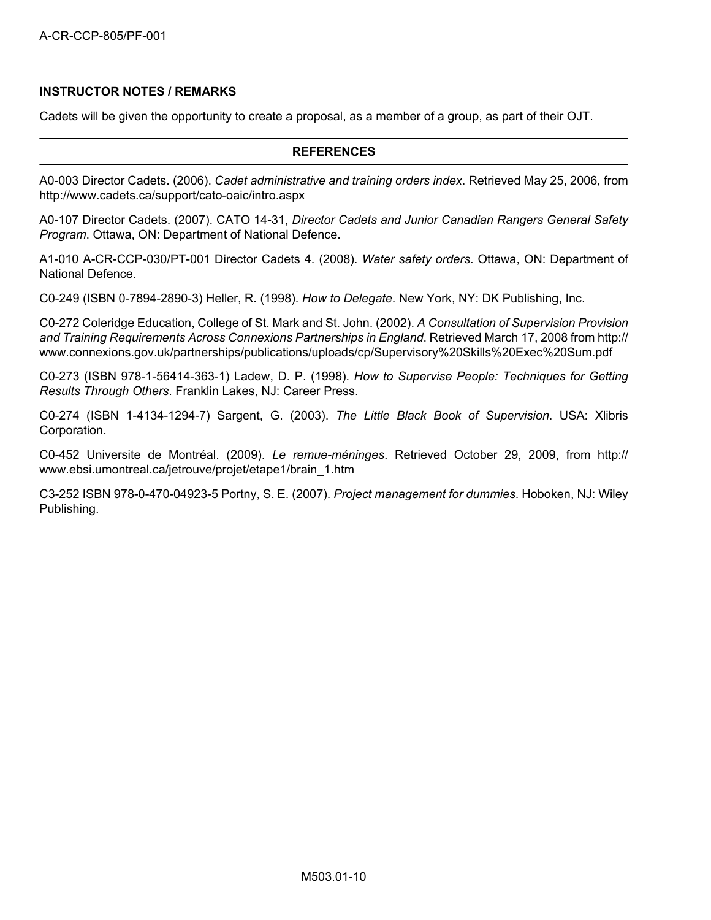## **INSTRUCTOR NOTES / REMARKS**

Cadets will be given the opportunity to create a proposal, as a member of a group, as part of their OJT.

## **REFERENCES**

A0-003 Director Cadets. (2006). *Cadet administrative and training orders index*. Retrieved May 25, 2006, from http://www.cadets.ca/support/cato-oaic/intro.aspx

A0-107 Director Cadets. (2007). CATO 14-31, *Director Cadets and Junior Canadian Rangers General Safety Program*. Ottawa, ON: Department of National Defence.

A1-010 A-CR-CCP-030/PT-001 Director Cadets 4. (2008). *Water safety orders*. Ottawa, ON: Department of National Defence.

C0-249 (ISBN 0-7894-2890-3) Heller, R. (1998). *How to Delegate*. New York, NY: DK Publishing, Inc.

C0-272 Coleridge Education, College of St. Mark and St. John. (2002). *A Consultation of Supervision Provision and Training Requirements Across Connexions Partnerships in England*. Retrieved March 17, 2008 from http:// www.connexions.gov.uk/partnerships/publications/uploads/cp/Supervisory%20Skills%20Exec%20Sum.pdf

C0-273 (ISBN 978-1-56414-363-1) Ladew, D. P. (1998). *How to Supervise People: Techniques for Getting Results Through Others*. Franklin Lakes, NJ: Career Press.

C0-274 (ISBN 1-4134-1294-7) Sargent, G. (2003). *The Little Black Book of Supervision*. USA: Xlibris Corporation.

C0-452 Universite de Montréal. (2009). *Le remue-méninges*. Retrieved October 29, 2009, from http:// www.ebsi.umontreal.ca/jetrouve/projet/etape1/brain\_1.htm

C3-252 ISBN 978-0-470-04923-5 Portny, S. E. (2007). *Project management for dummies*. Hoboken, NJ: Wiley Publishing.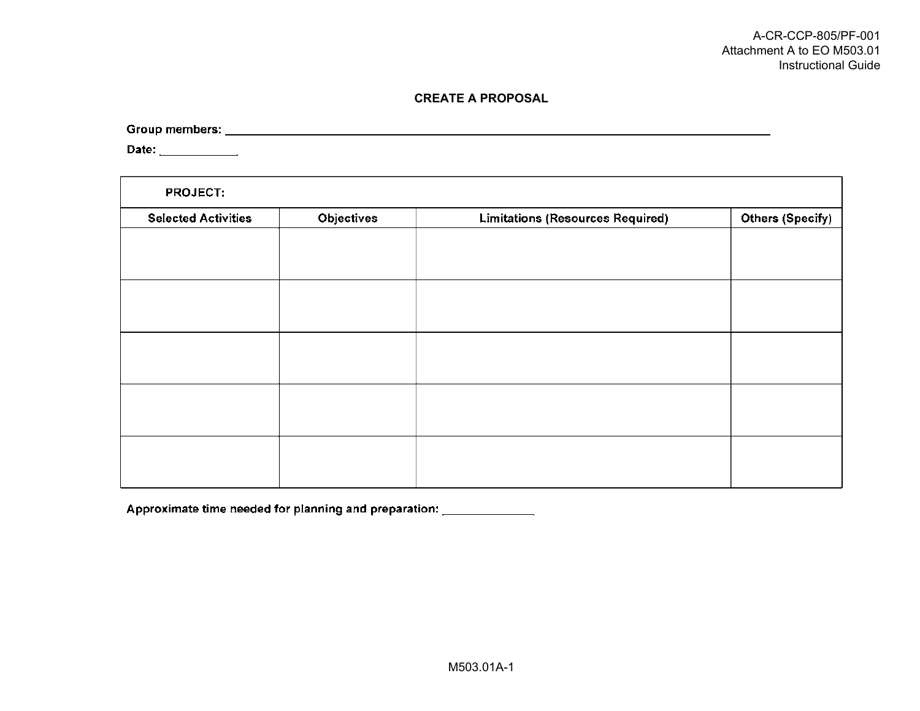# **CREATE A PROPOSAL**

Group members: with a state of the contract of the contract of the contract of the contract of the contract of

Date: \_\_\_\_\_\_\_\_\_\_\_\_\_\_

| <b>PROJECT:</b>            |            |                                         |                         |
|----------------------------|------------|-----------------------------------------|-------------------------|
| <b>Selected Activities</b> | Objectives | <b>Limitations (Resources Required)</b> | <b>Others (Specify)</b> |
|                            |            |                                         |                         |
|                            |            |                                         |                         |
|                            |            |                                         |                         |
|                            |            |                                         |                         |
|                            |            |                                         |                         |
|                            |            |                                         |                         |
|                            |            |                                         |                         |
|                            |            |                                         |                         |
|                            |            |                                         |                         |
|                            |            |                                         |                         |

Approximate time needed for planning and preparation: \_\_\_\_\_\_\_\_\_\_\_\_\_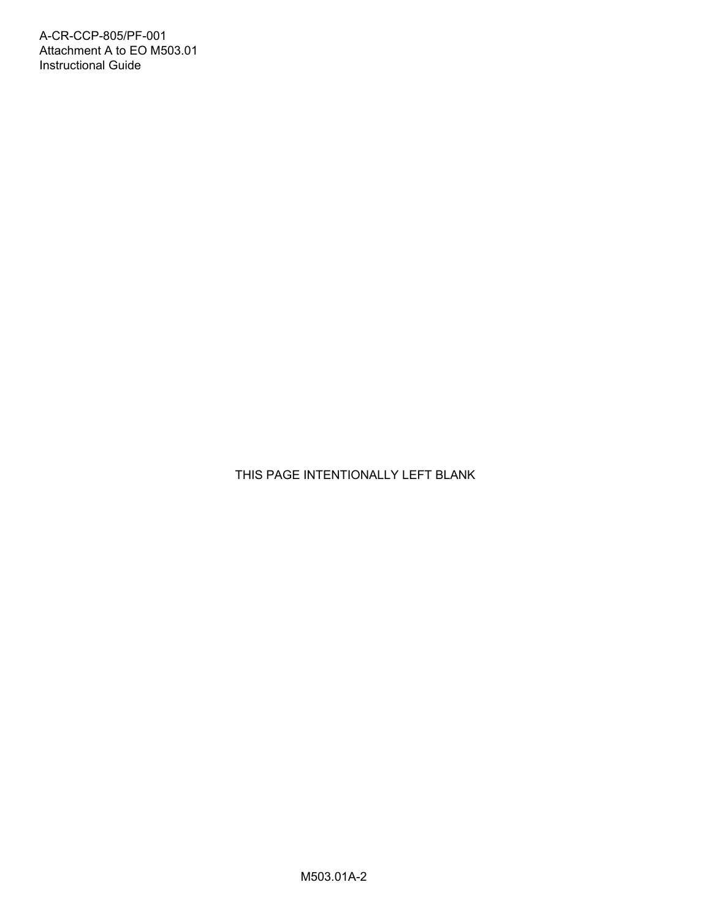A-CR-CCP-805/PF-001 Attachment A to EO M503.01 Instructional Guide

THIS PAGE INTENTIONALLY LEFT BLANK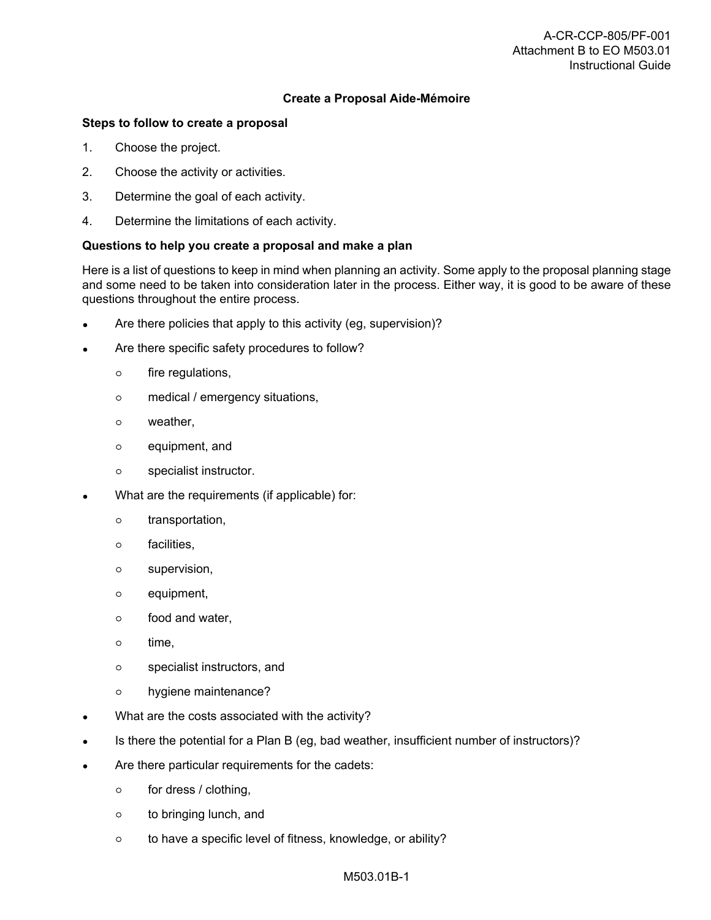## **Create a Proposal Aide-Mémoire**

## **Steps to follow to create a proposal**

- 1. Choose the project.
- 2. Choose the activity or activities.
- 3. Determine the goal of each activity.
- 4. Determine the limitations of each activity.

### **Questions to help you create a proposal and make a plan**

Here is a list of questions to keep in mind when planning an activity. Some apply to the proposal planning stage and some need to be taken into consideration later in the process. Either way, it is good to be aware of these questions throughout the entire process.

- Are there policies that apply to this activity (eg, supervision)?
- Are there specific safety procedures to follow?
	- $\circ$ fire regulations,
	- medical / emergency situations,  $\circ$
	- $\Omega$ weather,
	- equipment, and  $\circ$
	- $\circ$ specialist instructor.
- What are the requirements (if applicable) for:
	- $\circ$ transportation,
	- $\circ$ facilities,
	- supervision,  $\circ$
	- $\circ$ equipment,
	- $\Omega$ food and water,
	- $\Omega$ time,
	- specialist instructors, and  $\circ$
	- $\circ$ hygiene maintenance?
- What are the costs associated with the activity?  $\bullet$
- Is there the potential for a Plan B (eg, bad weather, insufficient number of instructors)?
- Are there particular requirements for the cadets:
	- $\circ$ for dress / clothing,
	- to bringing lunch, and  $\circ$
	- to have a specific level of fitness, knowledge, or ability? $\circ$

#### M503.01B-1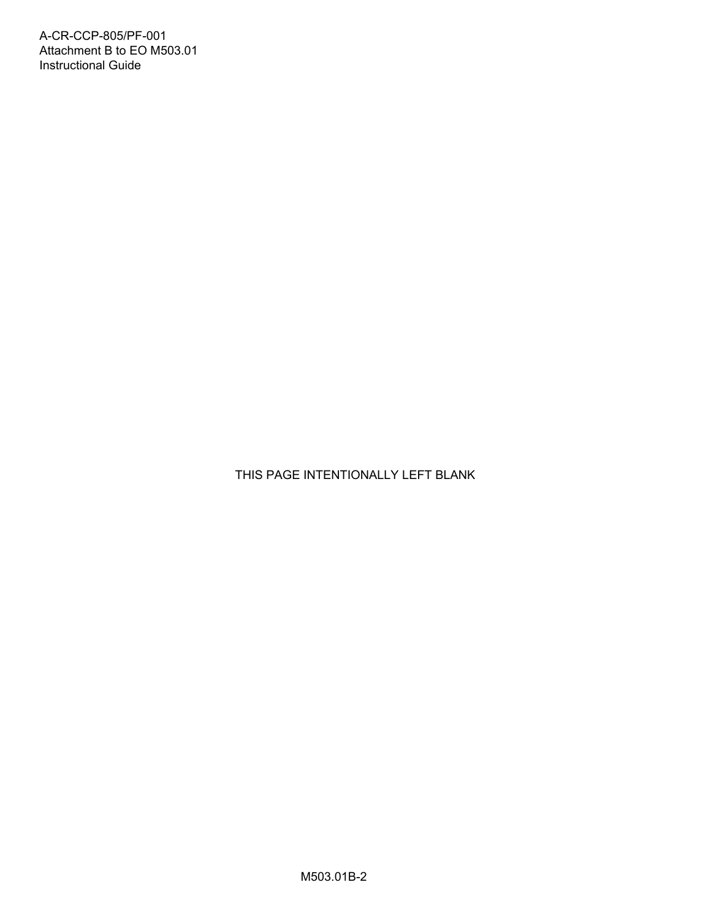A-CR-CCP-805/PF-001 Attachment B to EO M503.01 Instructional Guide

THIS PAGE INTENTIONALLY LEFT BLANK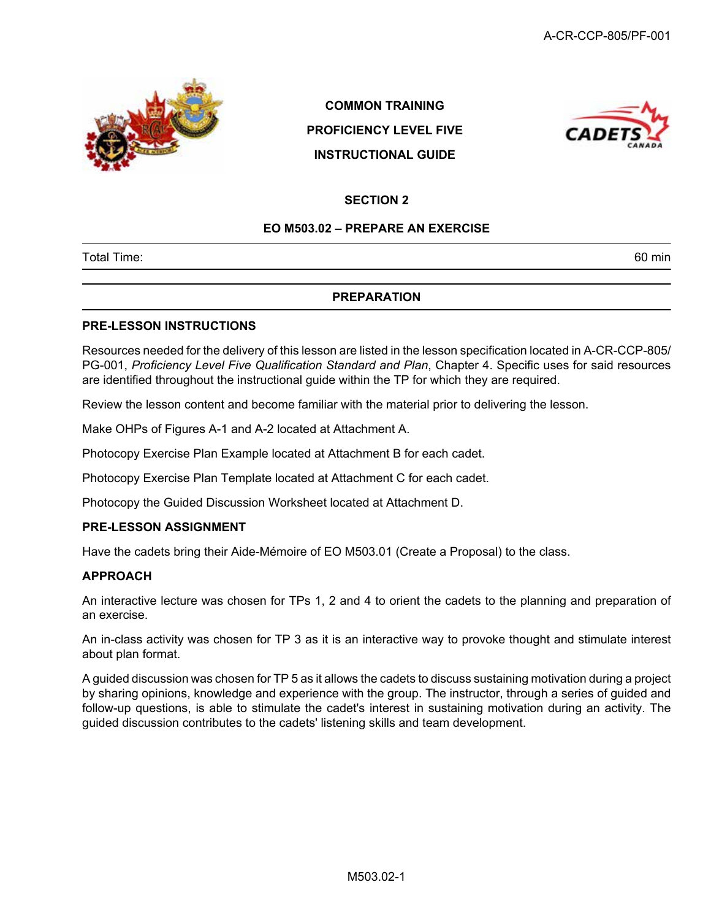

**COMMON TRAINING PROFICIENCY LEVEL FIVE INSTRUCTIONAL GUIDE**



# **SECTION 2**

## **EO M503.02 – PREPARE AN EXERCISE**

Total Time: 60 min

# **PREPARATION**

## **PRE-LESSON INSTRUCTIONS**

Resources needed for the delivery of this lesson are listed in the lesson specification located in A-CR-CCP-805/ PG-001, *Proficiency Level Five Qualification Standard and Plan*, Chapter 4. Specific uses for said resources are identified throughout the instructional guide within the TP for which they are required.

Review the lesson content and become familiar with the material prior to delivering the lesson.

Make OHPs of Figures A-1 and A-2 located at Attachment A.

Photocopy Exercise Plan Example located at Attachment B for each cadet.

Photocopy Exercise Plan Template located at Attachment C for each cadet.

Photocopy the Guided Discussion Worksheet located at Attachment D.

# **PRE-LESSON ASSIGNMENT**

Have the cadets bring their Aide-Mémoire of EO M503.01 (Create a Proposal) to the class.

## **APPROACH**

An interactive lecture was chosen for TPs 1, 2 and 4 to orient the cadets to the planning and preparation of an exercise.

An in-class activity was chosen for TP 3 as it is an interactive way to provoke thought and stimulate interest about plan format.

A guided discussion was chosen for TP 5 as it allows the cadets to discuss sustaining motivation during a project by sharing opinions, knowledge and experience with the group. The instructor, through a series of guided and follow-up questions, is able to stimulate the cadet's interest in sustaining motivation during an activity. The guided discussion contributes to the cadets' listening skills and team development.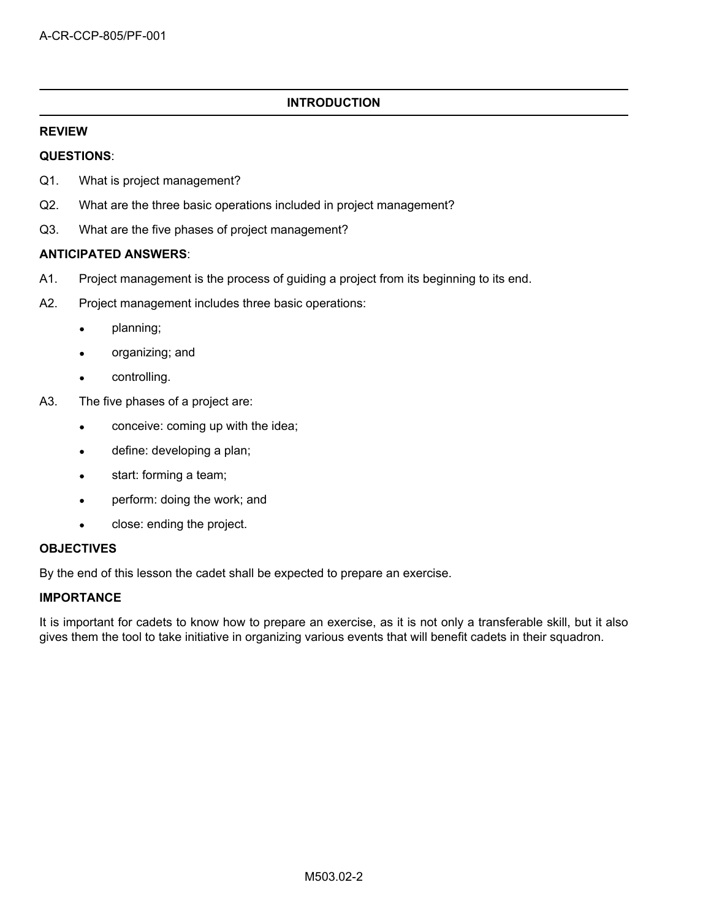# **INTRODUCTION**

# **REVIEW**

# **QUESTIONS**:

- Q1. What is project management?
- Q2. What are the three basic operations included in project management?
- Q3. What are the five phases of project management?

# **ANTICIPATED ANSWERS**:

- A1. Project management is the process of guiding a project from its beginning to its end.
- A2. Project management includes three basic operations:
	- planning;  $\bullet$
	- organizing; and  $\bullet$
	- $\bullet$ controlling.
- A3. The five phases of a project are:
	- $\bullet$ conceive: coming up with the idea;
	- define: developing a plan;  $\bullet$
	- start: forming a team;  $\bullet$
	- perform: doing the work; and  $\bullet$
	- close: ending the project.  $\bullet$

# **OBJECTIVES**

By the end of this lesson the cadet shall be expected to prepare an exercise.

# **IMPORTANCE**

It is important for cadets to know how to prepare an exercise, as it is not only a transferable skill, but it also gives them the tool to take initiative in organizing various events that will benefit cadets in their squadron.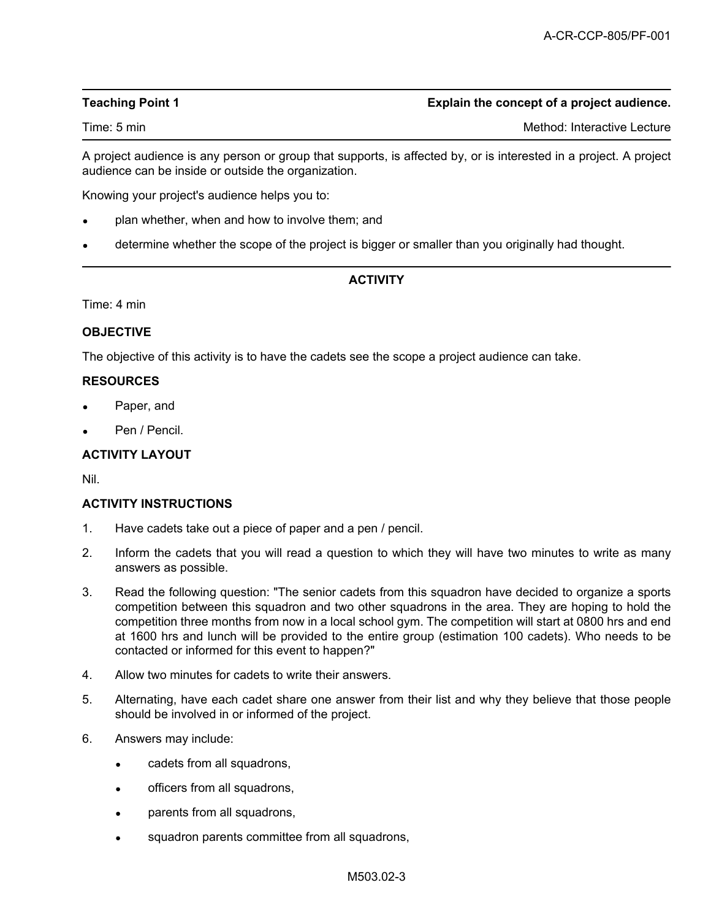# **Teaching Point 1 Explain the concept of a project audience.**

Time: 5 min Method: Interactive Lecture Company of Time: 5 min Method: Interactive Lecture

A project audience is any person or group that supports, is affected by, or is interested in a project. A project audience can be inside or outside the organization.

Knowing your project's audience helps you to:

- plan whether, when and how to involve them; and
- determine whether the scope of the project is bigger or smaller than you originally had thought.

# **ACTIVITY**

Time: 4 min

## **OBJECTIVE**

The objective of this activity is to have the cadets see the scope a project audience can take.

### **RESOURCES**

- Paper, and
- Pen / Pencil.

# **ACTIVITY LAYOUT**

Nil.

### **ACTIVITY INSTRUCTIONS**

- 1. Have cadets take out a piece of paper and a pen / pencil.
- 2. Inform the cadets that you will read a question to which they will have two minutes to write as many answers as possible.
- 3. Read the following question: "The senior cadets from this squadron have decided to organize a sports competition between this squadron and two other squadrons in the area. They are hoping to hold the competition three months from now in a local school gym. The competition will start at 0800 hrs and end at 1600 hrs and lunch will be provided to the entire group (estimation 100 cadets). Who needs to be contacted or informed for this event to happen?"
- 4. Allow two minutes for cadets to write their answers.
- 5. Alternating, have each cadet share one answer from their list and why they believe that those people should be involved in or informed of the project.
- 6. Answers may include:
	- cadets from all squadrons,
	- officers from all squadrons,
	- parents from all squadrons,
	- squadron parents committee from all squadrons,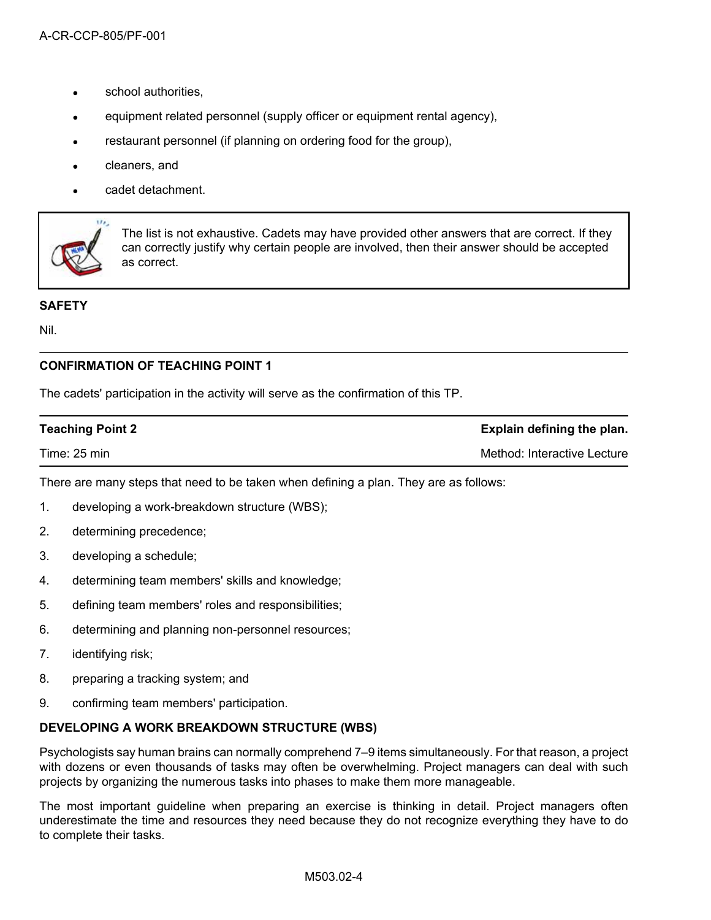- school authorities,  $\bullet$
- equipment related personnel (supply officer or equipment rental agency),
- restaurant personnel (if planning on ordering food for the group),
- cleaners, and
- cadet detachment.



The list is not exhaustive. Cadets may have provided other answers that are correct. If they can correctly justify why certain people are involved, then their answer should be accepted as correct.

# **SAFETY**

Nil.

# **CONFIRMATION OF TEACHING POINT 1**

The cadets' participation in the activity will serve as the confirmation of this TP.

| <b>Teaching Point 2</b> | <b>Explain defining the plan.</b> |
|-------------------------|-----------------------------------|
| Time: 25 min            | Method: Interactive Lecture       |

There are many steps that need to be taken when defining a plan. They are as follows:

- 1. developing a work-breakdown structure (WBS);
- 2. determining precedence;
- 3. developing a schedule;
- 4. determining team members' skills and knowledge;
- 5. defining team members' roles and responsibilities;
- 6. determining and planning non-personnel resources;
- 7. identifying risk;
- 8. preparing a tracking system; and
- 9. confirming team members' participation.

# **DEVELOPING A WORK BREAKDOWN STRUCTURE (WBS)**

Psychologists say human brains can normally comprehend 7–9 items simultaneously. For that reason, a project with dozens or even thousands of tasks may often be overwhelming. Project managers can deal with such projects by organizing the numerous tasks into phases to make them more manageable.

The most important guideline when preparing an exercise is thinking in detail. Project managers often underestimate the time and resources they need because they do not recognize everything they have to do to complete their tasks.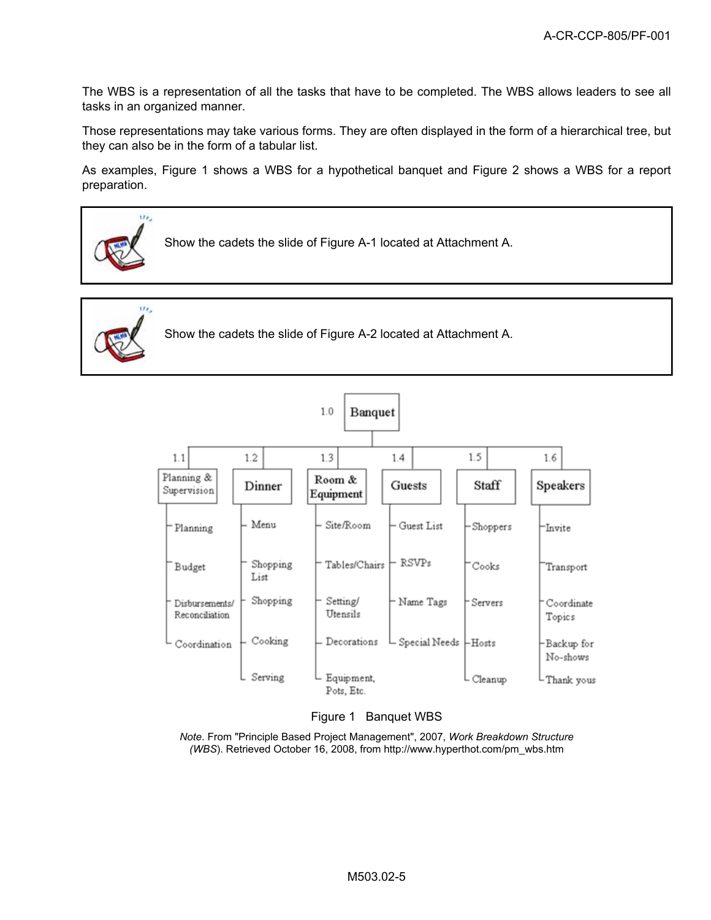The WBS is a representation of all the tasks that have to be completed. The WBS allows leaders to see all tasks in an organized manner.

Those representations may take various forms. They are often displayed in the form of a hierarchical tree, but they can also be in the form of a tabular list.

As examples, Figure 1 shows a WBS for a hypothetical banquet and Figure 2 shows a WBS for a report preparation.



Show the cadets the slide of Figure A-1 located at Attachment A.



Show the cadets the slide of Figure A-2 located at Attachment A.



## Figure 1 Banquet WBS

*Note*. From "Principle Based Project Management", 2007, *Work Breakdown Structure (WBS*). Retrieved October 16, 2008, from http://www.hyperthot.com/pm\_wbs.htm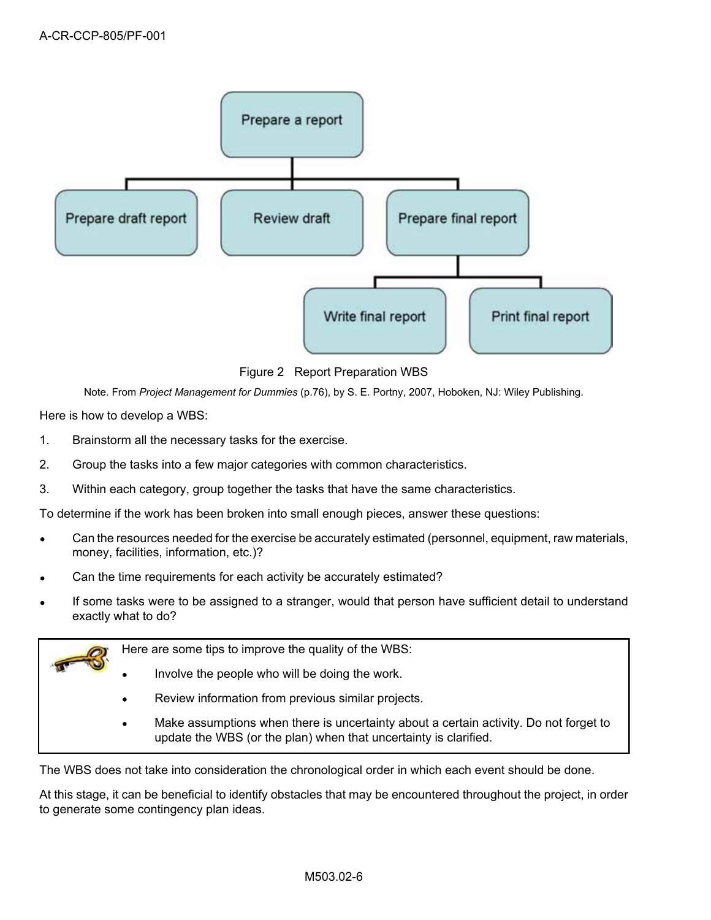

Figure 2 Report Preparation WBS

Note. From *Project Management for Dummies* (p.76), by S. E. Portny, 2007, Hoboken, NJ: Wiley Publishing.

Here is how to develop a WBS:

- 1. Brainstorm all the necessary tasks for the exercise.
- 2. Group the tasks into a few major categories with common characteristics.
- 3. Within each category, group together the tasks that have the same characteristics.

To determine if the work has been broken into small enough pieces, answer these questions:

- Can the resources needed for the exercise be accurately estimated (personnel, equipment, raw materials, money, facilities, information, etc.)?
- Can the time requirements for each activity be accurately estimated?
- If some tasks were to be assigned to a stranger, would that person have sufficient detail to understand exactly what to do?



Here are some tips to improve the quality of the WBS:

- Involve the people who will be doing the work.
- Review information from previous similar projects.
- Make assumptions when there is uncertainty about a certain activity. Do not forget to update the WBS (or the plan) when that uncertainty is clarified.

The WBS does not take into consideration the chronological order in which each event should be done.

At this stage, it can be beneficial to identify obstacles that may be encountered throughout the project, in order to generate some contingency plan ideas.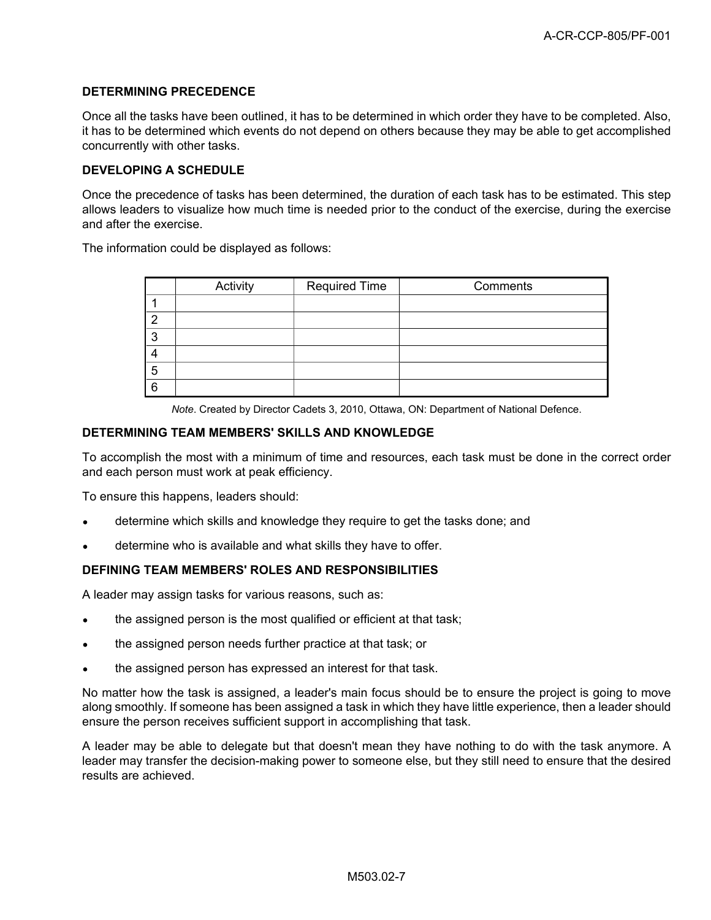## **DETERMINING PRECEDENCE**

Once all the tasks have been outlined, it has to be determined in which order they have to be completed. Also, it has to be determined which events do not depend on others because they may be able to get accomplished concurrently with other tasks.

## **DEVELOPING A SCHEDULE**

Once the precedence of tasks has been determined, the duration of each task has to be estimated. This step allows leaders to visualize how much time is needed prior to the conduct of the exercise, during the exercise and after the exercise.

The information could be displayed as follows:

|   | Activity | <b>Required Time</b> | Comments |
|---|----------|----------------------|----------|
|   |          |                      |          |
| ◠ |          |                      |          |
| っ |          |                      |          |
|   |          |                      |          |
| 5 |          |                      |          |
| 6 |          |                      |          |

*Note*. Created by Director Cadets 3, 2010, Ottawa, ON: Department of National Defence.

## **DETERMINING TEAM MEMBERS' SKILLS AND KNOWLEDGE**

To accomplish the most with a minimum of time and resources, each task must be done in the correct order and each person must work at peak efficiency.

To ensure this happens, leaders should:

- determine which skills and knowledge they require to get the tasks done; and
- determine who is available and what skills they have to offer.

### **DEFINING TEAM MEMBERS' ROLES AND RESPONSIBILITIES**

A leader may assign tasks for various reasons, such as:

- the assigned person is the most qualified or efficient at that task;
- the assigned person needs further practice at that task; or
- the assigned person has expressed an interest for that task.

No matter how the task is assigned, a leader's main focus should be to ensure the project is going to move along smoothly. If someone has been assigned a task in which they have little experience, then a leader should ensure the person receives sufficient support in accomplishing that task.

A leader may be able to delegate but that doesn't mean they have nothing to do with the task anymore. A leader may transfer the decision-making power to someone else, but they still need to ensure that the desired results are achieved.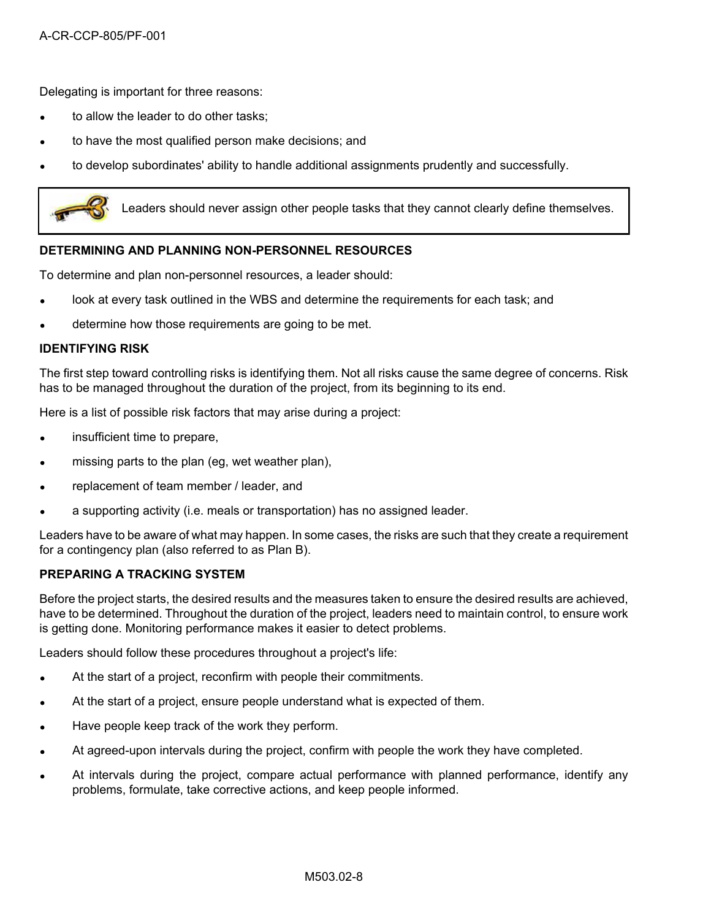Delegating is important for three reasons:

- to allow the leader to do other tasks;
- to have the most qualified person make decisions; and
- to develop subordinates' ability to handle additional assignments prudently and successfully.



Leaders should never assign other people tasks that they cannot clearly define themselves.

## **DETERMINING AND PLANNING NON-PERSONNEL RESOURCES**

To determine and plan non-personnel resources, a leader should:

- look at every task outlined in the WBS and determine the requirements for each task; and
- determine how those requirements are going to be met.

## **IDENTIFYING RISK**

The first step toward controlling risks is identifying them. Not all risks cause the same degree of concerns. Risk has to be managed throughout the duration of the project, from its beginning to its end.

Here is a list of possible risk factors that may arise during a project:

- insufficient time to prepare,
- missing parts to the plan (eg, wet weather plan),
- replacement of team member / leader, and
- a supporting activity (i.e. meals or transportation) has no assigned leader.

Leaders have to be aware of what may happen. In some cases, the risks are such that they create a requirement for a contingency plan (also referred to as Plan B).

# **PREPARING A TRACKING SYSTEM**

Before the project starts, the desired results and the measures taken to ensure the desired results are achieved, have to be determined. Throughout the duration of the project, leaders need to maintain control, to ensure work is getting done. Monitoring performance makes it easier to detect problems.

Leaders should follow these procedures throughout a project's life:

- At the start of a project, reconfirm with people their commitments.
- At the start of a project, ensure people understand what is expected of them.
- Have people keep track of the work they perform.
- At agreed-upon intervals during the project, confirm with people the work they have completed.
- At intervals during the project, compare actual performance with planned performance, identify any problems, formulate, take corrective actions, and keep people informed.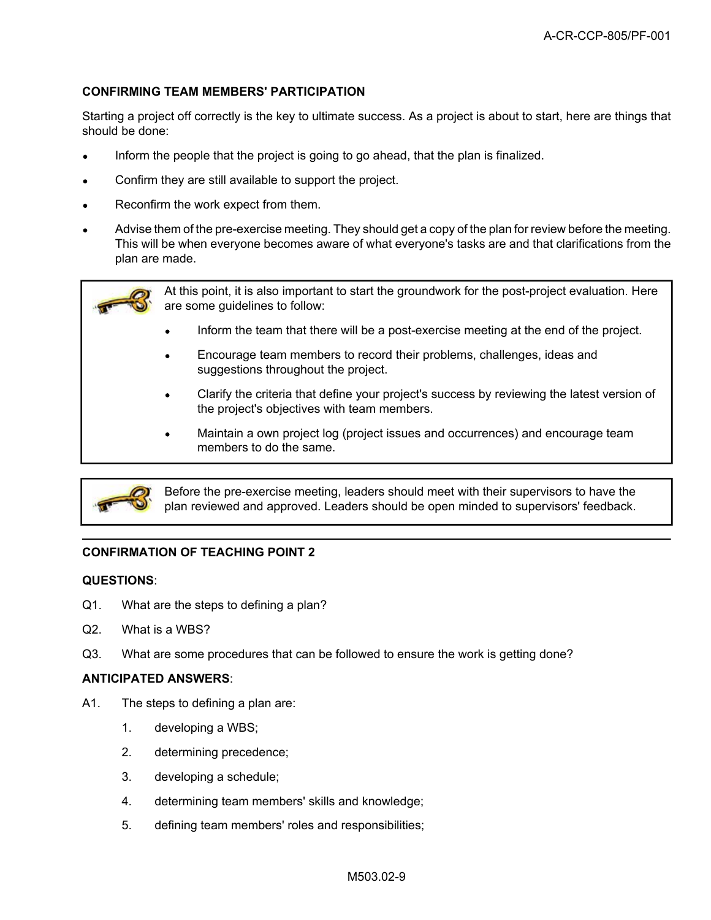# **CONFIRMING TEAM MEMBERS' PARTICIPATION**

Starting a project off correctly is the key to ultimate success. As a project is about to start, here are things that should be done:

- Inform the people that the project is going to go ahead, that the plan is finalized.
- Confirm they are still available to support the project.
- Reconfirm the work expect from them.
- Advise them of the pre-exercise meeting. They should get a copy of the plan for review before the meeting. This will be when everyone becomes aware of what everyone's tasks are and that clarifications from the plan are made.



- Inform the team that there will be a post-exercise meeting at the end of the project.
- Encourage team members to record their problems, challenges, ideas and  $\bullet$ suggestions throughout the project.
- Clarify the criteria that define your project's success by reviewing the latest version of the project's objectives with team members.
- Maintain a own project log (project issues and occurrences) and encourage team members to do the same.



Before the pre-exercise meeting, leaders should meet with their supervisors to have the plan reviewed and approved. Leaders should be open minded to supervisors' feedback.

# **CONFIRMATION OF TEACHING POINT 2**

# **QUESTIONS**:

- Q1. What are the steps to defining a plan?
- Q2. What is a WBS?
- Q3. What are some procedures that can be followed to ensure the work is getting done?

# **ANTICIPATED ANSWERS**:

- A1. The steps to defining a plan are:
	- 1. developing a WBS;
	- 2. determining precedence;
	- 3. developing a schedule;
	- 4. determining team members' skills and knowledge;
	- 5. defining team members' roles and responsibilities;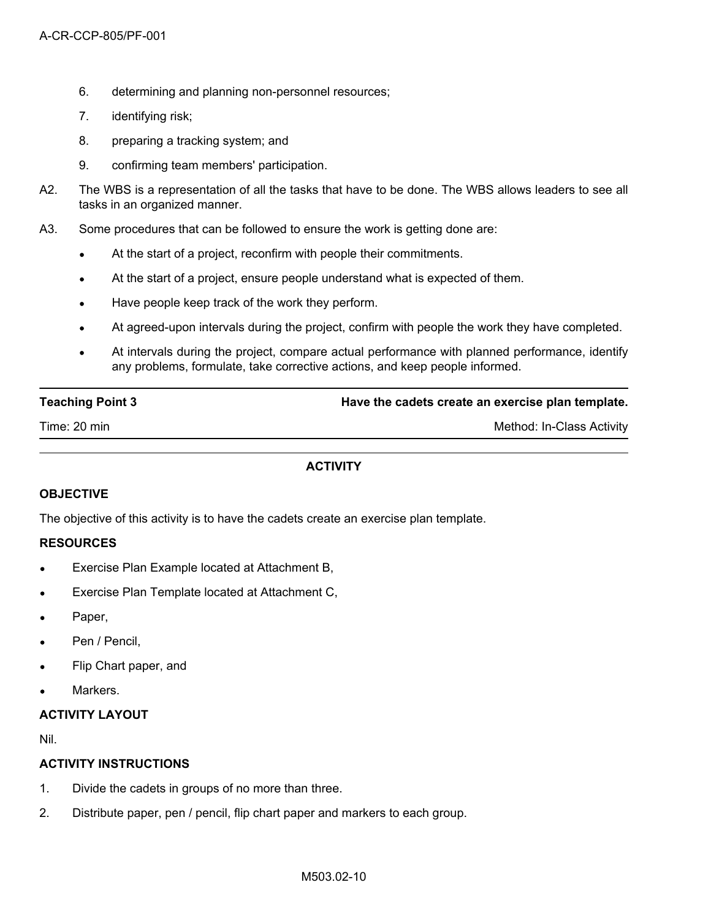- 6. determining and planning non-personnel resources;
- 7. identifying risk;
- 8. preparing a tracking system; and
- 9. confirming team members' participation.
- A2. The WBS is a representation of all the tasks that have to be done. The WBS allows leaders to see all tasks in an organized manner.
- A3. Some procedures that can be followed to ensure the work is getting done are:
	- At the start of a project, reconfirm with people their commitments.  $\bullet$
	- At the start of a project, ensure people understand what is expected of them.
	- Have people keep track of the work they perform.
	- At agreed-upon intervals during the project, confirm with people the work they have completed.
	- At intervals during the project, compare actual performance with planned performance, identify any problems, formulate, take corrective actions, and keep people informed.

Time: 20 min Method: In-Class Activity

**Teaching Point 3 Have the cadets create an exercise plan template.**

**ACTIVITY**

# **OBJECTIVE**

The objective of this activity is to have the cadets create an exercise plan template.

### **RESOURCES**

- Exercise Plan Example located at Attachment B,
- Exercise Plan Template located at Attachment C,
- Paper,  $\bullet$
- Pen / Pencil,
- Flip Chart paper, and
- Markers.

# **ACTIVITY LAYOUT**

Nil.

# **ACTIVITY INSTRUCTIONS**

- 1. Divide the cadets in groups of no more than three.
- 2. Distribute paper, pen / pencil, flip chart paper and markers to each group.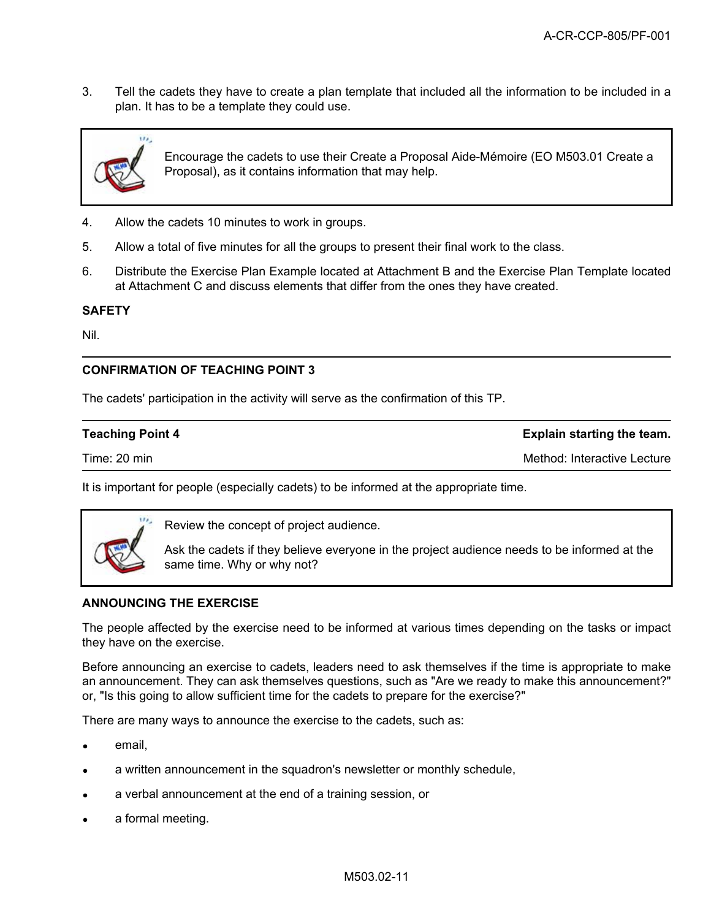3. Tell the cadets they have to create a plan template that included all the information to be included in a plan. It has to be a template they could use.



Encourage the cadets to use their Create a Proposal Aide-Mémoire (EO M503.01 Create a Proposal), as it contains information that may help.

- 4. Allow the cadets 10 minutes to work in groups.
- 5. Allow a total of five minutes for all the groups to present their final work to the class.
- 6. Distribute the Exercise Plan Example located at Attachment B and the Exercise Plan Template located at Attachment C and discuss elements that differ from the ones they have created.

### **SAFETY**

Nil.

# **CONFIRMATION OF TEACHING POINT 3**

The cadets' participation in the activity will serve as the confirmation of this TP.

**Teaching Point 4 Explain starting the team.**

Time: 20 min Method: Interactive Lecture Communication of the Method: Interactive Lecture

It is important for people (especially cadets) to be informed at the appropriate time.



Review the concept of project audience.

Ask the cadets if they believe everyone in the project audience needs to be informed at the same time. Why or why not?

# **ANNOUNCING THE EXERCISE**

The people affected by the exercise need to be informed at various times depending on the tasks or impact they have on the exercise.

Before announcing an exercise to cadets, leaders need to ask themselves if the time is appropriate to make an announcement. They can ask themselves questions, such as "Are we ready to make this announcement?" or, "Is this going to allow sufficient time for the cadets to prepare for the exercise?"

There are many ways to announce the exercise to the cadets, such as:

- email,
- a written announcement in the squadron's newsletter or monthly schedule,
- a verbal announcement at the end of a training session, or
- a formal meeting.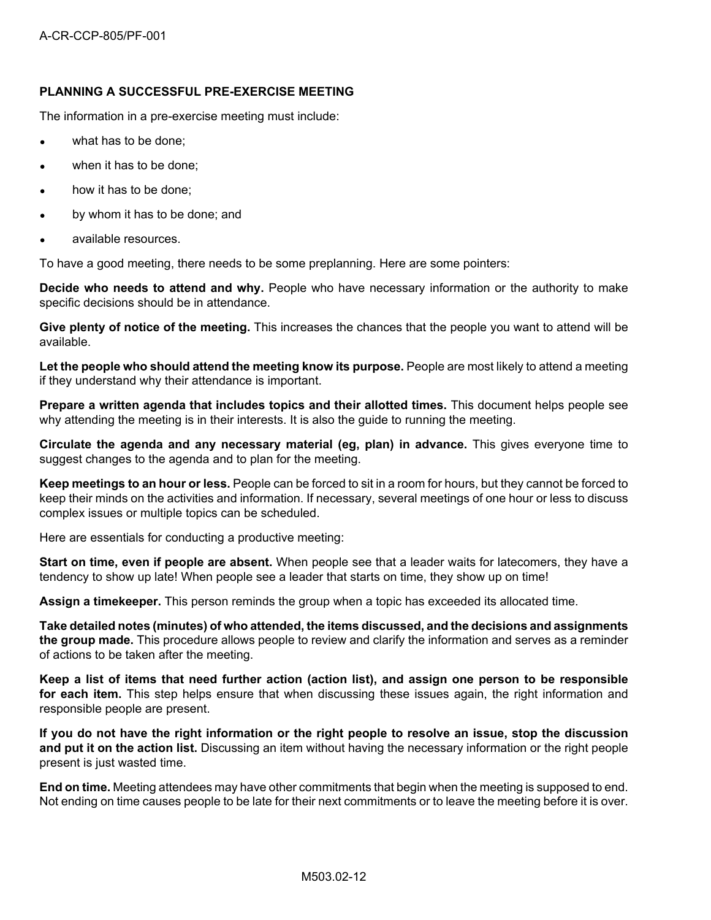# **PLANNING A SUCCESSFUL PRE-EXERCISE MEETING**

The information in a pre-exercise meeting must include:

- what has to be done;
- when it has to be done;
- how it has to be done;
- by whom it has to be done; and
- available resources.

To have a good meeting, there needs to be some preplanning. Here are some pointers:

**Decide who needs to attend and why.** People who have necessary information or the authority to make specific decisions should be in attendance.

**Give plenty of notice of the meeting.** This increases the chances that the people you want to attend will be available.

Let the people who should attend the meeting know its purpose. People are most likely to attend a meeting if they understand why their attendance is important.

**Prepare a written agenda that includes topics and their allotted times.** This document helps people see why attending the meeting is in their interests. It is also the guide to running the meeting.

**Circulate the agenda and any necessary material (eg, plan) in advance.** This gives everyone time to suggest changes to the agenda and to plan for the meeting.

**Keep meetings to an hour or less.** People can be forced to sit in a room for hours, but they cannot be forced to keep their minds on the activities and information. If necessary, several meetings of one hour or less to discuss complex issues or multiple topics can be scheduled.

Here are essentials for conducting a productive meeting:

**Start on time, even if people are absent.** When people see that a leader waits for latecomers, they have a tendency to show up late! When people see a leader that starts on time, they show up on time!

**Assign a timekeeper.** This person reminds the group when a topic has exceeded its allocated time.

**Take detailed notes (minutes) of who attended, the items discussed, and the decisions and assignments the group made.** This procedure allows people to review and clarify the information and serves as a reminder of actions to be taken after the meeting.

**Keep a list of items that need further action (action list), and assign one person to be responsible for each item.** This step helps ensure that when discussing these issues again, the right information and responsible people are present.

**If you do not have the right information or the right people to resolve an issue, stop the discussion and put it on the action list.** Discussing an item without having the necessary information or the right people present is just wasted time.

**End on time.** Meeting attendees may have other commitments that begin when the meeting is supposed to end. Not ending on time causes people to be late for their next commitments or to leave the meeting before it is over.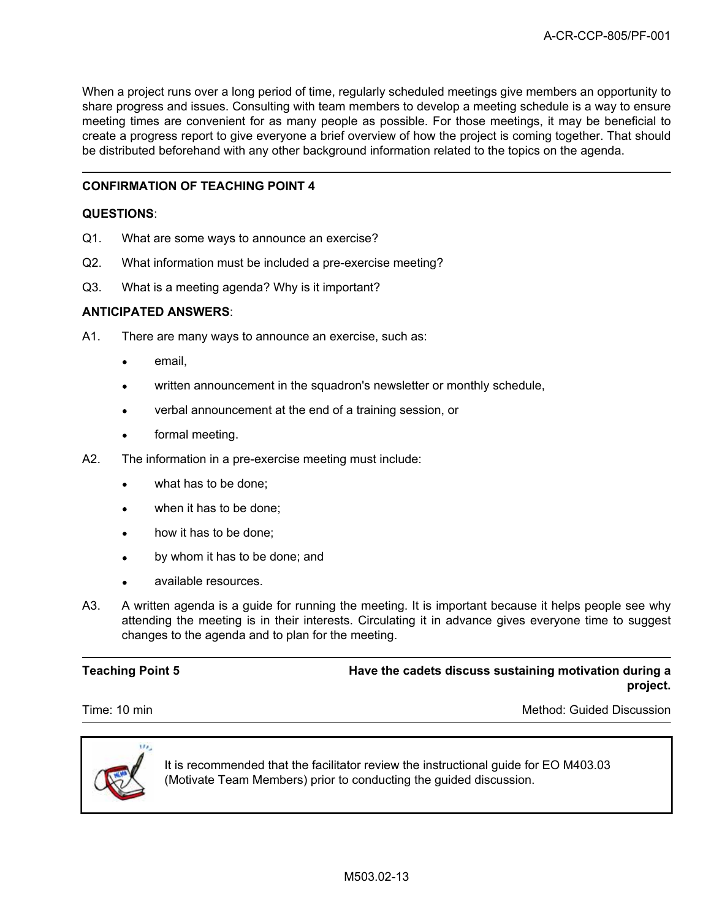When a project runs over a long period of time, regularly scheduled meetings give members an opportunity to share progress and issues. Consulting with team members to develop a meeting schedule is a way to ensure meeting times are convenient for as many people as possible. For those meetings, it may be beneficial to create a progress report to give everyone a brief overview of how the project is coming together. That should be distributed beforehand with any other background information related to the topics on the agenda.

# **CONFIRMATION OF TEACHING POINT 4**

## **QUESTIONS**:

- Q1. What are some ways to announce an exercise?
- Q2. What information must be included a pre-exercise meeting?
- Q3. What is a meeting agenda? Why is it important?

## **ANTICIPATED ANSWERS**:

- A1. There are many ways to announce an exercise, such as:
	- $\bullet$ email,
	- written announcement in the squadron's newsletter or monthly schedule,  $\bullet$
	- verbal announcement at the end of a training session, or
	- formal meeting.
- A2. The information in a pre-exercise meeting must include:
	- what has to be done;  $\bullet$
	- $\bullet$ when it has to be done;
	- how it has to be done;  $\bullet$
	- by whom it has to be done; and
	- available resources.
- A3. A written agenda is a guide for running the meeting. It is important because it helps people see why attending the meeting is in their interests. Circulating it in advance gives everyone time to suggest changes to the agenda and to plan for the meeting.

# **Teaching Point 5 Have the cadets discuss sustaining motivation during a project.**

Time: 10 min Method: Guided Discussion



It is recommended that the facilitator review the instructional guide for EO M403.03 (Motivate Team Members) prior to conducting the guided discussion.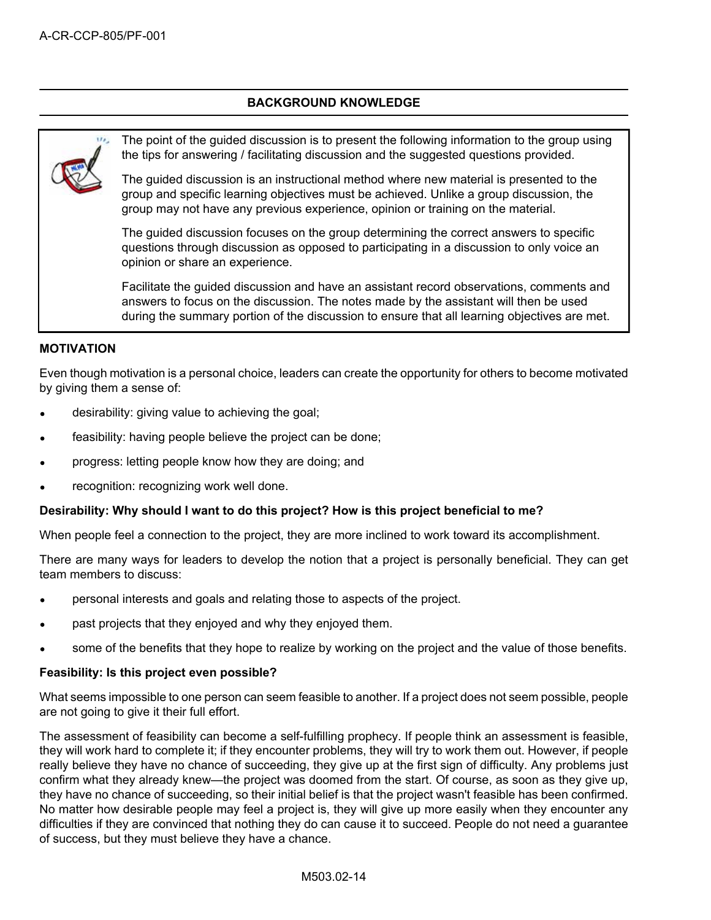# **BACKGROUND KNOWLEDGE**



Facilitate the guided discussion and have an assistant record observations, comments and answers to focus on the discussion. The notes made by the assistant will then be used during the summary portion of the discussion to ensure that all learning objectives are met.

## **MOTIVATION**

Even though motivation is a personal choice, leaders can create the opportunity for others to become motivated by giving them a sense of:

- desirability: giving value to achieving the goal;
- feasibility: having people believe the project can be done;
- progress: letting people know how they are doing; and
- recognition: recognizing work well done.

### **Desirability: Why should I want to do this project? How is this project beneficial to me?**

When people feel a connection to the project, they are more inclined to work toward its accomplishment.

There are many ways for leaders to develop the notion that a project is personally beneficial. They can get team members to discuss:

- personal interests and goals and relating those to aspects of the project.
- past projects that they enjoyed and why they enjoyed them.
- some of the benefits that they hope to realize by working on the project and the value of those benefits.

### **Feasibility: Is this project even possible?**

What seems impossible to one person can seem feasible to another. If a project does not seem possible, people are not going to give it their full effort.

The assessment of feasibility can become a self-fulfilling prophecy. If people think an assessment is feasible, they will work hard to complete it; if they encounter problems, they will try to work them out. However, if people really believe they have no chance of succeeding, they give up at the first sign of difficulty. Any problems just confirm what they already knew—the project was doomed from the start. Of course, as soon as they give up, they have no chance of succeeding, so their initial belief is that the project wasn't feasible has been confirmed. No matter how desirable people may feel a project is, they will give up more easily when they encounter any difficulties if they are convinced that nothing they do can cause it to succeed. People do not need a guarantee of success, but they must believe they have a chance.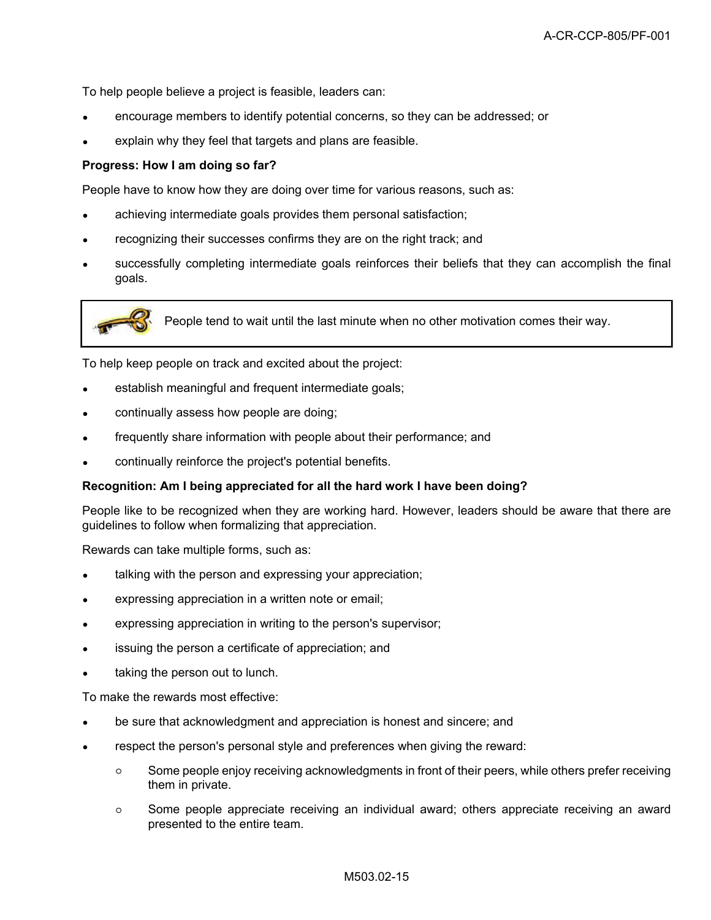To help people believe a project is feasible, leaders can:

- encourage members to identify potential concerns, so they can be addressed; or
- explain why they feel that targets and plans are feasible.

## **Progress: How I am doing so far?**

People have to know how they are doing over time for various reasons, such as:

- achieving intermediate goals provides them personal satisfaction;
- recognizing their successes confirms they are on the right track; and
- successfully completing intermediate goals reinforces their beliefs that they can accomplish the final goals.



People tend to wait until the last minute when no other motivation comes their way.

To help keep people on track and excited about the project:

- establish meaningful and frequent intermediate goals;
- continually assess how people are doing;
- frequently share information with people about their performance; and
- continually reinforce the project's potential benefits.

#### **Recognition: Am I being appreciated for all the hard work I have been doing?**

People like to be recognized when they are working hard. However, leaders should be aware that there are guidelines to follow when formalizing that appreciation.

Rewards can take multiple forms, such as:

- talking with the person and expressing your appreciation;
- expressing appreciation in a written note or email;
- expressing appreciation in writing to the person's supervisor;
- issuing the person a certificate of appreciation; and
- taking the person out to lunch.

To make the rewards most effective:

- be sure that acknowledgment and appreciation is honest and sincere; and
- respect the person's personal style and preferences when giving the reward:
	- Some people enjoy receiving acknowledgments in front of their peers, while others prefer receiving  $\circ$ them in private.
	- $\Omega$ Some people appreciate receiving an individual award; others appreciate receiving an award presented to the entire team.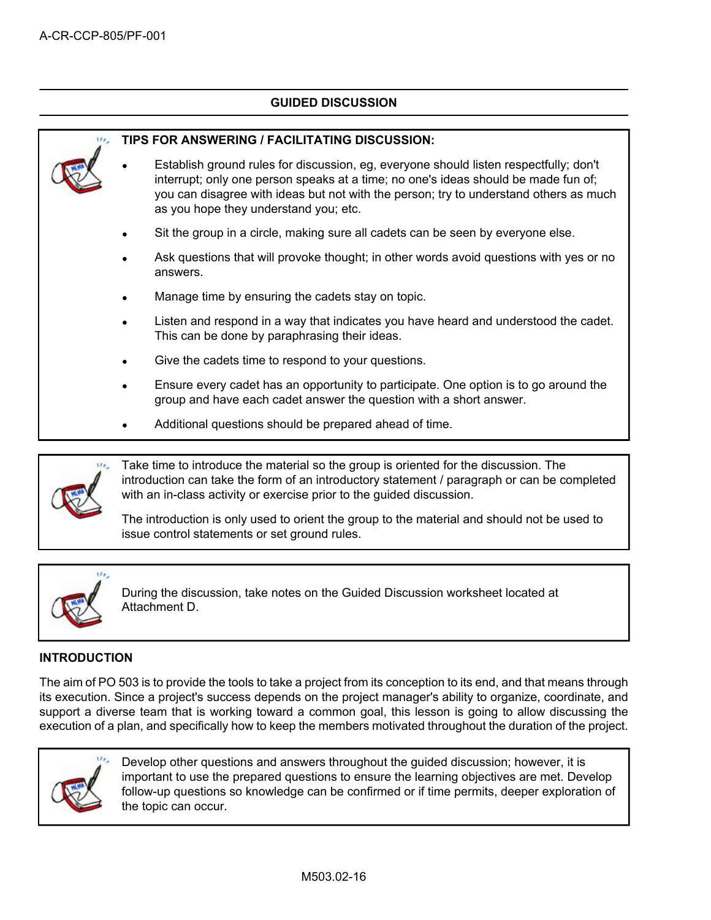# **GUIDED DISCUSSION**

# **TIPS FOR ANSWERING / FACILITATING DISCUSSION:**

- Establish ground rules for discussion, eg, everyone should listen respectfully; don't interrupt; only one person speaks at a time; no one's ideas should be made fun of; you can disagree with ideas but not with the person; try to understand others as much as you hope they understand you; etc.
- Sit the group in a circle, making sure all cadets can be seen by everyone else.
- Ask questions that will provoke thought; in other words avoid questions with yes or no answers.
- Manage time by ensuring the cadets stay on topic.
- Listen and respond in a way that indicates you have heard and understood the cadet. This can be done by paraphrasing their ideas.
- Give the cadets time to respond to your questions.
- Ensure every cadet has an opportunity to participate. One option is to go around the group and have each cadet answer the question with a short answer.
- Additional questions should be prepared ahead of time.



Take time to introduce the material so the group is oriented for the discussion. The introduction can take the form of an introductory statement / paragraph or can be completed with an in-class activity or exercise prior to the guided discussion.

The introduction is only used to orient the group to the material and should not be used to issue control statements or set ground rules.



During the discussion, take notes on the Guided Discussion worksheet located at Attachment D.

# **INTRODUCTION**

The aim of PO 503 is to provide the tools to take a project from its conception to its end, and that means through its execution. Since a project's success depends on the project manager's ability to organize, coordinate, and support a diverse team that is working toward a common goal, this lesson is going to allow discussing the execution of a plan, and specifically how to keep the members motivated throughout the duration of the project.



Develop other questions and answers throughout the guided discussion; however, it is important to use the prepared questions to ensure the learning objectives are met. Develop follow-up questions so knowledge can be confirmed or if time permits, deeper exploration of the topic can occur.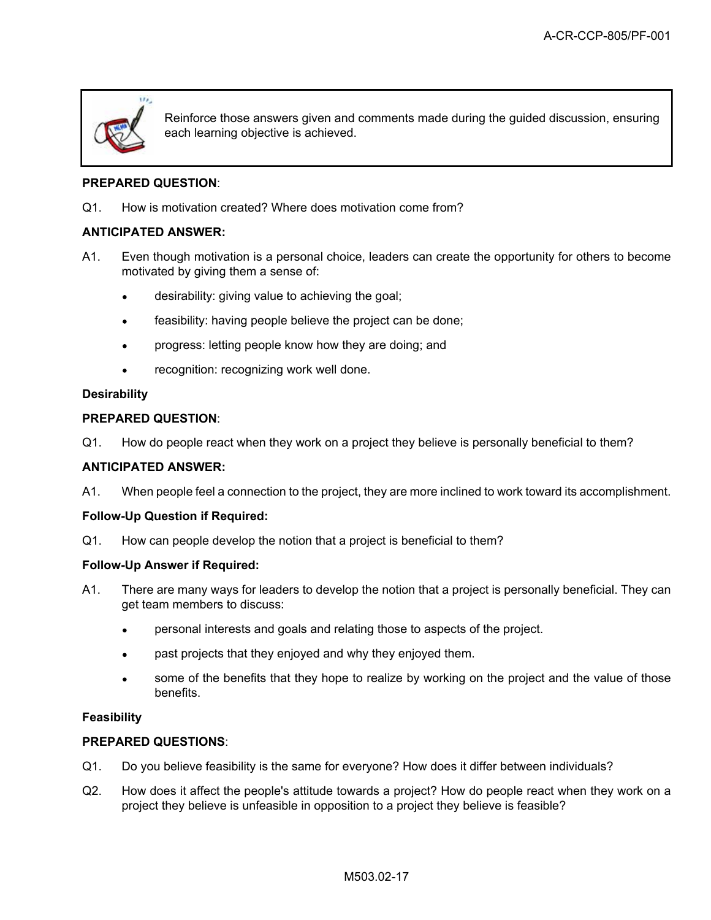

Reinforce those answers given and comments made during the guided discussion, ensuring each learning objective is achieved.

## **PREPARED QUESTION**:

Q1. How is motivation created? Where does motivation come from?

## **ANTICIPATED ANSWER:**

- A1. Even though motivation is a personal choice, leaders can create the opportunity for others to become motivated by giving them a sense of:
	- desirability: giving value to achieving the goal;  $\bullet$
	- feasibility: having people believe the project can be done;  $\bullet$
	- progress: letting people know how they are doing; and  $\bullet$
	- recognition: recognizing work well done.

## **Desirability**

## **PREPARED QUESTION**:

Q1. How do people react when they work on a project they believe is personally beneficial to them?

### **ANTICIPATED ANSWER:**

A1. When people feel a connection to the project, they are more inclined to work toward its accomplishment.

### **Follow-Up Question if Required:**

Q1. How can people develop the notion that a project is beneficial to them?

### **Follow-Up Answer if Required:**

- A1. There are many ways for leaders to develop the notion that a project is personally beneficial. They can get team members to discuss:
	- personal interests and goals and relating those to aspects of the project.  $\bullet$
	- past projects that they enjoyed and why they enjoyed them.  $\bullet$
	- some of the benefits that they hope to realize by working on the project and the value of those benefits.

### **Feasibility**

# **PREPARED QUESTIONS**:

- Q1. Do you believe feasibility is the same for everyone? How does it differ between individuals?
- Q2. How does it affect the people's attitude towards a project? How do people react when they work on a project they believe is unfeasible in opposition to a project they believe is feasible?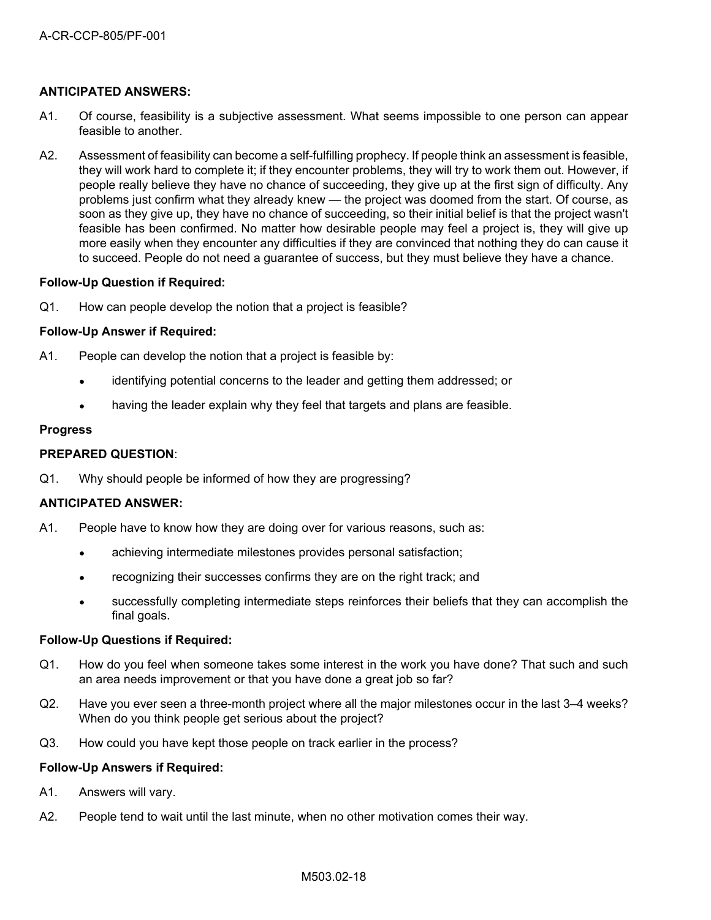# **ANTICIPATED ANSWERS:**

- A1. Of course, feasibility is a subjective assessment. What seems impossible to one person can appear feasible to another.
- A2. Assessment of feasibility can become a self-fulfilling prophecy. If people think an assessment is feasible, they will work hard to complete it; if they encounter problems, they will try to work them out. However, if people really believe they have no chance of succeeding, they give up at the first sign of difficulty. Any problems just confirm what they already knew — the project was doomed from the start. Of course, as soon as they give up, they have no chance of succeeding, so their initial belief is that the project wasn't feasible has been confirmed. No matter how desirable people may feel a project is, they will give up more easily when they encounter any difficulties if they are convinced that nothing they do can cause it to succeed. People do not need a guarantee of success, but they must believe they have a chance.

### **Follow-Up Question if Required:**

Q1. How can people develop the notion that a project is feasible?

### **Follow-Up Answer if Required:**

- A1. People can develop the notion that a project is feasible by:
	- identifying potential concerns to the leader and getting them addressed; or
	- having the leader explain why they feel that targets and plans are feasible.  $\bullet$

#### **Progress**

### **PREPARED QUESTION**:

Q1. Why should people be informed of how they are progressing?

### **ANTICIPATED ANSWER:**

- A1. People have to know how they are doing over for various reasons, such as:
	- achieving intermediate milestones provides personal satisfaction;
	- recognizing their successes confirms they are on the right track; and  $\bullet$
	- successfully completing intermediate steps reinforces their beliefs that they can accomplish the final goals.

### **Follow-Up Questions if Required:**

- Q1. How do you feel when someone takes some interest in the work you have done? That such and such an area needs improvement or that you have done a great job so far?
- Q2. Have you ever seen a three-month project where all the major milestones occur in the last 3–4 weeks? When do you think people get serious about the project?
- Q3. How could you have kept those people on track earlier in the process?

### **Follow-Up Answers if Required:**

- A1. Answers will vary.
- A2. People tend to wait until the last minute, when no other motivation comes their way.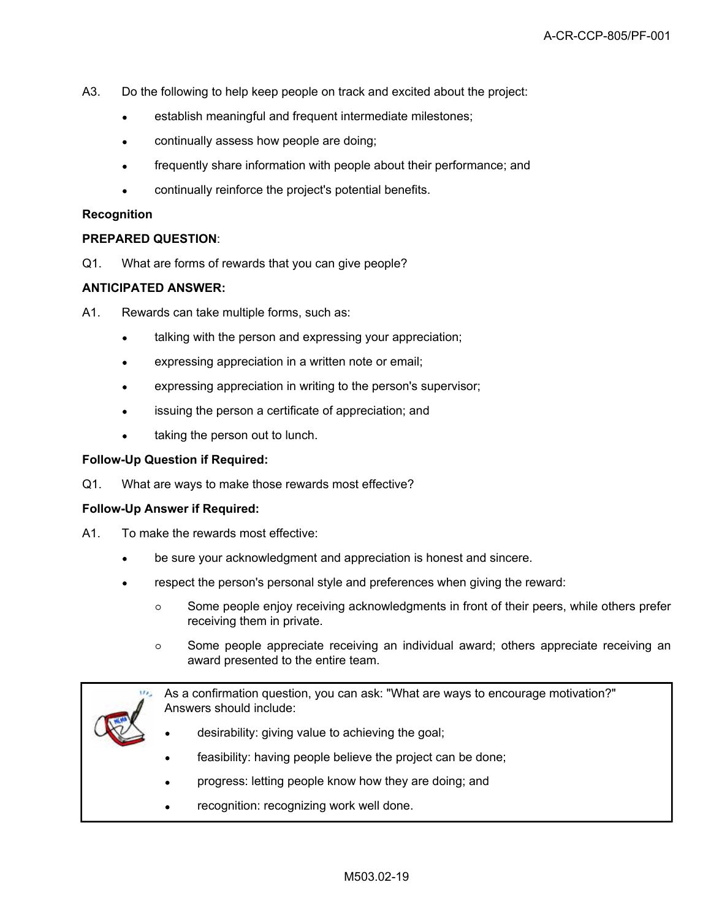- A3. Do the following to help keep people on track and excited about the project:
	- establish meaningful and frequent intermediate milestones;  $\bullet$
	- continually assess how people are doing;  $\bullet$
	- frequently share information with people about their performance; and  $\bullet$
	- $\bullet$ continually reinforce the project's potential benefits.

#### **Recognition**

#### **PREPARED QUESTION**:

Q1. What are forms of rewards that you can give people?

#### **ANTICIPATED ANSWER:**

- A1. Rewards can take multiple forms, such as:
	- talking with the person and expressing your appreciation;  $\bullet$
	- $\bullet$ expressing appreciation in a written note or email;
	- expressing appreciation in writing to the person's supervisor;  $\bullet$
	- issuing the person a certificate of appreciation; and  $\bullet$
	- taking the person out to lunch.

#### **Follow-Up Question if Required:**

Q1. What are ways to make those rewards most effective?

#### **Follow-Up Answer if Required:**

- A1. To make the rewards most effective:
	- be sure your acknowledgment and appreciation is honest and sincere.
	- respect the person's personal style and preferences when giving the reward:  $\bullet$ 
		- Some people enjoy receiving acknowledgments in front of their peers, while others prefer  $\circ$ receiving them in private.
		- Some people appreciate receiving an individual award; others appreciate receiving an  $\Omega$ award presented to the entire team.



- desirability: giving value to achieving the goal;
- feasibility: having people believe the project can be done;
- progress: letting people know how they are doing; and
- recognition: recognizing work well done. $\bullet$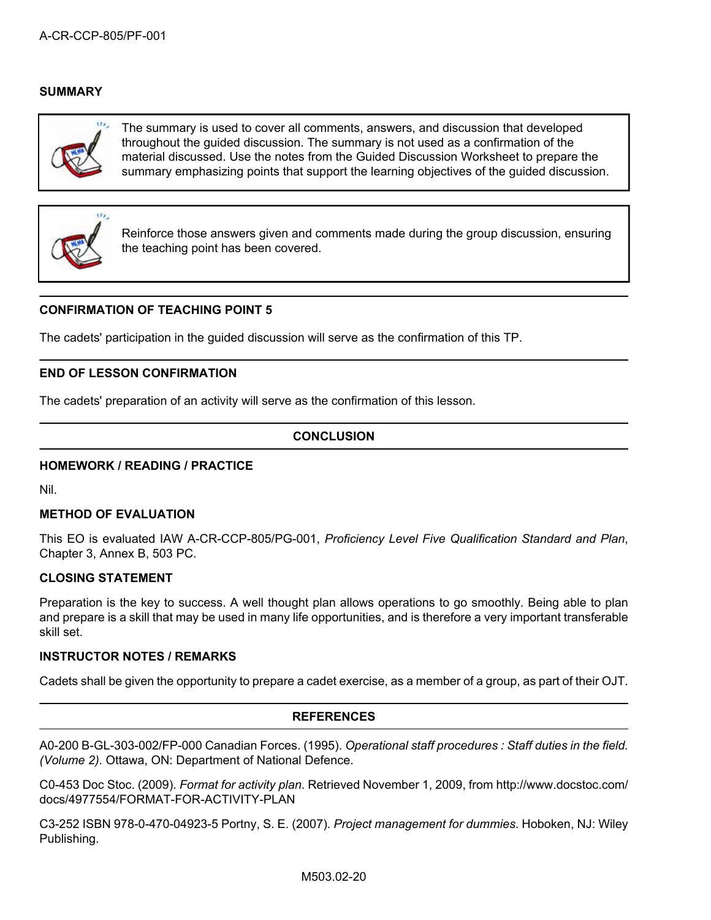# **SUMMARY**



The summary is used to cover all comments, answers, and discussion that developed throughout the guided discussion. The summary is not used as a confirmation of the material discussed. Use the notes from the Guided Discussion Worksheet to prepare the summary emphasizing points that support the learning objectives of the guided discussion.



Reinforce those answers given and comments made during the group discussion, ensuring the teaching point has been covered.

# **CONFIRMATION OF TEACHING POINT 5**

The cadets' participation in the guided discussion will serve as the confirmation of this TP.

## **END OF LESSON CONFIRMATION**

The cadets' preparation of an activity will serve as the confirmation of this lesson.

#### **CONCLUSION**

### **HOMEWORK / READING / PRACTICE**

Nil.

### **METHOD OF EVALUATION**

This EO is evaluated IAW A-CR-CCP-805/PG-001, *Proficiency Level Five Qualification Standard and Plan*, Chapter 3, Annex B, 503 PC.

### **CLOSING STATEMENT**

Preparation is the key to success. A well thought plan allows operations to go smoothly. Being able to plan and prepare is a skill that may be used in many life opportunities, and is therefore a very important transferable skill set.

### **INSTRUCTOR NOTES / REMARKS**

Cadets shall be given the opportunity to prepare a cadet exercise, as a member of a group, as part of their OJT.

### **REFERENCES**

A0-200 B-GL-303-002/FP-000 Canadian Forces. (1995). *Operational staff procedures : Staff duties in the field. (Volume 2)*. Ottawa, ON: Department of National Defence.

C0-453 Doc Stoc. (2009). *Format for activity plan*. Retrieved November 1, 2009, from http://www.docstoc.com/ docs/4977554/FORMAT-FOR-ACTIVITY-PLAN

C3-252 ISBN 978-0-470-04923-5 Portny, S. E. (2007). *Project management for dummies*. Hoboken, NJ: Wiley Publishing.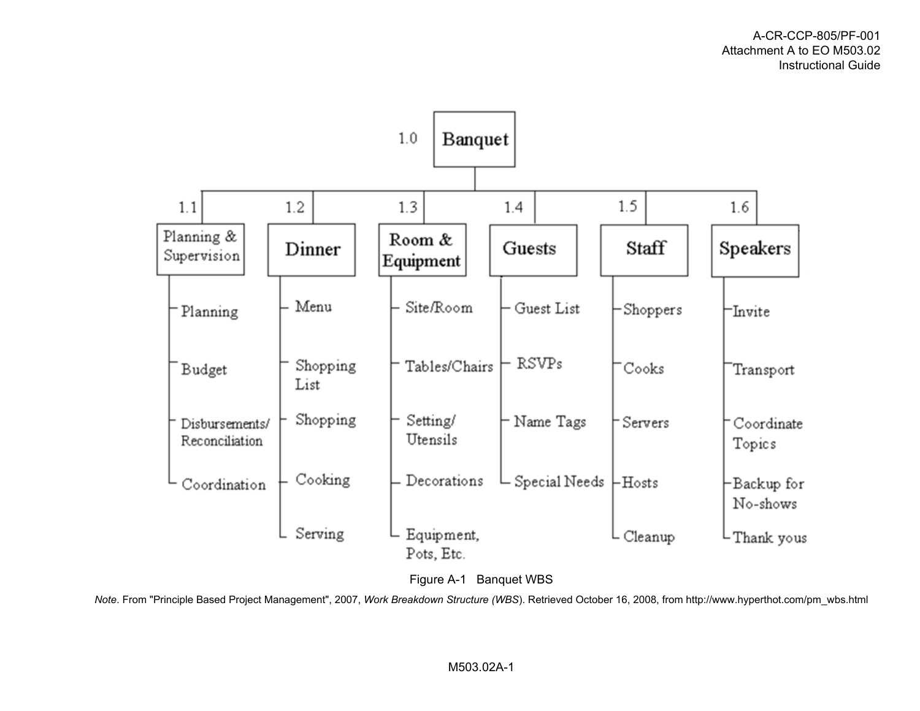

# Figure A-1 Banquet WBS

*Note*. From "Principle Based Project Management", 2007, *Work Breakdown Structure (WBS*). Retrieved October 16, 2008, from http://www.hyperthot.com/pm\_wbs.html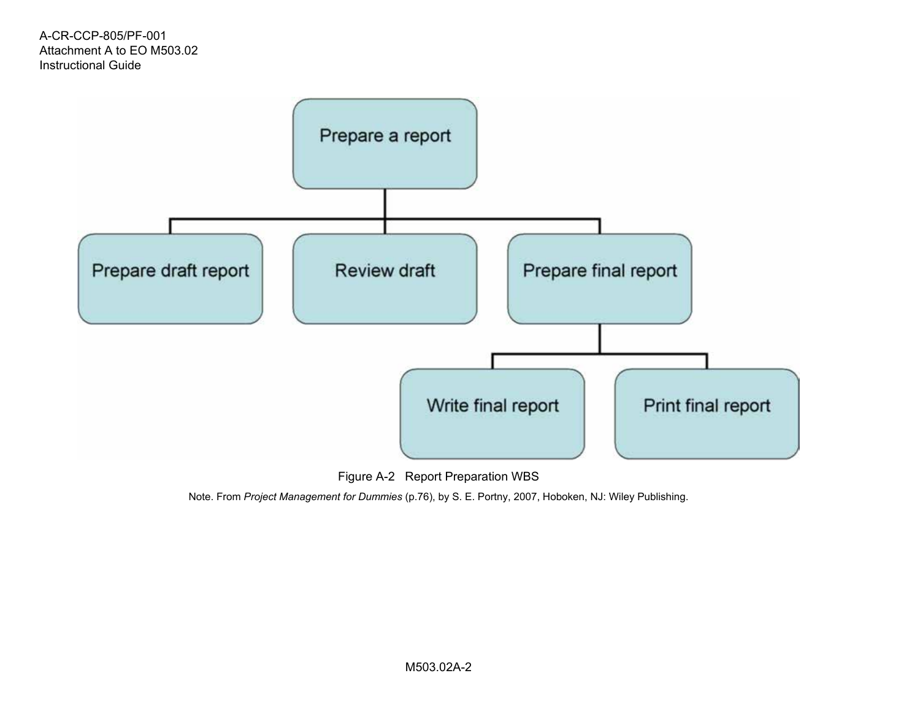



Note. From *Project Management for Dummies* (p.76), by S. E. Portny, 2007, Hoboken, NJ: Wiley Publishing.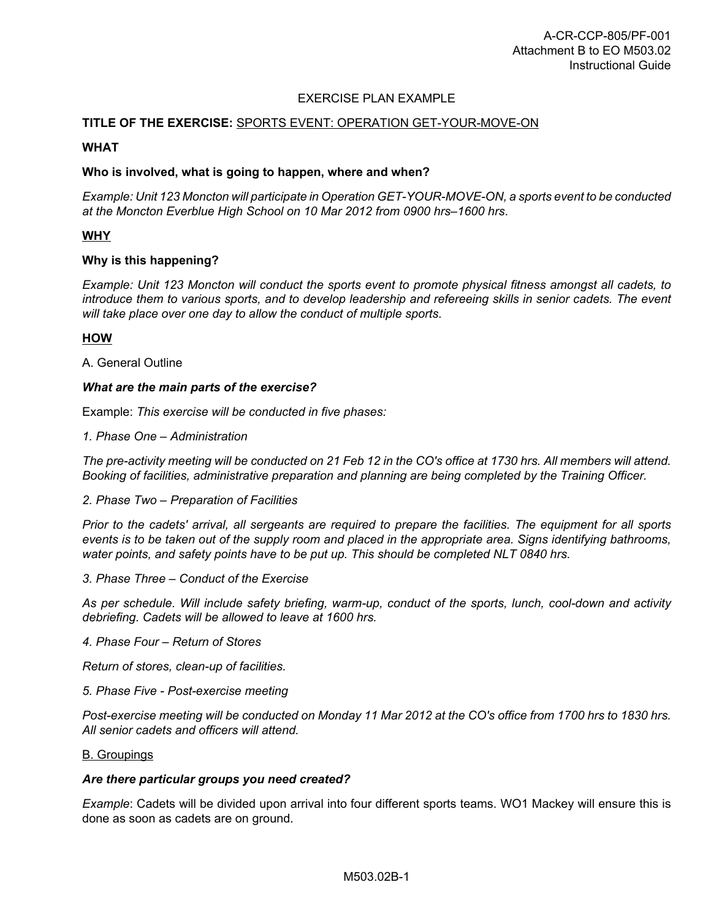# EXERCISE PLAN EXAMPLE

#### **TITLE OF THE EXERCISE:** SPORTS EVENT: OPERATION GET-YOUR-MOVE-ON

#### **WHAT**

#### **Who is involved, what is going to happen, where and when?**

*Example: Unit 123 Moncton will participate in Operation GET-YOUR-MOVE-ON, a sports event to be conducted at the Moncton Everblue High School on 10 Mar 2012 from 0900 hrs–1600 hrs*.

## **WHY**

#### **Why is this happening?**

*Example: Unit 123 Moncton will conduct the sports event to promote physical fitness amongst all cadets, to introduce them to various sports, and to develop leadership and refereeing skills in senior cadets. The event will take place over one day to allow the conduct of multiple sports*.

#### **HOW**

A. General Outline

#### *What are the main parts of the exercise?*

Example: *This exercise will be conducted in five phases:*

#### *1. Phase One – Administration*

*The pre-activity meeting will be conducted on 21 Feb 12 in the CO's office at 1730 hrs. All members will attend. Booking of facilities, administrative preparation and planning are being completed by the Training Officer.*

*2. Phase Two – Preparation of Facilities*

*Prior to the cadets' arrival, all sergeants are required to prepare the facilities. The equipment for all sports events is to be taken out of the supply room and placed in the appropriate area. Signs identifying bathrooms, water points, and safety points have to be put up. This should be completed NLT 0840 hrs.*

*3. Phase Three – Conduct of the Exercise*

*As per schedule. Will include safety briefing, warm-up, conduct of the sports, lunch, cool-down and activity debriefing. Cadets will be allowed to leave at 1600 hrs.*

*4. Phase Four – Return of Stores*

*Return of stores, clean-up of facilities.*

*5. Phase Five - Post-exercise meeting*

*Post-exercise meeting will be conducted on Monday 11 Mar 2012 at the CO's office from 1700 hrs to 1830 hrs. All senior cadets and officers will attend.*

#### B. Groupings

#### *Are there particular groups you need created?*

*Example*: Cadets will be divided upon arrival into four different sports teams. WO1 Mackey will ensure this is done as soon as cadets are on ground.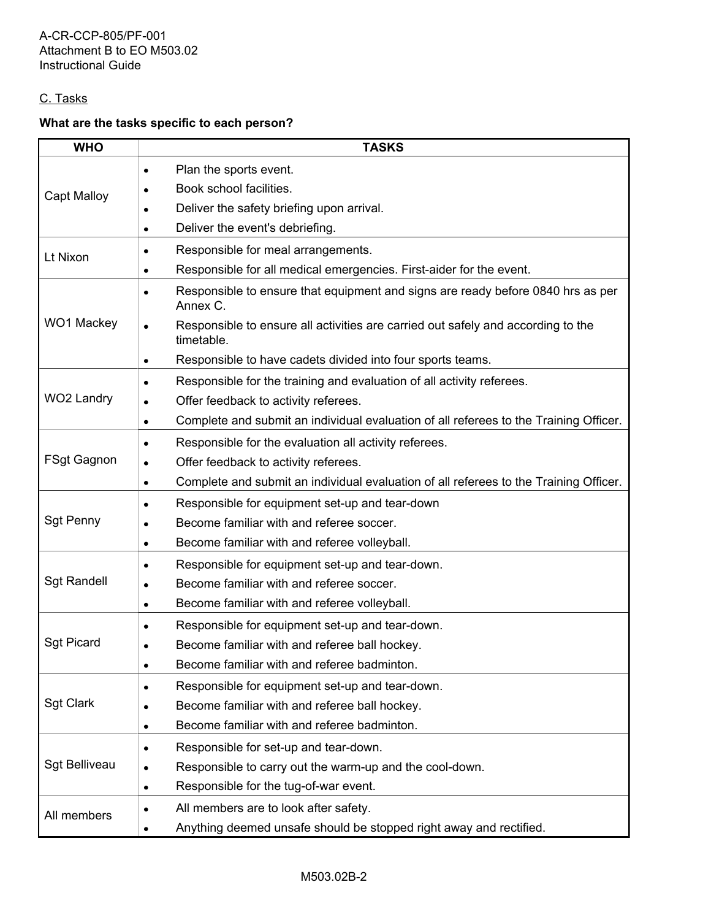# C. Tasks

# **What are the tasks specific to each person?**

| <b>WHO</b>             | <b>TASKS</b>                                                                                       |
|------------------------|----------------------------------------------------------------------------------------------------|
|                        | Plan the sports event.<br>$\bullet$                                                                |
| <b>Capt Malloy</b>     | Book school facilities.                                                                            |
|                        | Deliver the safety briefing upon arrival.<br>٠                                                     |
|                        | Deliver the event's debriefing.<br>$\bullet$                                                       |
| Lt Nixon               | Responsible for meal arrangements.<br>$\bullet$                                                    |
|                        | Responsible for all medical emergencies. First-aider for the event.<br>٠                           |
|                        | Responsible to ensure that equipment and signs are ready before 0840 hrs as per<br>Annex C.        |
| WO1 Mackey             | Responsible to ensure all activities are carried out safely and according to the<br>timetable.     |
|                        | Responsible to have cadets divided into four sports teams.<br>٠                                    |
|                        | Responsible for the training and evaluation of all activity referees.<br>$\bullet$                 |
| WO <sub>2</sub> Landry | Offer feedback to activity referees.                                                               |
|                        | Complete and submit an individual evaluation of all referees to the Training Officer.<br>$\bullet$ |
|                        | Responsible for the evaluation all activity referees.<br>$\bullet$                                 |
| FSgt Gagnon            | Offer feedback to activity referees.<br>$\bullet$                                                  |
|                        | Complete and submit an individual evaluation of all referees to the Training Officer.<br>$\bullet$ |
|                        | Responsible for equipment set-up and tear-down<br>٠                                                |
| Sgt Penny              | Become familiar with and referee soccer.                                                           |
|                        | Become familiar with and referee volleyball.<br>٠                                                  |
|                        | Responsible for equipment set-up and tear-down.<br>$\bullet$                                       |
| <b>Sgt Randell</b>     | Become familiar with and referee soccer.                                                           |
|                        | Become familiar with and referee volleyball.<br>$\bullet$                                          |
|                        | Responsible for equipment set-up and tear-down.<br>٠                                               |
| <b>Sgt Picard</b>      | Become familiar with and referee ball hockey.                                                      |
|                        | Become familiar with and referee badminton.<br>$\bullet$                                           |
|                        | Responsible for equipment set-up and tear-down.<br>$\bullet$                                       |
| <b>Sgt Clark</b>       | Become familiar with and referee ball hockey.<br>$\bullet$                                         |
|                        | Become familiar with and referee badminton.<br>٠                                                   |
|                        | Responsible for set-up and tear-down.<br>$\bullet$                                                 |
| <b>Sgt Belliveau</b>   | Responsible to carry out the warm-up and the cool-down.<br>٠                                       |
|                        | Responsible for the tug-of-war event.<br>٠                                                         |
| All members            | All members are to look after safety.<br>٠                                                         |
|                        | Anything deemed unsafe should be stopped right away and rectified.<br>٠                            |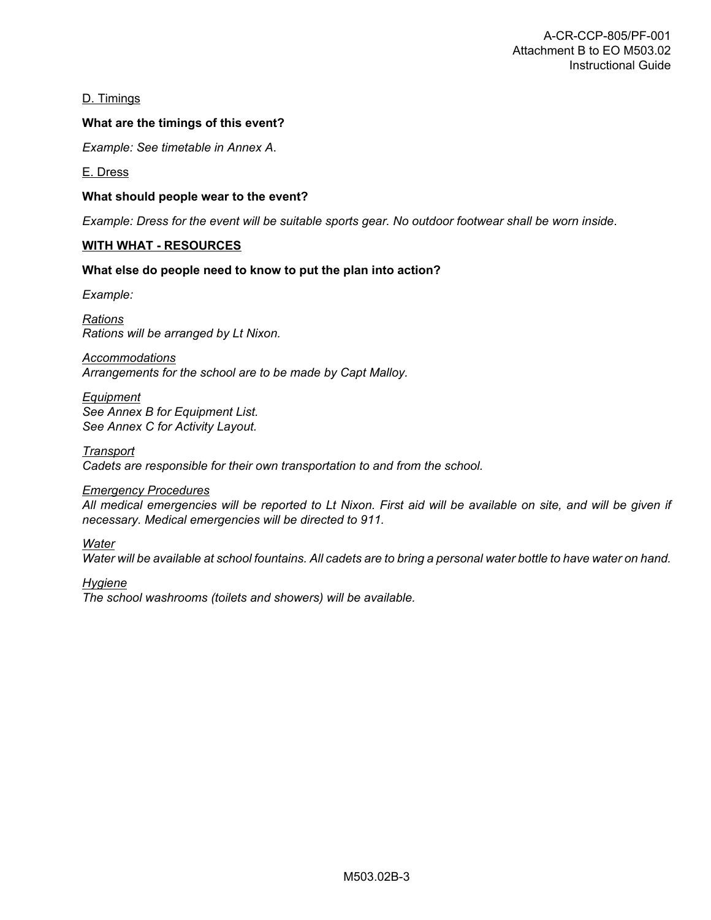# D. Timings

#### **What are the timings of this event?**

*Example: See timetable in Annex A*.

E. Dress

#### **What should people wear to the event?**

*Example: Dress for the event will be suitable sports gear. No outdoor footwear shall be worn inside*.

#### **WITH WHAT - RESOURCES**

#### **What else do people need to know to put the plan into action?**

*Example:*

*Rations Rations will be arranged by Lt Nixon.*

*Accommodations Arrangements for the school are to be made by Capt Malloy.*

*Equipment See Annex B for Equipment List. See Annex C for Activity Layout.*

*Transport Cadets are responsible for their own transportation to and from the school.*

#### *Emergency Procedures*

*All medical emergencies will be reported to Lt Nixon. First aid will be available on site, and will be given if necessary. Medical emergencies will be directed to 911.*

# *Water*

*Water will be available at school fountains. All cadets are to bring a personal water bottle to have water on hand.*

#### *Hygiene*

*The school washrooms (toilets and showers) will be available.*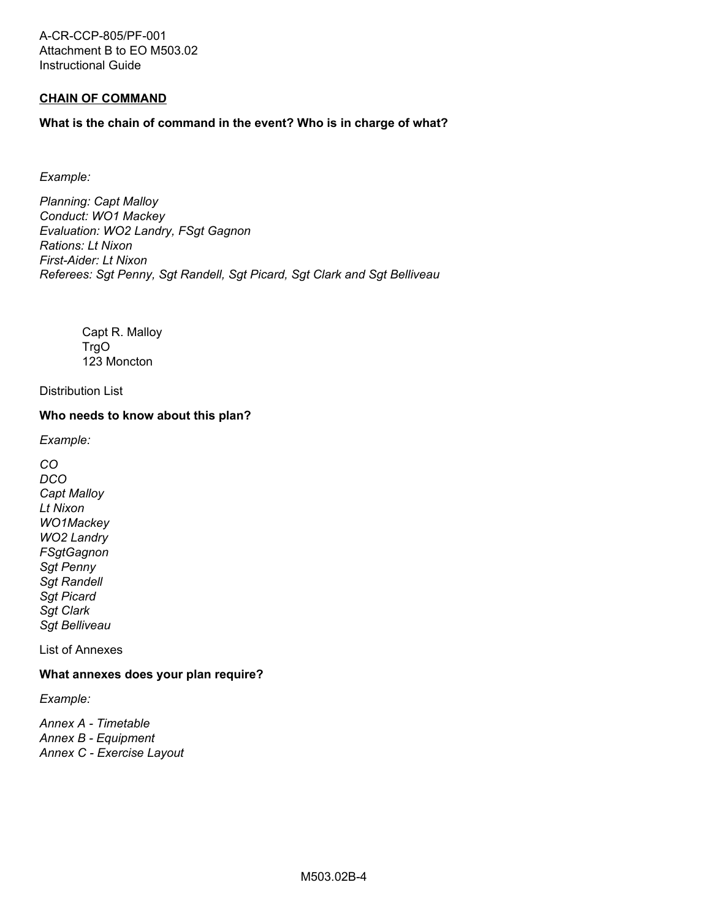## **CHAIN OF COMMAND**

**What is the chain of command in the event? Who is in charge of what?**

#### *Example:*

*Planning: Capt Malloy Conduct: WO1 Mackey Evaluation: WO2 Landry, FSgt Gagnon Rations: Lt Nixon First-Aider: Lt Nixon Referees: Sgt Penny, Sgt Randell, Sgt Picard, Sgt Clark and Sgt Belliveau*

> Capt R. Malloy TrgO 123 Moncton

Distribution List

## **Who needs to know about this plan?**

*Example:*

*CO DCO Capt Malloy Lt Nixon WO1Mackey WO2 Landry FSgtGagnon Sgt Penny Sgt Randell Sgt Picard Sgt Clark Sgt Belliveau*

List of Annexes

## **What annexes does your plan require?**

*Example:*

*Annex A - Timetable Annex B - Equipment Annex C - Exercise Layout*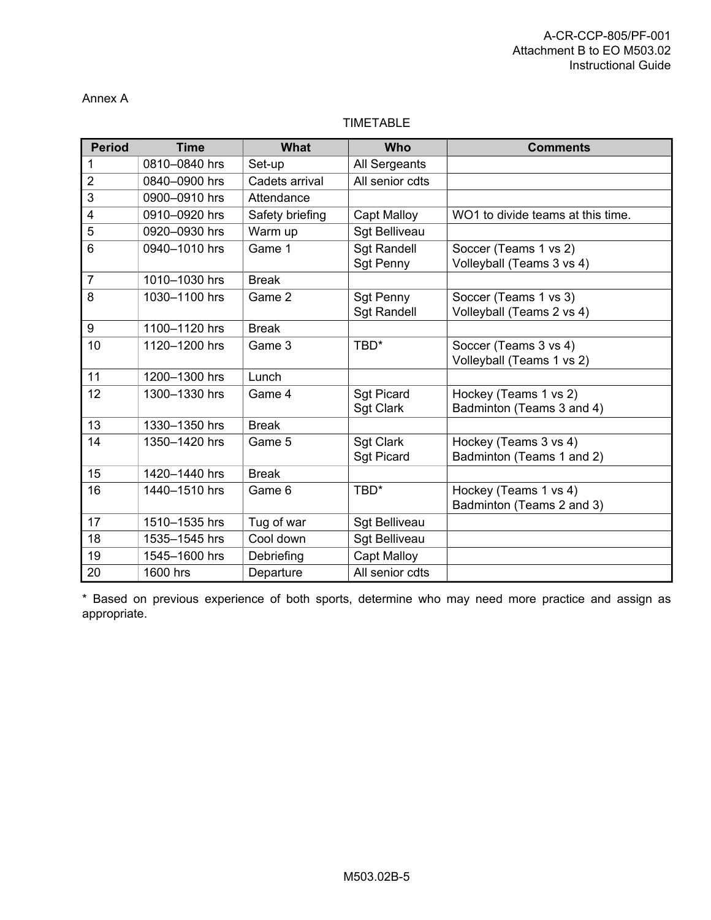Annex A

# TIMETABLE

| <b>Period</b>    | <b>Time</b>   | <b>What</b>     | Who                                   | <b>Comments</b>                                    |
|------------------|---------------|-----------------|---------------------------------------|----------------------------------------------------|
| 1                | 0810-0840 hrs | Set-up          | All Sergeants                         |                                                    |
| $\overline{2}$   | 0840-0900 hrs | Cadets arrival  | All senior cdts                       |                                                    |
| 3                | 0900-0910 hrs | Attendance      |                                       |                                                    |
| 4                | 0910-0920 hrs | Safety briefing | Capt Malloy                           | WO1 to divide teams at this time.                  |
| 5                | 0920-0930 hrs | Warm up         | Sgt Belliveau                         |                                                    |
| 6                | 0940-1010 hrs | Game 1          | <b>Sgt Randell</b><br>Sgt Penny       | Soccer (Teams 1 vs 2)<br>Volleyball (Teams 3 vs 4) |
| $\overline{7}$   | 1010-1030 hrs | <b>Break</b>    |                                       |                                                    |
| 8                | 1030-1100 hrs | Game 2          | Sgt Penny<br>Sgt Randell              | Soccer (Teams 1 vs 3)<br>Volleyball (Teams 2 vs 4) |
| $\boldsymbol{9}$ | 1100-1120 hrs | <b>Break</b>    |                                       |                                                    |
| 10               | 1120-1200 hrs | Game 3          | TBD*                                  | Soccer (Teams 3 vs 4)<br>Volleyball (Teams 1 vs 2) |
| 11               | 1200-1300 hrs | Lunch           |                                       |                                                    |
| 12               | 1300-1330 hrs | Game 4          | <b>Sgt Picard</b><br><b>Sgt Clark</b> | Hockey (Teams 1 vs 2)<br>Badminton (Teams 3 and 4) |
| 13               | 1330-1350 hrs | <b>Break</b>    |                                       |                                                    |
| 14               | 1350-1420 hrs | Game 5          | <b>Sgt Clark</b><br><b>Sgt Picard</b> | Hockey (Teams 3 vs 4)<br>Badminton (Teams 1 and 2) |
| 15               | 1420-1440 hrs | <b>Break</b>    |                                       |                                                    |
| 16               | 1440-1510 hrs | Game 6          | TBD*                                  | Hockey (Teams 1 vs 4)<br>Badminton (Teams 2 and 3) |
| 17               | 1510-1535 hrs | Tug of war      | Sgt Belliveau                         |                                                    |
| 18               | 1535-1545 hrs | Cool down       | Sgt Belliveau                         |                                                    |
| 19               | 1545-1600 hrs | Debriefing      | <b>Capt Malloy</b>                    |                                                    |
| 20               | 1600 hrs      | Departure       | All senior cdts                       |                                                    |

\* Based on previous experience of both sports, determine who may need more practice and assign as appropriate.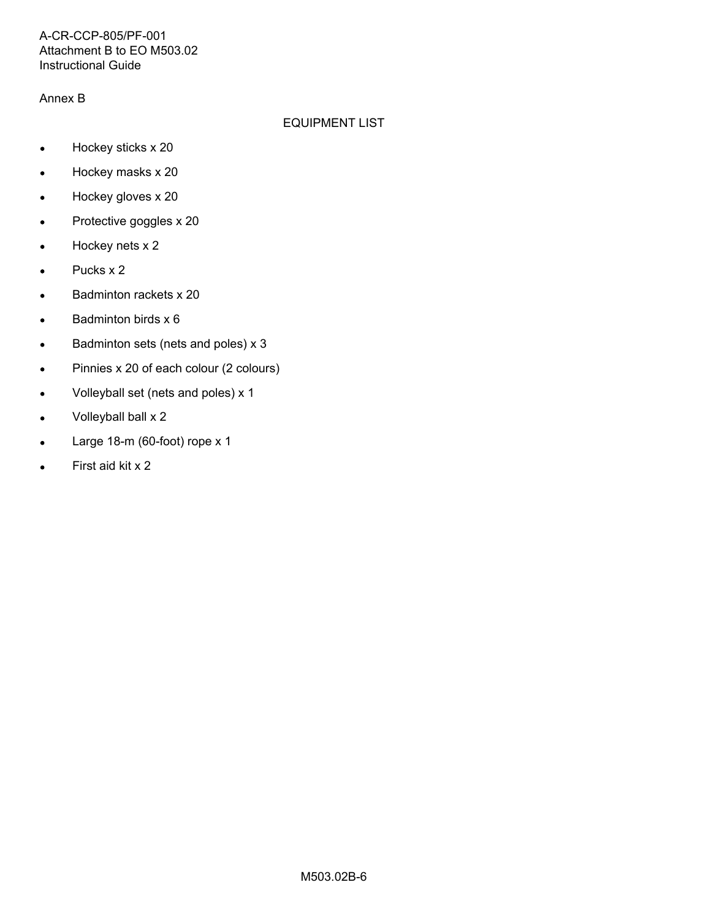# Annex B

# EQUIPMENT LIST

- Hockey sticks x 20  $\bullet$
- Hockey masks x 20  $\bullet$
- Hockey gloves x 20  $\bullet$
- Protective goggles x 20  $\bullet$
- Hockey nets x 2  $\bullet$
- Pucks x 2  $\bullet$
- Badminton rackets x 20  $\bullet$
- Badminton birds x 6  $\bullet$
- Badminton sets (nets and poles) x 3  $\bullet$
- Pinnies x 20 of each colour (2 colours)  $\bullet$
- Volleyball set (nets and poles) x 1  $\bullet$
- Volleyball ball x 2  $\bullet$
- Large 18-m (60-foot) rope x 1  $\bullet$
- First aid kit x 2 $\bullet$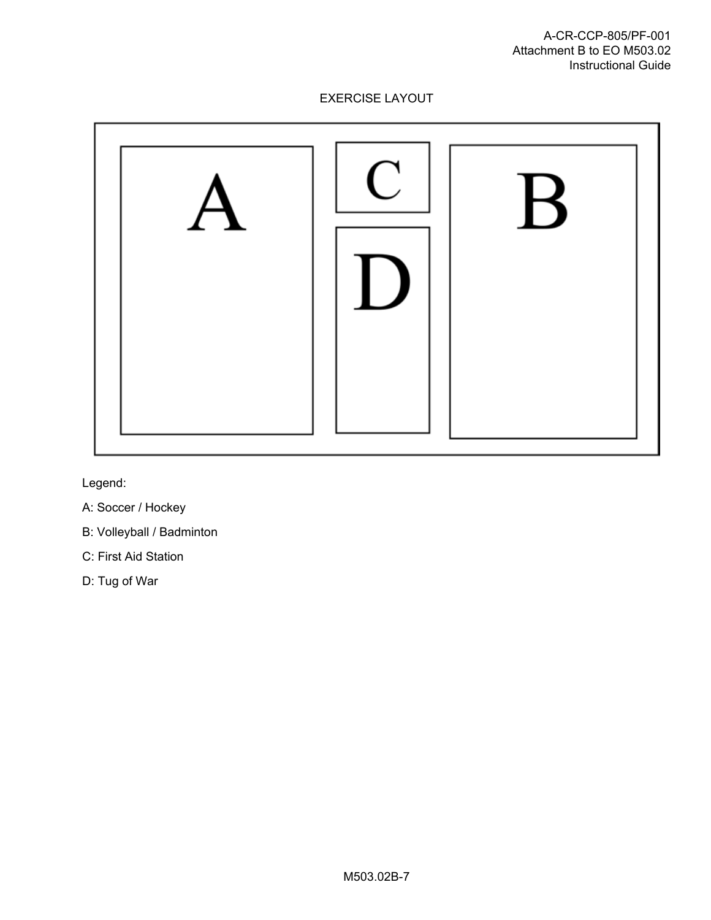EXERCISE LAYOUT



Legend:

- A: Soccer / Hockey
- B: Volleyball / Badminton
- C: First Aid Station
- D: Tug of War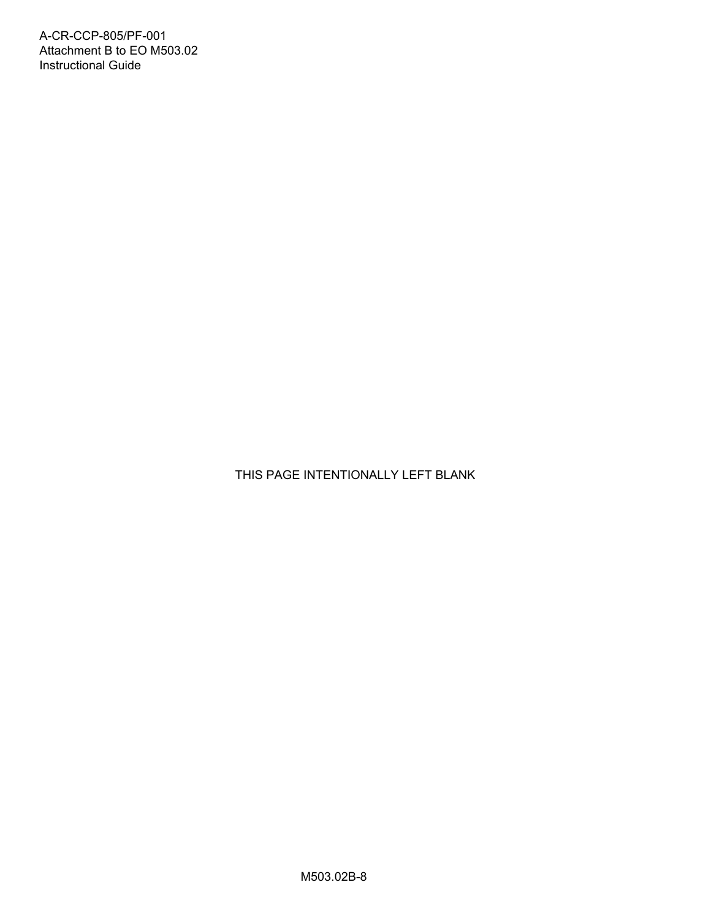THIS PAGE INTENTIONALLY LEFT BLANK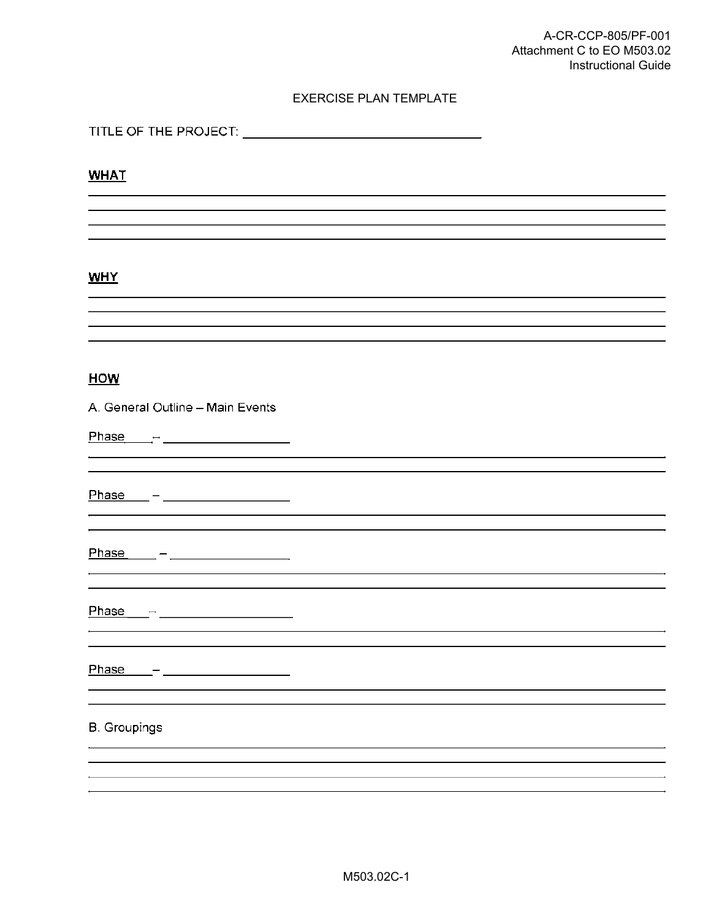# EXERCISE PLAN TEMPLATE

# **WHAT**

**WHY** 

# **HOW**

|                     | A. General Outline - Main Events                       |  |  |
|---------------------|--------------------------------------------------------|--|--|
|                     | Phase 7 _____________________                          |  |  |
|                     |                                                        |  |  |
| Phase               | $\sim$ $-$<br><u> 1989 - Andrea Barbara, poeta esp</u> |  |  |
|                     |                                                        |  |  |
| Phase               |                                                        |  |  |
|                     |                                                        |  |  |
|                     | Phase 7                                                |  |  |
|                     |                                                        |  |  |
|                     |                                                        |  |  |
|                     |                                                        |  |  |
| <b>B.</b> Groupings |                                                        |  |  |
|                     |                                                        |  |  |
|                     |                                                        |  |  |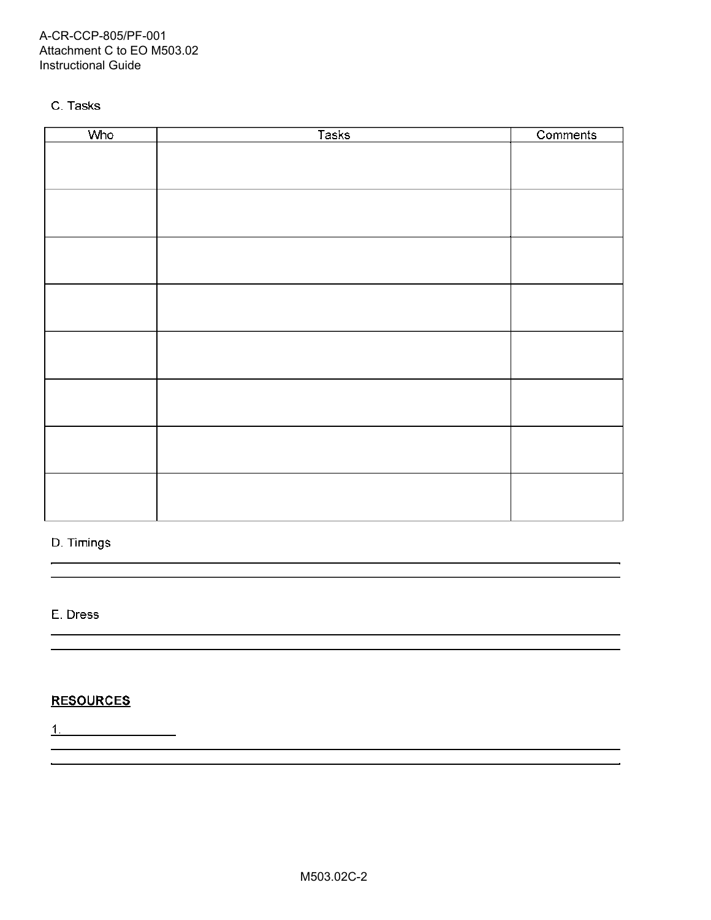# C. Tasks

| Who | <b>Tasks</b> | Comments |
|-----|--------------|----------|
|     |              |          |
|     |              |          |
|     |              |          |
|     |              |          |
|     |              |          |
|     |              |          |
|     |              |          |
|     |              |          |
|     |              |          |
|     |              |          |
|     |              |          |
|     |              |          |
|     |              |          |
|     |              |          |
|     |              |          |
|     |              |          |
|     |              |          |
|     |              |          |
|     |              |          |
|     |              |          |
|     |              |          |
|     |              |          |
|     |              |          |
|     |              |          |

#### D. Timings

E. Dress

# **RESOURCES**

 $1.$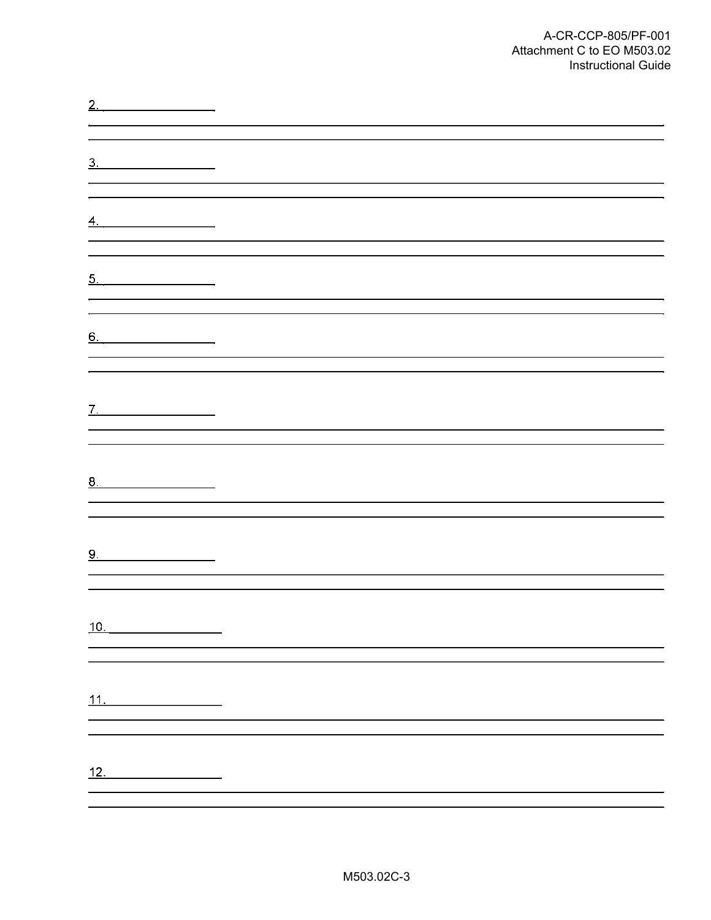| 2.                |                                                                            |
|-------------------|----------------------------------------------------------------------------|
|                   |                                                                            |
| 3.                |                                                                            |
|                   |                                                                            |
| $\frac{4.}{2}$    |                                                                            |
|                   |                                                                            |
| 5.                |                                                                            |
|                   | the control of the control of the control of the control of the control of |
|                   |                                                                            |
| 6.                |                                                                            |
|                   |                                                                            |
|                   |                                                                            |
|                   |                                                                            |
| 7.                |                                                                            |
|                   |                                                                            |
|                   |                                                                            |
|                   |                                                                            |
| 8.                |                                                                            |
|                   |                                                                            |
|                   |                                                                            |
|                   |                                                                            |
| 9.                |                                                                            |
|                   |                                                                            |
|                   |                                                                            |
|                   |                                                                            |
|                   |                                                                            |
| $\underline{10.}$ |                                                                            |
|                   |                                                                            |
|                   |                                                                            |
|                   |                                                                            |
| 11.               |                                                                            |
|                   |                                                                            |
|                   |                                                                            |
|                   |                                                                            |
|                   |                                                                            |
|                   |                                                                            |
|                   |                                                                            |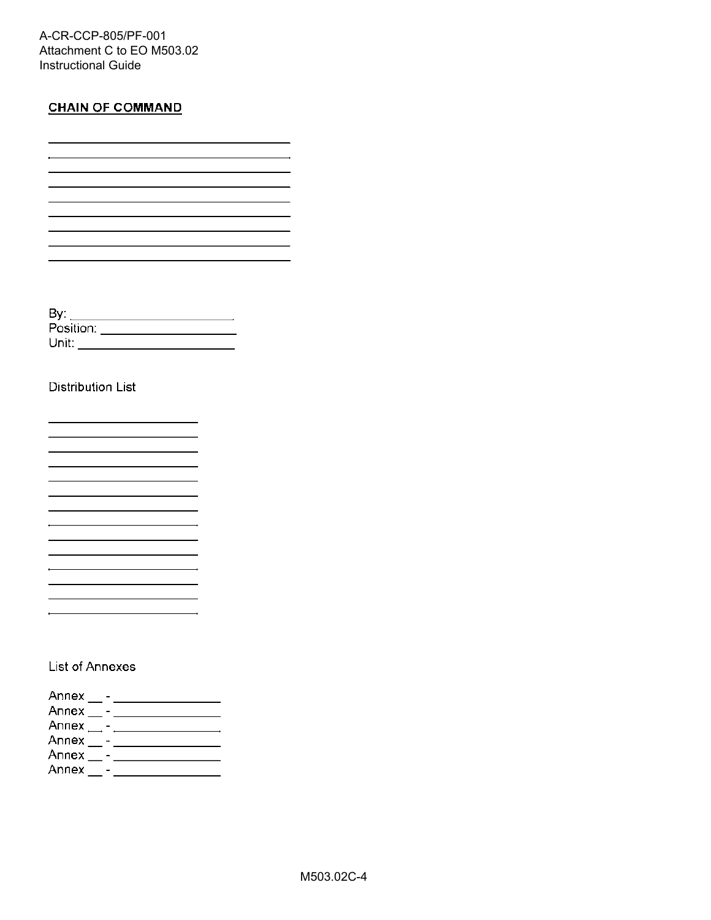# **CHAIN OF COMMAND**

Position: \_\_\_\_\_\_\_\_\_\_\_\_\_\_\_\_\_\_\_\_\_ 

<u> 1989 - Johann Barbara, martin a</u>

<u> 1990 - Johann Barbara, martx</u> <u> 1989 - Johann Barn, mars ann an t-Amhain Aonaich an t-Aonaich an t-Aonaich an t-Aonaich an t-Aonaich an t-Aon</u> <u> 1980 - Johann Barbara, martxa a</u>

<u> 1980 - Johann Barn, mars ann an t-Amhain Aonaich an t-Aonaich an t-Aonaich ann an t-Aonaich ann an t-Aonaich</u>

<u> 1989 - Johann Barbara, martxa a</u> <u> 1989 - Johann Barbara, martxa alemaniar a</u>

**Distribution List** 

List of Annexes

| Annex   |  |  |
|---------|--|--|
| Annex - |  |  |
| Annex   |  |  |
| Annex   |  |  |
| Annex   |  |  |
| Annex   |  |  |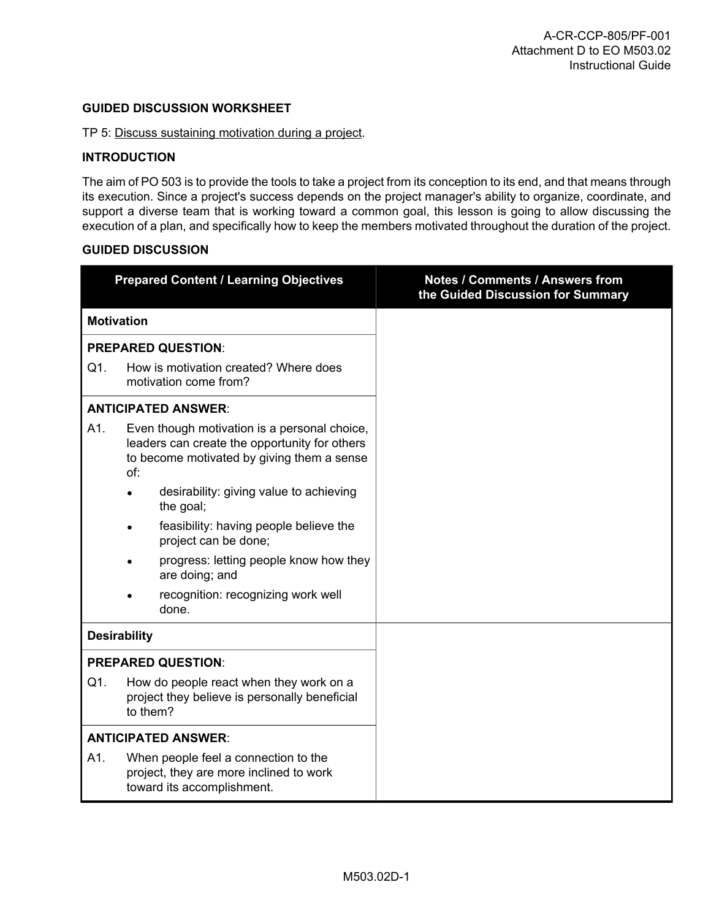# **GUIDED DISCUSSION WORKSHEET**

TP 5: Discuss sustaining motivation during a project.

# **INTRODUCTION**

The aim of PO 503 is to provide the tools to take a project from its conception to its end, and that means through its execution. Since a project's success depends on the project manager's ability to organize, coordinate, and support a diverse team that is working toward a common goal, this lesson is going to allow discussing the execution of a plan, and specifically how to keep the members motivated throughout the duration of the project.

# **GUIDED DISCUSSION**

|     | <b>Prepared Content / Learning Objectives</b>                                                                                                      | <b>Notes / Comments / Answers from</b><br>the Guided Discussion for Summary |
|-----|----------------------------------------------------------------------------------------------------------------------------------------------------|-----------------------------------------------------------------------------|
|     | <b>Motivation</b>                                                                                                                                  |                                                                             |
|     | <b>PREPARED QUESTION:</b>                                                                                                                          |                                                                             |
| Q1. | How is motivation created? Where does<br>motivation come from?                                                                                     |                                                                             |
|     | <b>ANTICIPATED ANSWER:</b>                                                                                                                         |                                                                             |
| A1. | Even though motivation is a personal choice,<br>leaders can create the opportunity for others<br>to become motivated by giving them a sense<br>of: |                                                                             |
|     | desirability: giving value to achieving<br>$\bullet$<br>the goal;                                                                                  |                                                                             |
|     | feasibility: having people believe the<br>project can be done;                                                                                     |                                                                             |
|     | progress: letting people know how they<br>are doing; and                                                                                           |                                                                             |
|     | recognition: recognizing work well<br>done.                                                                                                        |                                                                             |
|     | <b>Desirability</b>                                                                                                                                |                                                                             |
|     | <b>PREPARED QUESTION:</b>                                                                                                                          |                                                                             |
| Q1. | How do people react when they work on a<br>project they believe is personally beneficial<br>to them?                                               |                                                                             |
|     | <b>ANTICIPATED ANSWER:</b>                                                                                                                         |                                                                             |
| A1. | When people feel a connection to the<br>project, they are more inclined to work<br>toward its accomplishment.                                      |                                                                             |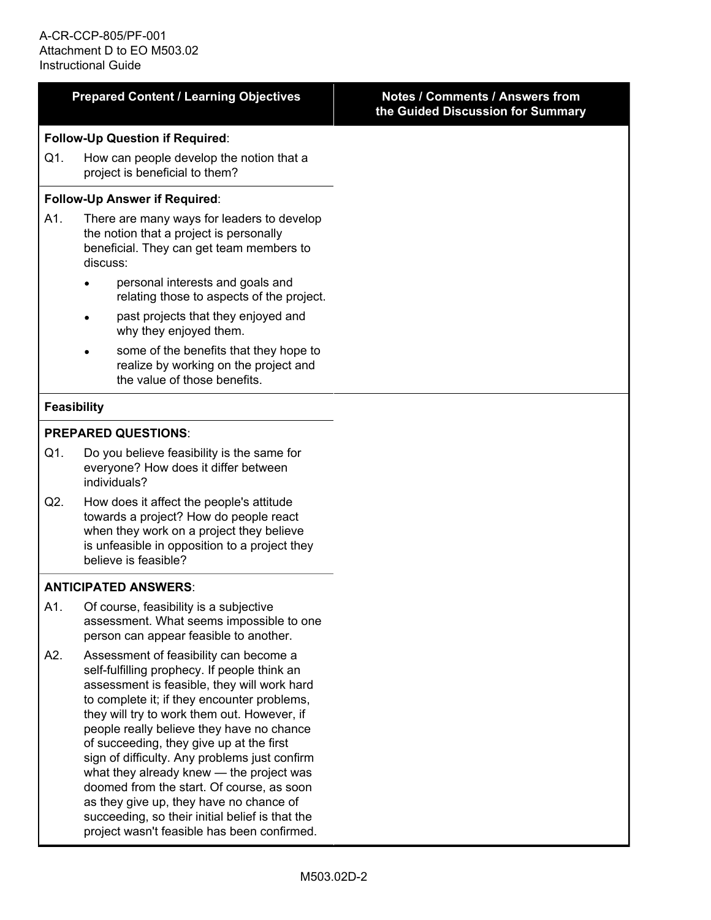|                    | <b>Prepared Content / Learning Objectives</b>                                                                                                                                                                                                                                                                                                                                                                                                                                                                                                                                                                       | <b>Notes / Comments / Answers from</b><br>the Guided Discussion for Summary |
|--------------------|---------------------------------------------------------------------------------------------------------------------------------------------------------------------------------------------------------------------------------------------------------------------------------------------------------------------------------------------------------------------------------------------------------------------------------------------------------------------------------------------------------------------------------------------------------------------------------------------------------------------|-----------------------------------------------------------------------------|
|                    | <b>Follow-Up Question if Required:</b>                                                                                                                                                                                                                                                                                                                                                                                                                                                                                                                                                                              |                                                                             |
| Q1.                | How can people develop the notion that a<br>project is beneficial to them?                                                                                                                                                                                                                                                                                                                                                                                                                                                                                                                                          |                                                                             |
|                    | <b>Follow-Up Answer if Required:</b>                                                                                                                                                                                                                                                                                                                                                                                                                                                                                                                                                                                |                                                                             |
| A1.                | There are many ways for leaders to develop<br>the notion that a project is personally<br>beneficial. They can get team members to<br>discuss:                                                                                                                                                                                                                                                                                                                                                                                                                                                                       |                                                                             |
|                    | personal interests and goals and<br>relating those to aspects of the project.                                                                                                                                                                                                                                                                                                                                                                                                                                                                                                                                       |                                                                             |
|                    | past projects that they enjoyed and<br>$\bullet$<br>why they enjoyed them.                                                                                                                                                                                                                                                                                                                                                                                                                                                                                                                                          |                                                                             |
|                    | some of the benefits that they hope to<br>realize by working on the project and<br>the value of those benefits.                                                                                                                                                                                                                                                                                                                                                                                                                                                                                                     |                                                                             |
| <b>Feasibility</b> |                                                                                                                                                                                                                                                                                                                                                                                                                                                                                                                                                                                                                     |                                                                             |
|                    | <b>PREPARED QUESTIONS:</b>                                                                                                                                                                                                                                                                                                                                                                                                                                                                                                                                                                                          |                                                                             |
| Q1.                | Do you believe feasibility is the same for<br>everyone? How does it differ between<br>individuals?                                                                                                                                                                                                                                                                                                                                                                                                                                                                                                                  |                                                                             |
| Q2.                | How does it affect the people's attitude<br>towards a project? How do people react<br>when they work on a project they believe<br>is unfeasible in opposition to a project they<br>believe is feasible?                                                                                                                                                                                                                                                                                                                                                                                                             |                                                                             |
|                    | <b>ANTICIPATED ANSWERS:</b>                                                                                                                                                                                                                                                                                                                                                                                                                                                                                                                                                                                         |                                                                             |
| A1.                | Of course, feasibility is a subjective<br>assessment. What seems impossible to one<br>person can appear feasible to another.                                                                                                                                                                                                                                                                                                                                                                                                                                                                                        |                                                                             |
| A2.                | Assessment of feasibility can become a<br>self-fulfilling prophecy. If people think an<br>assessment is feasible, they will work hard<br>to complete it; if they encounter problems,<br>they will try to work them out. However, if<br>people really believe they have no chance<br>of succeeding, they give up at the first<br>sign of difficulty. Any problems just confirm<br>what they already knew - the project was<br>doomed from the start. Of course, as soon<br>as they give up, they have no chance of<br>succeeding, so their initial belief is that the<br>project wasn't feasible has been confirmed. |                                                                             |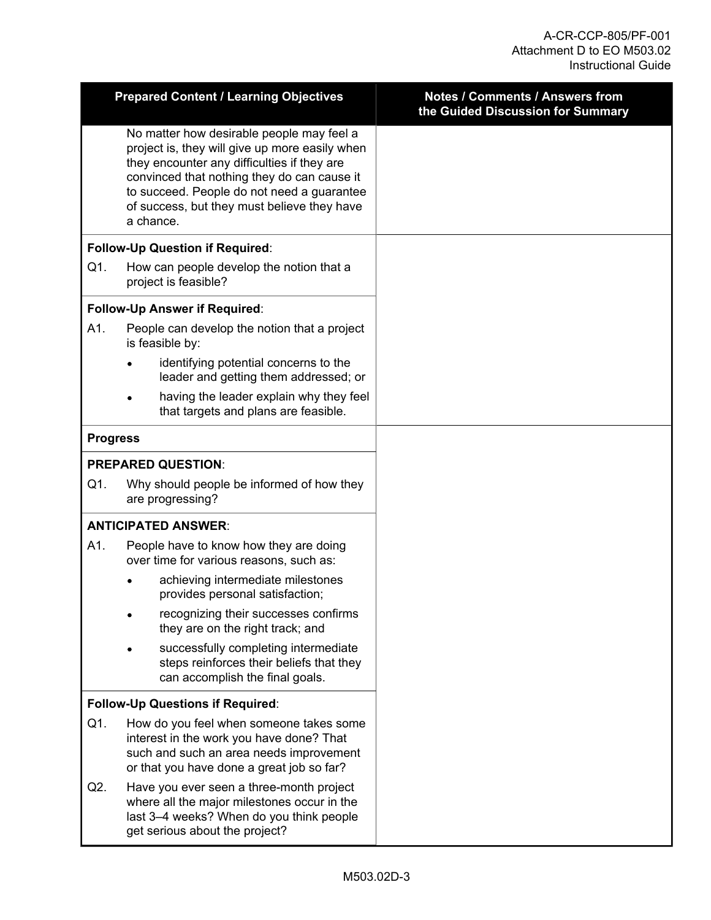|                 | <b>Prepared Content / Learning Objectives</b>                                                                                                                                                                                                                                                       | <b>Notes / Comments / Answers from</b><br>the Guided Discussion for Summary |
|-----------------|-----------------------------------------------------------------------------------------------------------------------------------------------------------------------------------------------------------------------------------------------------------------------------------------------------|-----------------------------------------------------------------------------|
|                 | No matter how desirable people may feel a<br>project is, they will give up more easily when<br>they encounter any difficulties if they are<br>convinced that nothing they do can cause it<br>to succeed. People do not need a guarantee<br>of success, but they must believe they have<br>a chance. |                                                                             |
|                 | <b>Follow-Up Question if Required:</b>                                                                                                                                                                                                                                                              |                                                                             |
| Q1.             | How can people develop the notion that a<br>project is feasible?                                                                                                                                                                                                                                    |                                                                             |
|                 | <b>Follow-Up Answer if Required:</b>                                                                                                                                                                                                                                                                |                                                                             |
| A1.             | People can develop the notion that a project<br>is feasible by:                                                                                                                                                                                                                                     |                                                                             |
|                 | identifying potential concerns to the<br>leader and getting them addressed; or                                                                                                                                                                                                                      |                                                                             |
|                 | having the leader explain why they feel<br>that targets and plans are feasible.                                                                                                                                                                                                                     |                                                                             |
| <b>Progress</b> |                                                                                                                                                                                                                                                                                                     |                                                                             |
|                 | <b>PREPARED QUESTION:</b>                                                                                                                                                                                                                                                                           |                                                                             |
| Q1.             | Why should people be informed of how they<br>are progressing?                                                                                                                                                                                                                                       |                                                                             |
|                 | <b>ANTICIPATED ANSWER:</b>                                                                                                                                                                                                                                                                          |                                                                             |
| A1.             | People have to know how they are doing<br>over time for various reasons, such as:                                                                                                                                                                                                                   |                                                                             |
|                 | achieving intermediate milestones<br>provides personal satisfaction;                                                                                                                                                                                                                                |                                                                             |
|                 | recognizing their successes confirms<br>they are on the right track; and                                                                                                                                                                                                                            |                                                                             |
|                 | successfully completing intermediate<br>steps reinforces their beliefs that they<br>can accomplish the final goals.                                                                                                                                                                                 |                                                                             |
|                 | <b>Follow-Up Questions if Required:</b>                                                                                                                                                                                                                                                             |                                                                             |
| Q1.             | How do you feel when someone takes some<br>interest in the work you have done? That<br>such and such an area needs improvement<br>or that you have done a great job so far?                                                                                                                         |                                                                             |
| Q2.             | Have you ever seen a three-month project<br>where all the major milestones occur in the<br>last 3-4 weeks? When do you think people<br>get serious about the project?                                                                                                                               |                                                                             |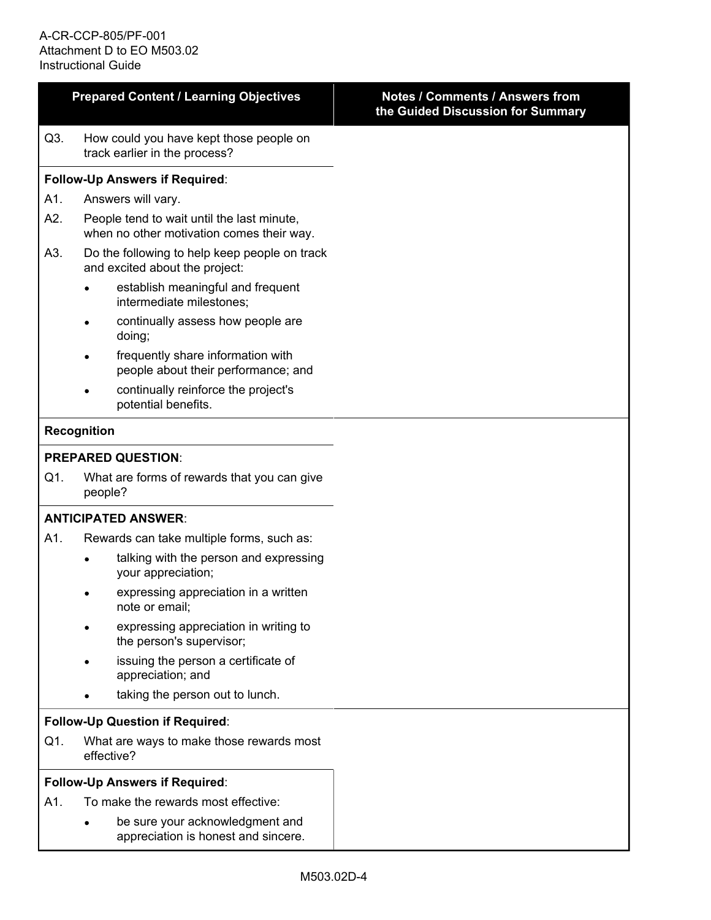| <b>Prepared Content / Learning Objectives</b>                 |                                                                                         | <b>Notes / Comments / Answers from</b><br>the Guided Discussion for Summary |
|---------------------------------------------------------------|-----------------------------------------------------------------------------------------|-----------------------------------------------------------------------------|
| Q3.                                                           | How could you have kept those people on<br>track earlier in the process?                |                                                                             |
|                                                               | <b>Follow-Up Answers if Required:</b>                                                   |                                                                             |
| A1.                                                           | Answers will vary.                                                                      |                                                                             |
| A2.                                                           | People tend to wait until the last minute,<br>when no other motivation comes their way. |                                                                             |
| A3.                                                           | Do the following to help keep people on track<br>and excited about the project:         |                                                                             |
|                                                               | establish meaningful and frequent<br>intermediate milestones;                           |                                                                             |
|                                                               | continually assess how people are<br>doing;                                             |                                                                             |
|                                                               | frequently share information with<br>people about their performance; and                |                                                                             |
|                                                               | continually reinforce the project's<br>potential benefits.                              |                                                                             |
|                                                               | <b>Recognition</b>                                                                      |                                                                             |
|                                                               | <b>PREPARED QUESTION:</b>                                                               |                                                                             |
| Q1.                                                           | What are forms of rewards that you can give<br>people?                                  |                                                                             |
|                                                               | <b>ANTICIPATED ANSWER:</b>                                                              |                                                                             |
| A1.                                                           | Rewards can take multiple forms, such as:                                               |                                                                             |
|                                                               | talking with the person and expressing<br>your appreciation;                            |                                                                             |
|                                                               | expressing appreciation in a written<br>note or email;                                  |                                                                             |
|                                                               | expressing appreciation in writing to<br>the person's supervisor;                       |                                                                             |
|                                                               | issuing the person a certificate of<br>appreciation; and                                |                                                                             |
|                                                               | taking the person out to lunch.                                                         |                                                                             |
|                                                               | <b>Follow-Up Question if Required:</b>                                                  |                                                                             |
| What are ways to make those rewards most<br>Q1.<br>effective? |                                                                                         |                                                                             |
| <b>Follow-Up Answers if Required:</b>                         |                                                                                         |                                                                             |
| A1.                                                           | To make the rewards most effective:                                                     |                                                                             |
|                                                               | be sure your acknowledgment and<br>appreciation is honest and sincere.                  |                                                                             |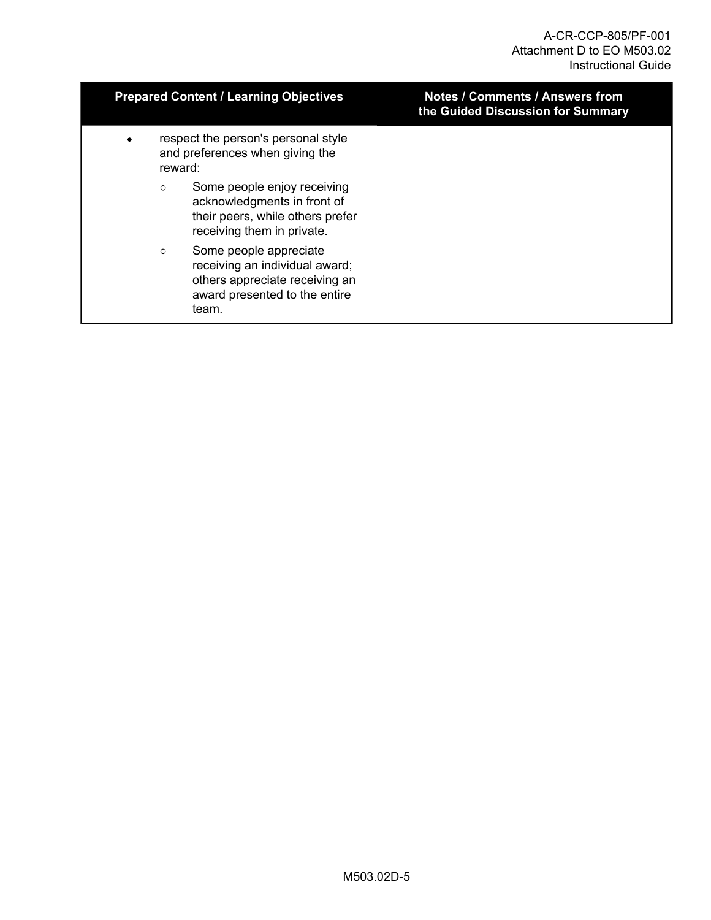| <b>Prepared Content / Learning Objectives</b>                                                                                                   | <b>Notes / Comments / Answers from</b><br>the Guided Discussion for Summary |
|-------------------------------------------------------------------------------------------------------------------------------------------------|-----------------------------------------------------------------------------|
| respect the person's personal style<br>and preferences when giving the<br>reward:                                                               |                                                                             |
| Some people enjoy receiving<br>$\circ$<br>acknowledgments in front of<br>their peers, while others prefer<br>receiving them in private.         |                                                                             |
| Some people appreciate<br>$\circ$<br>receiving an individual award;<br>others appreciate receiving an<br>award presented to the entire<br>team. |                                                                             |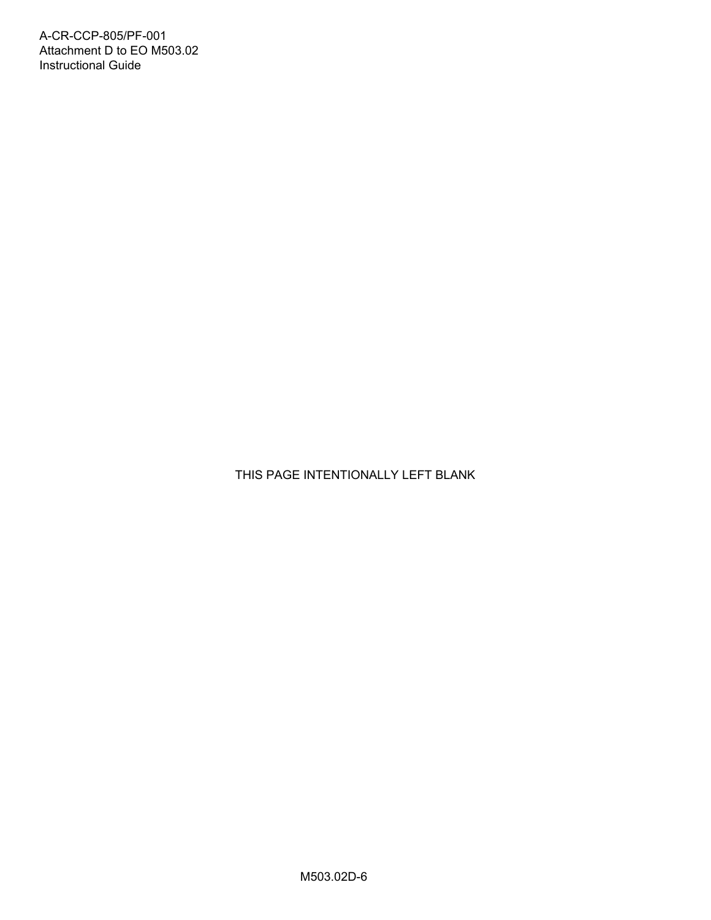THIS PAGE INTENTIONALLY LEFT BLANK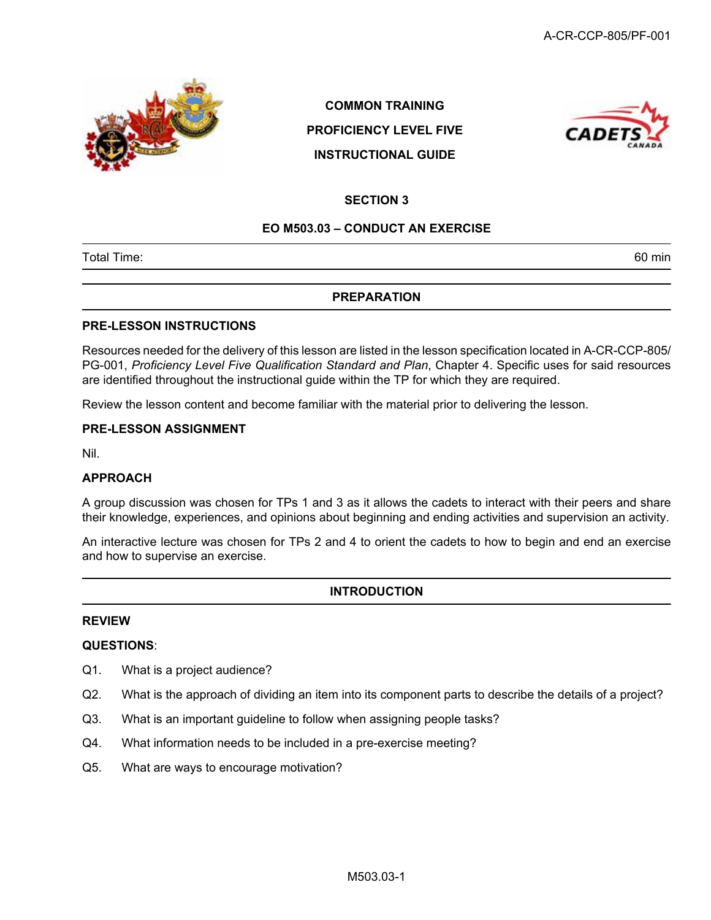

**COMMON TRAINING PROFICIENCY LEVEL FIVE INSTRUCTIONAL GUIDE**



# **SECTION 3**

#### **EO M503.03 – CONDUCT AN EXERCISE**

Total Time: 60 min

## **PREPARATION**

#### **PRE-LESSON INSTRUCTIONS**

Resources needed for the delivery of this lesson are listed in the lesson specification located in A-CR-CCP-805/ PG-001, *Proficiency Level Five Qualification Standard and Plan*, Chapter 4. Specific uses for said resources are identified throughout the instructional guide within the TP for which they are required.

Review the lesson content and become familiar with the material prior to delivering the lesson.

#### **PRE-LESSON ASSIGNMENT**

Nil.

#### **APPROACH**

A group discussion was chosen for TPs 1 and 3 as it allows the cadets to interact with their peers and share their knowledge, experiences, and opinions about beginning and ending activities and supervision an activity.

An interactive lecture was chosen for TPs 2 and 4 to orient the cadets to how to begin and end an exercise and how to supervise an exercise.

## **INTRODUCTION**

#### **REVIEW**

#### **QUESTIONS**:

- Q1. What is a project audience?
- Q2. What is the approach of dividing an item into its component parts to describe the details of a project?
- Q3. What is an important guideline to follow when assigning people tasks?
- Q4. What information needs to be included in a pre-exercise meeting?
- Q5. What are ways to encourage motivation?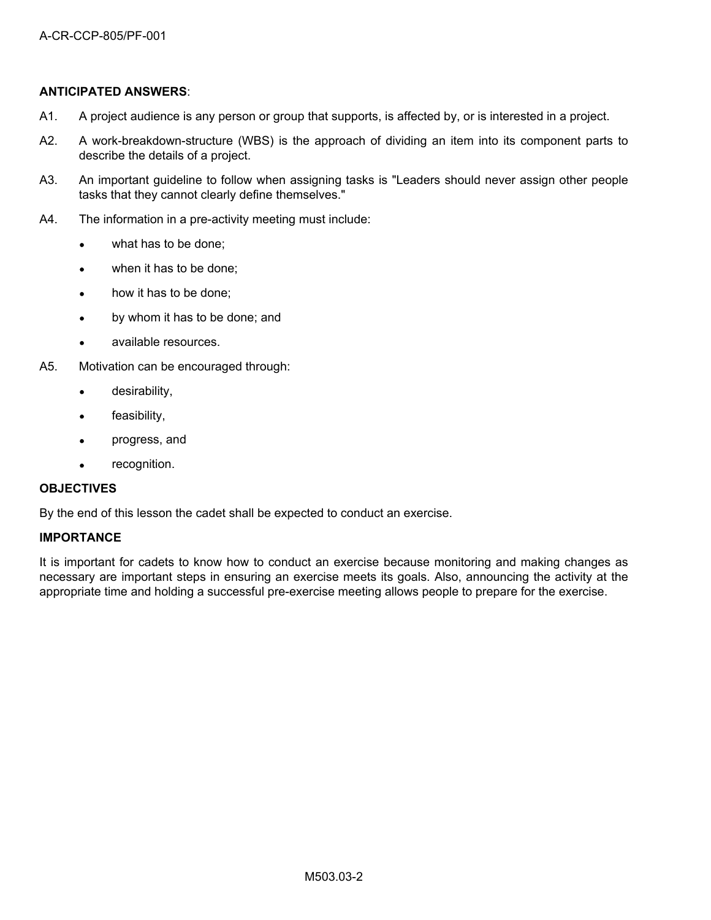# **ANTICIPATED ANSWERS**:

- A1. A project audience is any person or group that supports, is affected by, or is interested in a project.
- A2. A work-breakdown-structure (WBS) is the approach of dividing an item into its component parts to describe the details of a project.
- A3. An important guideline to follow when assigning tasks is "Leaders should never assign other people tasks that they cannot clearly define themselves."
- A4. The information in a pre-activity meeting must include:
	- what has to be done;
	- when it has to be done;  $\bullet$
	- how it has to be done;  $\ddot{\phantom{a}}$
	- by whom it has to be done; and  $\bullet$
	- available resources.  $\bullet$
- A5. Motivation can be encouraged through:
	- desirability,  $\bullet$
	- feasibility,  $\bullet$
	- progress, and  $\bullet$
	- recognition.  $\bullet$

## **OBJECTIVES**

By the end of this lesson the cadet shall be expected to conduct an exercise.

## **IMPORTANCE**

It is important for cadets to know how to conduct an exercise because monitoring and making changes as necessary are important steps in ensuring an exercise meets its goals. Also, announcing the activity at the appropriate time and holding a successful pre-exercise meeting allows people to prepare for the exercise.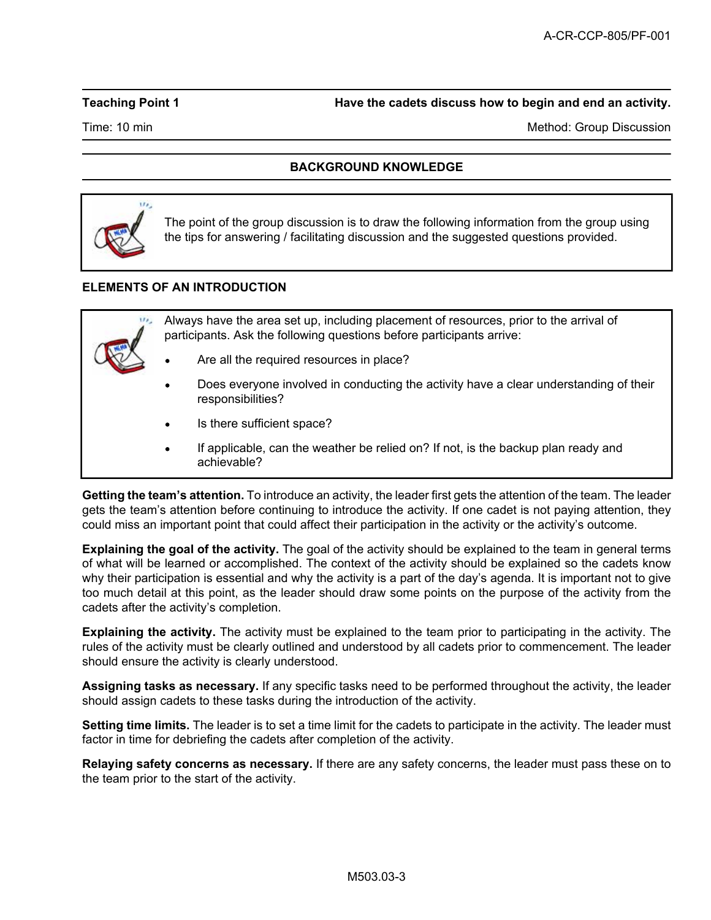# **Teaching Point 1 Have the cadets discuss how to begin and end an activity.**

Time: 10 min Method: Group Discussion Method: Group Discussion

# **BACKGROUND KNOWLEDGE**



The point of the group discussion is to draw the following information from the group using the tips for answering / facilitating discussion and the suggested questions provided.

# **ELEMENTS OF AN INTRODUCTION**

Always have the area set up, including placement of resources, prior to the arrival of participants. Ask the following questions before participants arrive: Are all the required resources in place? Does everyone involved in conducting the activity have a clear understanding of their responsibilities? Is there sufficient space? If applicable, can the weather be relied on? If not, is the backup plan ready and achievable?

**Getting the team's attention.** To introduce an activity, the leader first gets the attention of the team. The leader gets the team's attention before continuing to introduce the activity. If one cadet is not paying attention, they could miss an important point that could affect their participation in the activity or the activity's outcome.

**Explaining the goal of the activity.** The goal of the activity should be explained to the team in general terms of what will be learned or accomplished. The context of the activity should be explained so the cadets know why their participation is essential and why the activity is a part of the day's agenda. It is important not to give too much detail at this point, as the leader should draw some points on the purpose of the activity from the cadets after the activity's completion.

**Explaining the activity.** The activity must be explained to the team prior to participating in the activity. The rules of the activity must be clearly outlined and understood by all cadets prior to commencement. The leader should ensure the activity is clearly understood.

**Assigning tasks as necessary.** If any specific tasks need to be performed throughout the activity, the leader should assign cadets to these tasks during the introduction of the activity.

**Setting time limits.** The leader is to set a time limit for the cadets to participate in the activity. The leader must factor in time for debriefing the cadets after completion of the activity.

**Relaying safety concerns as necessary.** If there are any safety concerns, the leader must pass these on to the team prior to the start of the activity.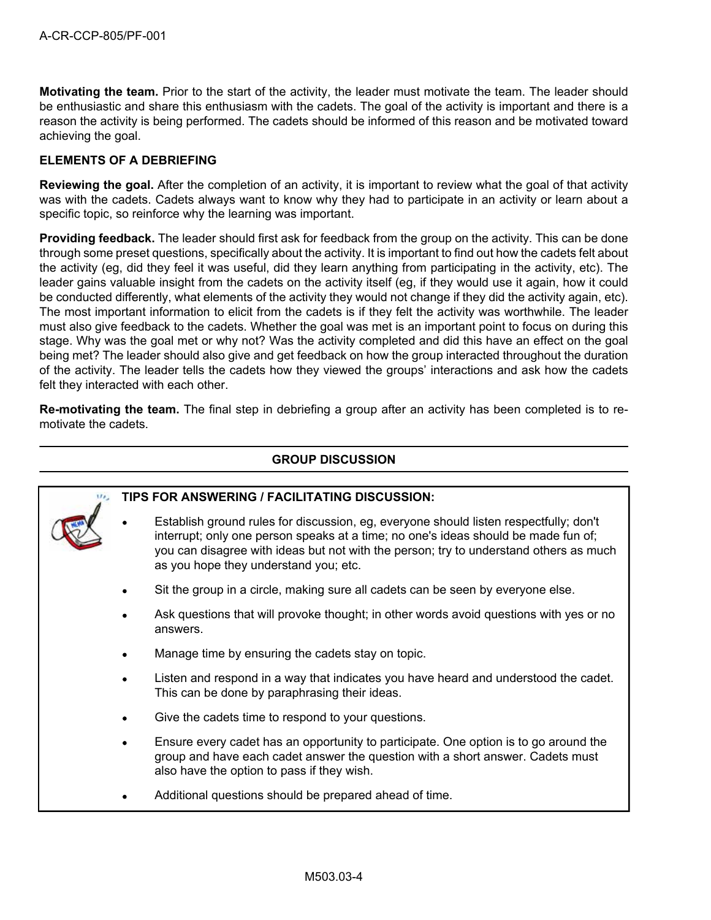**Motivating the team.** Prior to the start of the activity, the leader must motivate the team. The leader should be enthusiastic and share this enthusiasm with the cadets. The goal of the activity is important and there is a reason the activity is being performed. The cadets should be informed of this reason and be motivated toward achieving the goal.

# **ELEMENTS OF A DEBRIEFING**

**Reviewing the goal.** After the completion of an activity, it is important to review what the goal of that activity was with the cadets. Cadets always want to know why they had to participate in an activity or learn about a specific topic, so reinforce why the learning was important.

**Providing feedback.** The leader should first ask for feedback from the group on the activity. This can be done through some preset questions, specifically about the activity. It is important to find out how the cadets felt about the activity (eg, did they feel it was useful, did they learn anything from participating in the activity, etc). The leader gains valuable insight from the cadets on the activity itself (eg, if they would use it again, how it could be conducted differently, what elements of the activity they would not change if they did the activity again, etc). The most important information to elicit from the cadets is if they felt the activity was worthwhile. The leader must also give feedback to the cadets. Whether the goal was met is an important point to focus on during this stage. Why was the goal met or why not? Was the activity completed and did this have an effect on the goal being met? The leader should also give and get feedback on how the group interacted throughout the duration of the activity. The leader tells the cadets how they viewed the groups' interactions and ask how the cadets felt they interacted with each other.

**Re-motivating the team.** The final step in debriefing a group after an activity has been completed is to remotivate the cadets.

# **GROUP DISCUSSION**

## **TIPS FOR ANSWERING / FACILITATING DISCUSSION:**

- Establish ground rules for discussion, eg, everyone should listen respectfully; don't interrupt; only one person speaks at a time; no one's ideas should be made fun of; you can disagree with ideas but not with the person; try to understand others as much as you hope they understand you; etc.
- Sit the group in a circle, making sure all cadets can be seen by everyone else.  $\bullet$
- Ask questions that will provoke thought; in other words avoid questions with yes or no  $\bullet$ answers.
- Manage time by ensuring the cadets stay on topic.  $\bullet$
- Listen and respond in a way that indicates you have heard and understood the cadet.  $\bullet$ This can be done by paraphrasing their ideas.
- Give the cadets time to respond to your questions.  $\bullet$
- Ensure every cadet has an opportunity to participate. One option is to go around the  $\bullet$ group and have each cadet answer the question with a short answer. Cadets must also have the option to pass if they wish.
- Additional questions should be prepared ahead of time. $\bullet$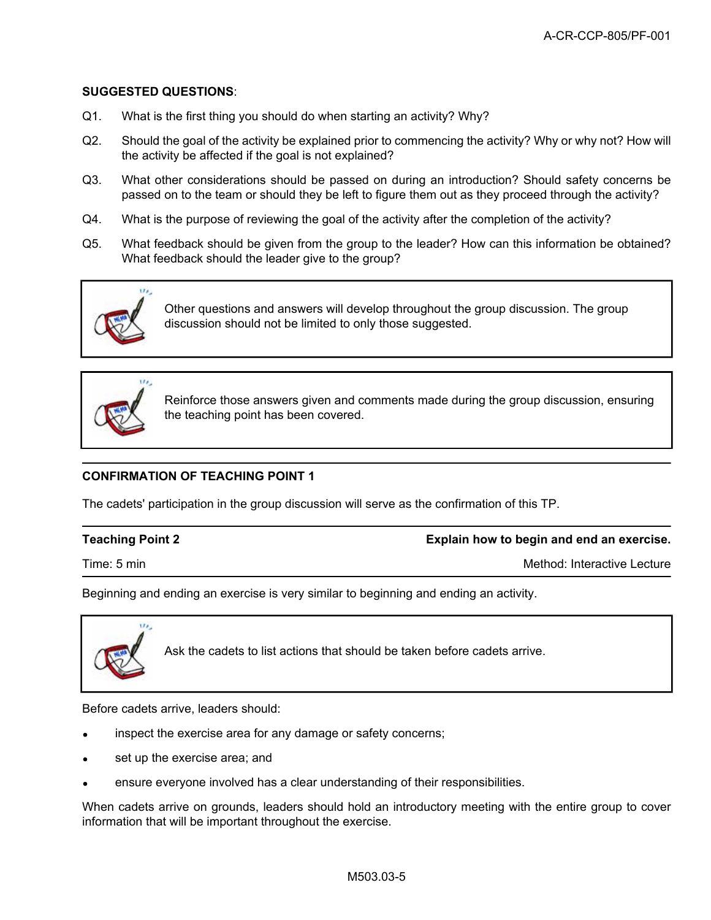#### **SUGGESTED QUESTIONS**:

- Q1. What is the first thing you should do when starting an activity? Why?
- Q2. Should the goal of the activity be explained prior to commencing the activity? Why or why not? How will the activity be affected if the goal is not explained?
- Q3. What other considerations should be passed on during an introduction? Should safety concerns be passed on to the team or should they be left to figure them out as they proceed through the activity?
- Q4. What is the purpose of reviewing the goal of the activity after the completion of the activity?
- Q5. What feedback should be given from the group to the leader? How can this information be obtained? What feedback should the leader give to the group?



Other questions and answers will develop throughout the group discussion. The group discussion should not be limited to only those suggested.



Reinforce those answers given and comments made during the group discussion, ensuring the teaching point has been covered.

## **CONFIRMATION OF TEACHING POINT 1**

The cadets' participation in the group discussion will serve as the confirmation of this TP.

**Teaching Point 2 Explain how to begin and end an exercise.**

Time: 5 min Method: Interactive Lecture Company of Time: 5 min Method: Interactive Lecture

Beginning and ending an exercise is very similar to beginning and ending an activity.



Ask the cadets to list actions that should be taken before cadets arrive.

Before cadets arrive, leaders should:

- inspect the exercise area for any damage or safety concerns;
- set up the exercise area; and
- ensure everyone involved has a clear understanding of their responsibilities.

When cadets arrive on grounds, leaders should hold an introductory meeting with the entire group to cover information that will be important throughout the exercise.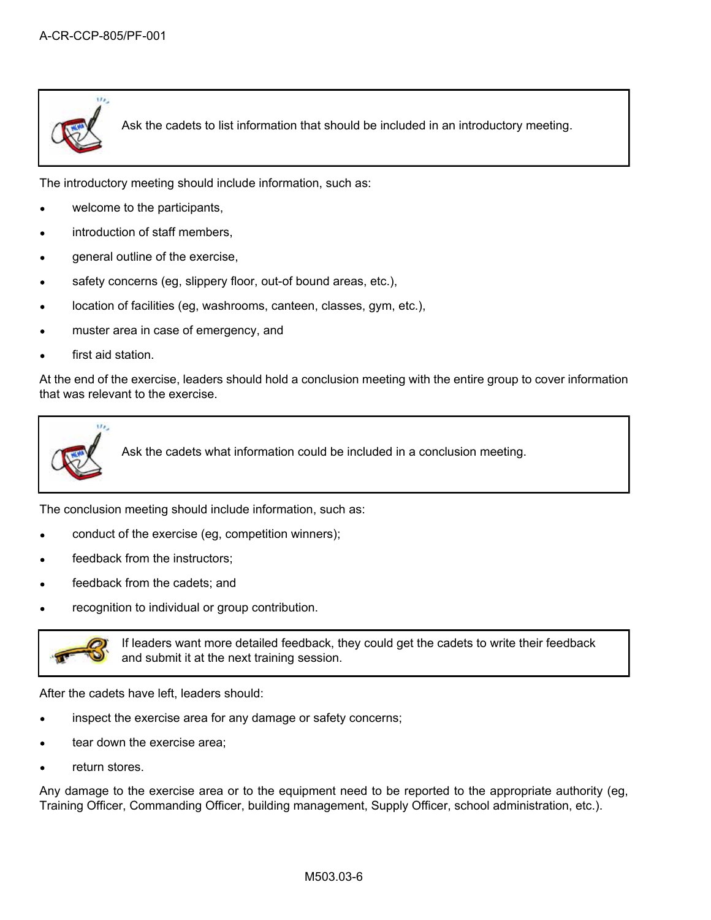

Ask the cadets to list information that should be included in an introductory meeting.

The introductory meeting should include information, such as:

- welcome to the participants,
- introduction of staff members,
- general outline of the exercise,
- safety concerns (eg, slippery floor, out-of bound areas, etc.),
- location of facilities (eg, washrooms, canteen, classes, gym, etc.),
- muster area in case of emergency, and
- first aid station.

At the end of the exercise, leaders should hold a conclusion meeting with the entire group to cover information that was relevant to the exercise.



Ask the cadets what information could be included in a conclusion meeting.

The conclusion meeting should include information, such as:

- conduct of the exercise (eg, competition winners);
- feedback from the instructors;
- feedback from the cadets; and
- recognition to individual or group contribution.



If leaders want more detailed feedback, they could get the cadets to write their feedback and submit it at the next training session.

After the cadets have left, leaders should:

- inspect the exercise area for any damage or safety concerns;
- tear down the exercise area;
- return stores.

Any damage to the exercise area or to the equipment need to be reported to the appropriate authority (eg, Training Officer, Commanding Officer, building management, Supply Officer, school administration, etc.).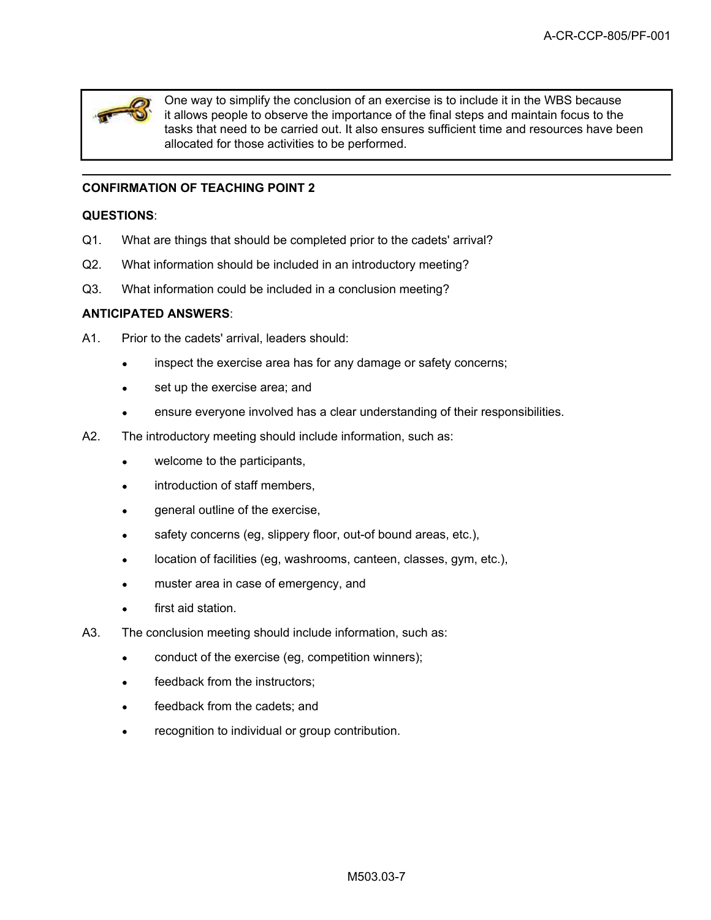

One way to simplify the conclusion of an exercise is to include it in the WBS because it allows people to observe the importance of the final steps and maintain focus to the tasks that need to be carried out. It also ensures sufficient time and resources have been allocated for those activities to be performed.

# **CONFIRMATION OF TEACHING POINT 2**

#### **QUESTIONS**:

- Q1. What are things that should be completed prior to the cadets' arrival?
- Q2. What information should be included in an introductory meeting?
- Q3. What information could be included in a conclusion meeting?

#### **ANTICIPATED ANSWERS**:

- A1. Prior to the cadets' arrival, leaders should:
	- inspect the exercise area has for any damage or safety concerns;  $\bullet$
	- $\bullet$ set up the exercise area; and
	- ensure everyone involved has a clear understanding of their responsibilities.  $\bullet$
- A2. The introductory meeting should include information, such as:
	- welcome to the participants,  $\bullet$
	- introduction of staff members,  $\bullet$
	- general outline of the exercise,  $\bullet$
	- safety concerns (eg, slippery floor, out-of bound areas, etc.),  $\bullet$
	- location of facilities (eg, washrooms, canteen, classes, gym, etc.),  $\bullet$
	- muster area in case of emergency, and  $\bullet$
	- first aid station.  $\bullet$
- A3. The conclusion meeting should include information, such as:
	- conduct of the exercise (eg, competition winners);  $\bullet$
	- feedback from the instructors;  $\bullet$
	- feedback from the cadets; and  $\bullet$
	- recognition to individual or group contribution. $\bullet$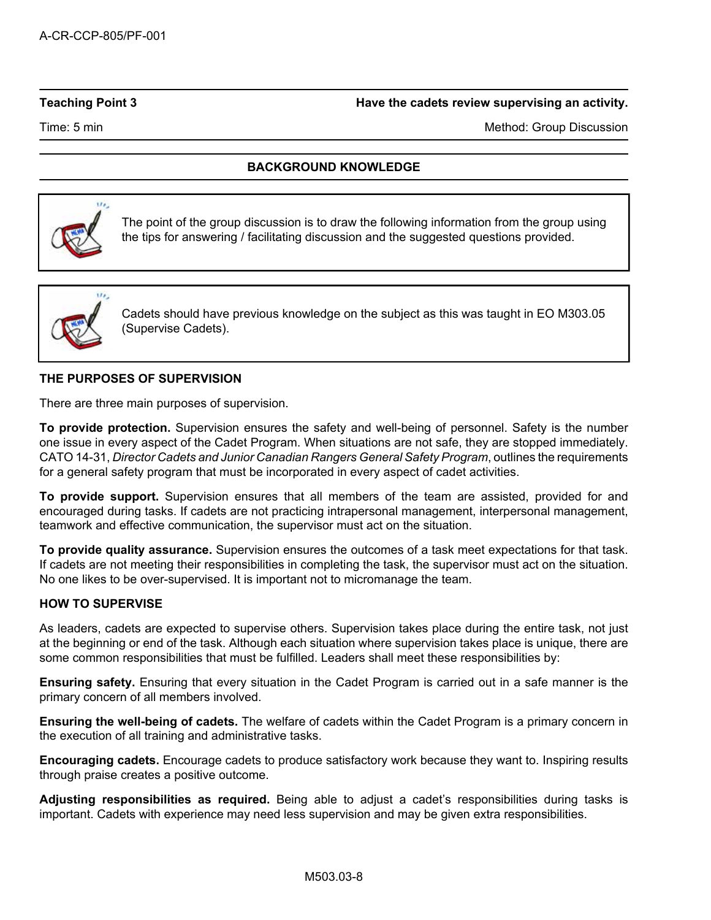#### **Teaching Point 3 Have the cadets review supervising an activity.**

Time: 5 min Method: Group Discussion and Method: Group Discussion

# **BACKGROUND KNOWLEDGE**



The point of the group discussion is to draw the following information from the group using the tips for answering / facilitating discussion and the suggested questions provided.



Cadets should have previous knowledge on the subject as this was taught in EO M303.05 (Supervise Cadets).

## **THE PURPOSES OF SUPERVISION**

There are three main purposes of supervision.

**To provide protection.** Supervision ensures the safety and well-being of personnel. Safety is the number one issue in every aspect of the Cadet Program. When situations are not safe, they are stopped immediately. CATO 14-31, *Director Cadets and Junior Canadian Rangers General Safety Program*, outlines the requirements for a general safety program that must be incorporated in every aspect of cadet activities.

**To provide support.** Supervision ensures that all members of the team are assisted, provided for and encouraged during tasks. If cadets are not practicing intrapersonal management, interpersonal management, teamwork and effective communication, the supervisor must act on the situation.

**To provide quality assurance.** Supervision ensures the outcomes of a task meet expectations for that task. If cadets are not meeting their responsibilities in completing the task, the supervisor must act on the situation. No one likes to be over-supervised. It is important not to micromanage the team.

## **HOW TO SUPERVISE**

As leaders, cadets are expected to supervise others. Supervision takes place during the entire task, not just at the beginning or end of the task. Although each situation where supervision takes place is unique, there are some common responsibilities that must be fulfilled. Leaders shall meet these responsibilities by:

**Ensuring safety.** Ensuring that every situation in the Cadet Program is carried out in a safe manner is the primary concern of all members involved.

**Ensuring the well-being of cadets.** The welfare of cadets within the Cadet Program is a primary concern in the execution of all training and administrative tasks.

**Encouraging cadets.** Encourage cadets to produce satisfactory work because they want to. Inspiring results through praise creates a positive outcome.

**Adjusting responsibilities as required.** Being able to adjust a cadet's responsibilities during tasks is important. Cadets with experience may need less supervision and may be given extra responsibilities.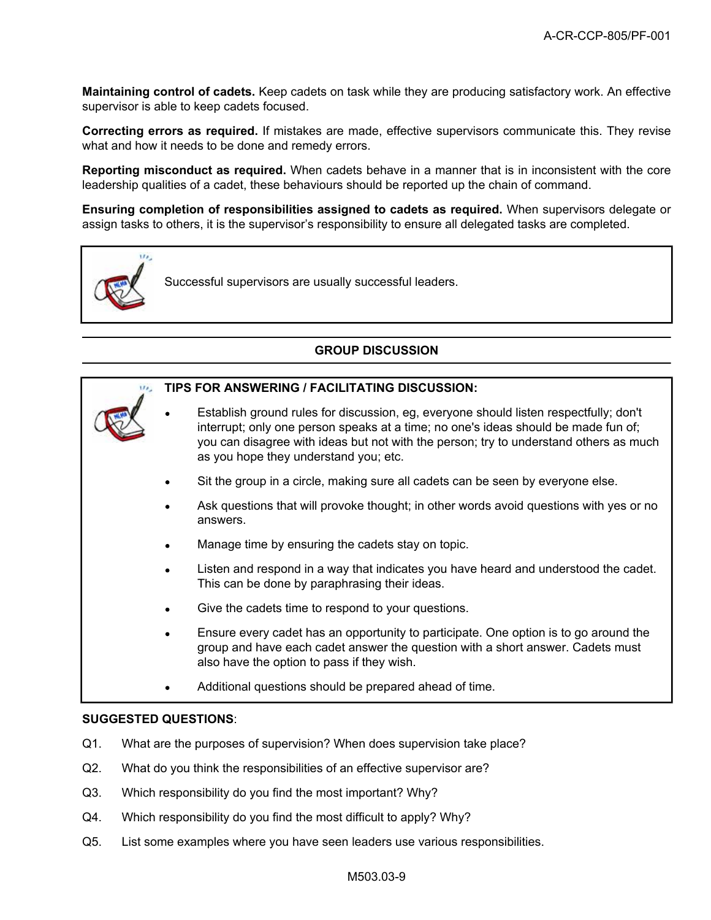**Maintaining control of cadets.** Keep cadets on task while they are producing satisfactory work. An effective supervisor is able to keep cadets focused.

**Correcting errors as required.** If mistakes are made, effective supervisors communicate this. They revise what and how it needs to be done and remedy errors.

**Reporting misconduct as required.** When cadets behave in a manner that is in inconsistent with the core leadership qualities of a cadet, these behaviours should be reported up the chain of command.

**Ensuring completion of responsibilities assigned to cadets as required.** When supervisors delegate or assign tasks to others, it is the supervisor's responsibility to ensure all delegated tasks are completed.



Successful supervisors are usually successful leaders.

# **GROUP DISCUSSION**



#### **SUGGESTED QUESTIONS**:

- Q1. What are the purposes of supervision? When does supervision take place?
- Q2. What do you think the responsibilities of an effective supervisor are?
- Q3. Which responsibility do you find the most important? Why?
- Q4. Which responsibility do you find the most difficult to apply? Why?
- Q5. List some examples where you have seen leaders use various responsibilities.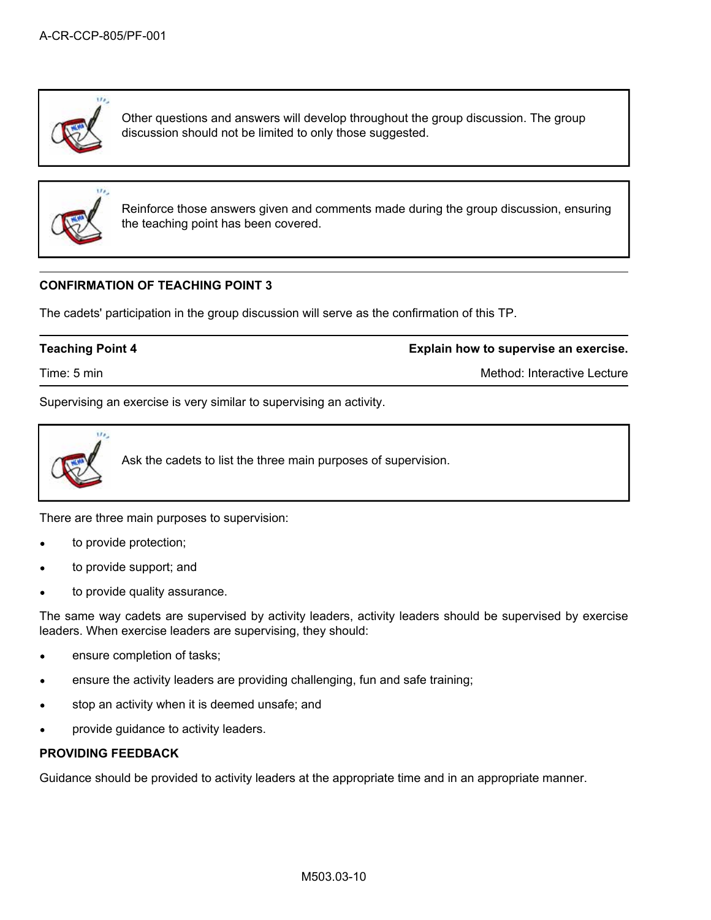

Other questions and answers will develop throughout the group discussion. The group discussion should not be limited to only those suggested.



Reinforce those answers given and comments made during the group discussion, ensuring the teaching point has been covered.

# **CONFIRMATION OF TEACHING POINT 3**

The cadets' participation in the group discussion will serve as the confirmation of this TP.

**Teaching Point 4 Explain how to supervise an exercise.**

Time: 5 min Method: Interactive Lecture Company of Time: 5 min Method: Interactive Lecture

Supervising an exercise is very similar to supervising an activity.



Ask the cadets to list the three main purposes of supervision.

There are three main purposes to supervision:

- to provide protection;
- to provide support; and
- to provide quality assurance.

The same way cadets are supervised by activity leaders, activity leaders should be supervised by exercise leaders. When exercise leaders are supervising, they should:

- ensure completion of tasks;
- ensure the activity leaders are providing challenging, fun and safe training;
- stop an activity when it is deemed unsafe; and
- provide guidance to activity leaders.

#### **PROVIDING FEEDBACK**

Guidance should be provided to activity leaders at the appropriate time and in an appropriate manner.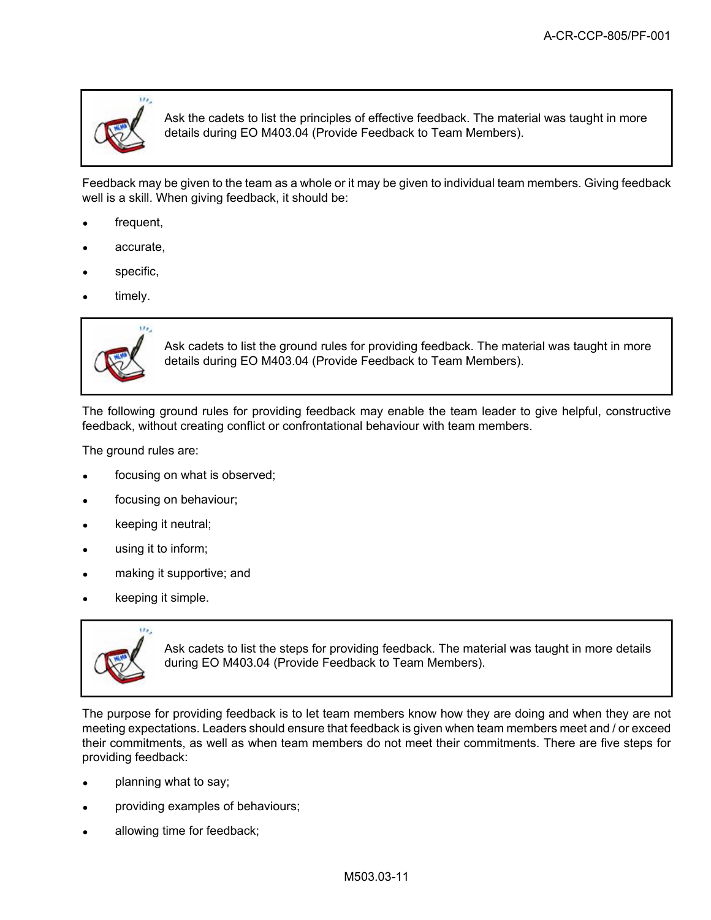

Ask the cadets to list the principles of effective feedback. The material was taught in more details during EO M403.04 (Provide Feedback to Team Members).

Feedback may be given to the team as a whole or it may be given to individual team members. Giving feedback well is a skill. When giving feedback, it should be:

- frequent,
- accurate,
- specific,
- timely.



Ask cadets to list the ground rules for providing feedback. The material was taught in more details during EO M403.04 (Provide Feedback to Team Members).

The following ground rules for providing feedback may enable the team leader to give helpful, constructive feedback, without creating conflict or confrontational behaviour with team members.

The ground rules are:

- focusing on what is observed;
- focusing on behaviour;
- keeping it neutral;
- using it to inform;
- making it supportive; and
- keeping it simple.



Ask cadets to list the steps for providing feedback. The material was taught in more details during EO M403.04 (Provide Feedback to Team Members).

The purpose for providing feedback is to let team members know how they are doing and when they are not meeting expectations. Leaders should ensure that feedback is given when team members meet and / or exceed their commitments, as well as when team members do not meet their commitments. There are five steps for providing feedback:

- planning what to say;
- providing examples of behaviours;
- allowing time for feedback;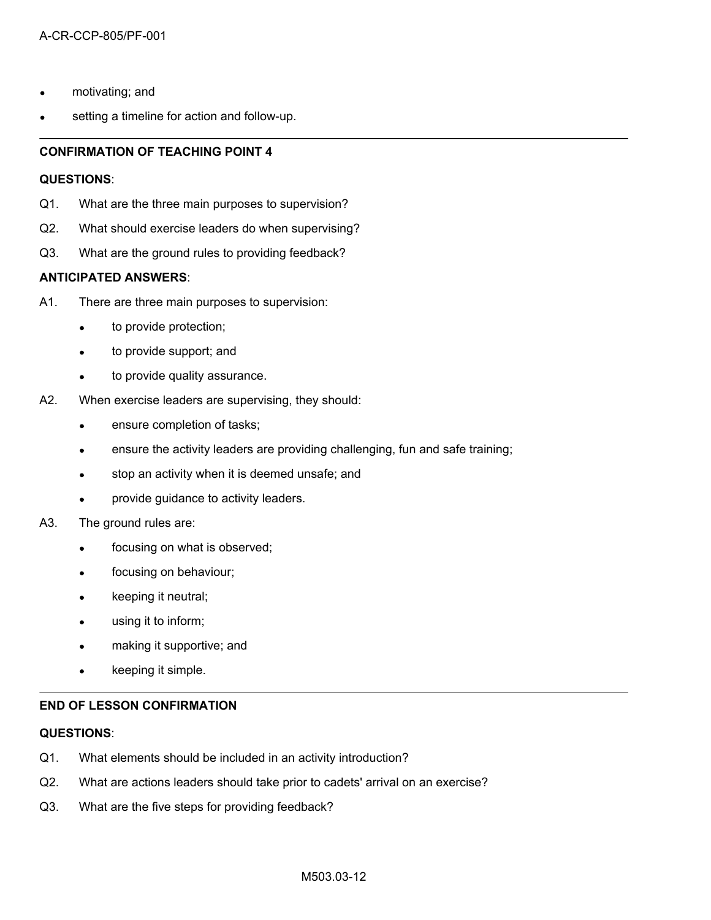- motivating; and  $\bullet$
- setting a timeline for action and follow-up.

# **CONFIRMATION OF TEACHING POINT 4**

#### **QUESTIONS**:

- Q1. What are the three main purposes to supervision?
- Q2. What should exercise leaders do when supervising?
- Q3. What are the ground rules to providing feedback?

# **ANTICIPATED ANSWERS**:

- A1. There are three main purposes to supervision:
	- to provide protection;  $\bullet$
	- to provide support; and  $\bullet$
	- to provide quality assurance.  $\bullet$
- A2. When exercise leaders are supervising, they should:
	- ensure completion of tasks;  $\bullet$
	- ensure the activity leaders are providing challenging, fun and safe training;  $\bullet$
	- stop an activity when it is deemed unsafe; and  $\bullet$
	- provide guidance to activity leaders.  $\bullet$
- A3. The ground rules are:
	- focusing on what is observed;  $\bullet$
	- focusing on behaviour;
	- keeping it neutral;  $\bullet$
	- using it to inform;  $\bullet$
	- making it supportive; and  $\bullet$
	- keeping it simple.  $\bullet$

## **END OF LESSON CONFIRMATION**

## **QUESTIONS**:

- Q1. What elements should be included in an activity introduction?
- Q2. What are actions leaders should take prior to cadets' arrival on an exercise?
- Q3. What are the five steps for providing feedback?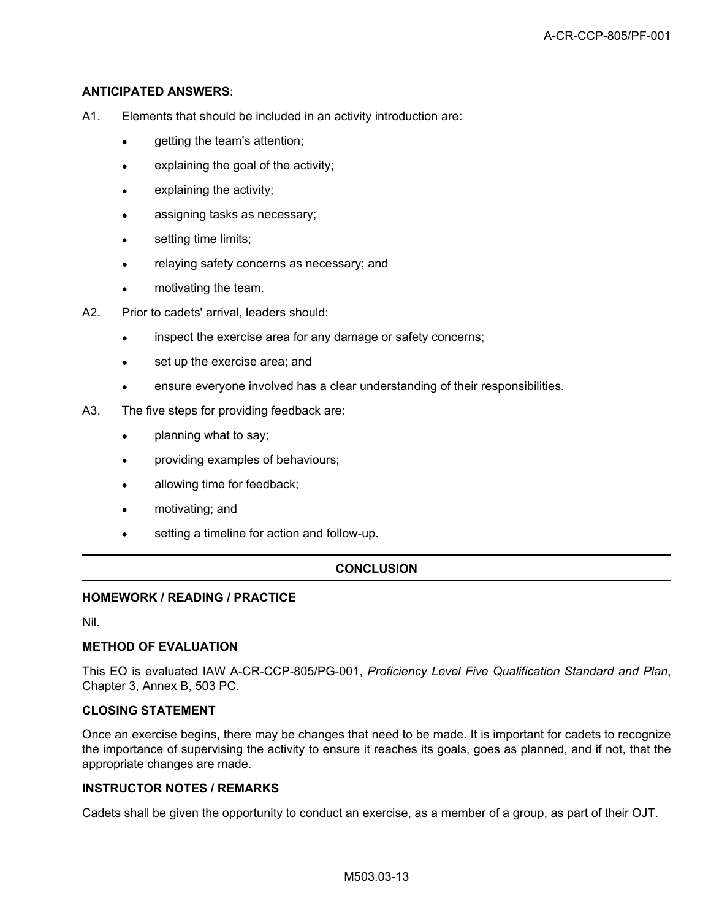#### **ANTICIPATED ANSWERS**:

- A1. Elements that should be included in an activity introduction are:
	- getting the team's attention;  $\bullet$
	- explaining the goal of the activity;  $\bullet$
	- explaining the activity;  $\bullet$
	- assigning tasks as necessary;  $\bullet$
	- $\bullet$ setting time limits;
	- relaying safety concerns as necessary; and  $\bullet$
	- motivating the team.  $\bullet$
- A2. Prior to cadets' arrival, leaders should:
	- inspect the exercise area for any damage or safety concerns;  $\bullet$
	- $\bullet$ set up the exercise area; and
	- ensure everyone involved has a clear understanding of their responsibilities.  $\bullet$
- A3. The five steps for providing feedback are:
	- $\bullet$ planning what to say;
	- providing examples of behaviours;  $\bullet$
	- allowing time for feedback;  $\bullet$
	- $\bullet$ motivating; and
	- $\bullet$ setting a timeline for action and follow-up.

## **CONCLUSION**

#### **HOMEWORK / READING / PRACTICE**

Nil.

# **METHOD OF EVALUATION**

This EO is evaluated IAW A-CR-CCP-805/PG-001, *Proficiency Level Five Qualification Standard and Plan*, Chapter 3, Annex B, 503 PC.

#### **CLOSING STATEMENT**

Once an exercise begins, there may be changes that need to be made. It is important for cadets to recognize the importance of supervising the activity to ensure it reaches its goals, goes as planned, and if not, that the appropriate changes are made.

#### **INSTRUCTOR NOTES / REMARKS**

Cadets shall be given the opportunity to conduct an exercise, as a member of a group, as part of their OJT.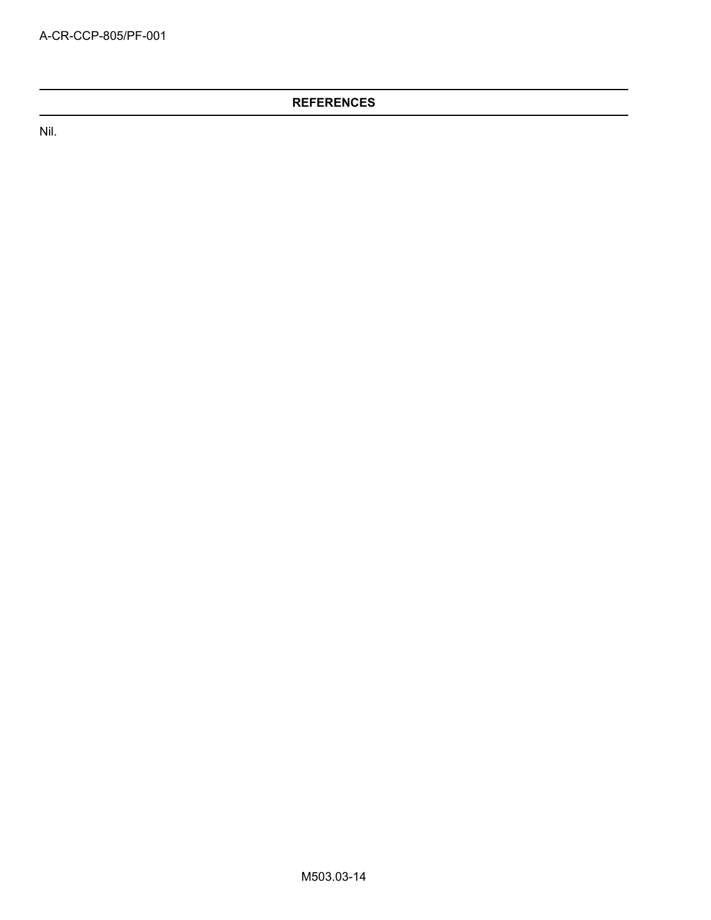# **REFERENCES**

Nil.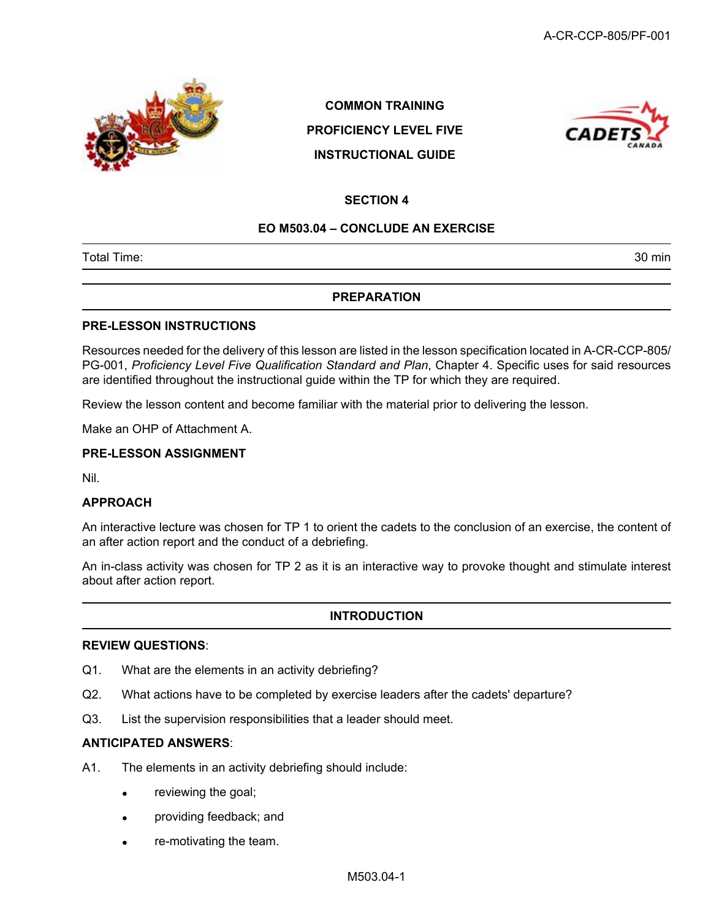

**COMMON TRAINING PROFICIENCY LEVEL FIVE INSTRUCTIONAL GUIDE**



# **SECTION 4**

#### **EO M503.04 – CONCLUDE AN EXERCISE**

Total Time: 30 min

## **PREPARATION**

#### **PRE-LESSON INSTRUCTIONS**

Resources needed for the delivery of this lesson are listed in the lesson specification located in A-CR-CCP-805/ PG-001, *Proficiency Level Five Qualification Standard and Plan*, Chapter 4. Specific uses for said resources are identified throughout the instructional guide within the TP for which they are required.

Review the lesson content and become familiar with the material prior to delivering the lesson.

Make an OHP of Attachment A.

#### **PRE-LESSON ASSIGNMENT**

Nil.

## **APPROACH**

An interactive lecture was chosen for TP 1 to orient the cadets to the conclusion of an exercise, the content of an after action report and the conduct of a debriefing.

An in-class activity was chosen for TP 2 as it is an interactive way to provoke thought and stimulate interest about after action report.

## **INTRODUCTION**

#### **REVIEW QUESTIONS**:

- Q1. What are the elements in an activity debriefing?
- Q2. What actions have to be completed by exercise leaders after the cadets' departure?
- Q3. List the supervision responsibilities that a leader should meet.

#### **ANTICIPATED ANSWERS**:

- A1. The elements in an activity debriefing should include:
	- reviewing the goal;  $\bullet$
	- providing feedback; and  $\bullet$
	- re-motivating the team. $\bullet$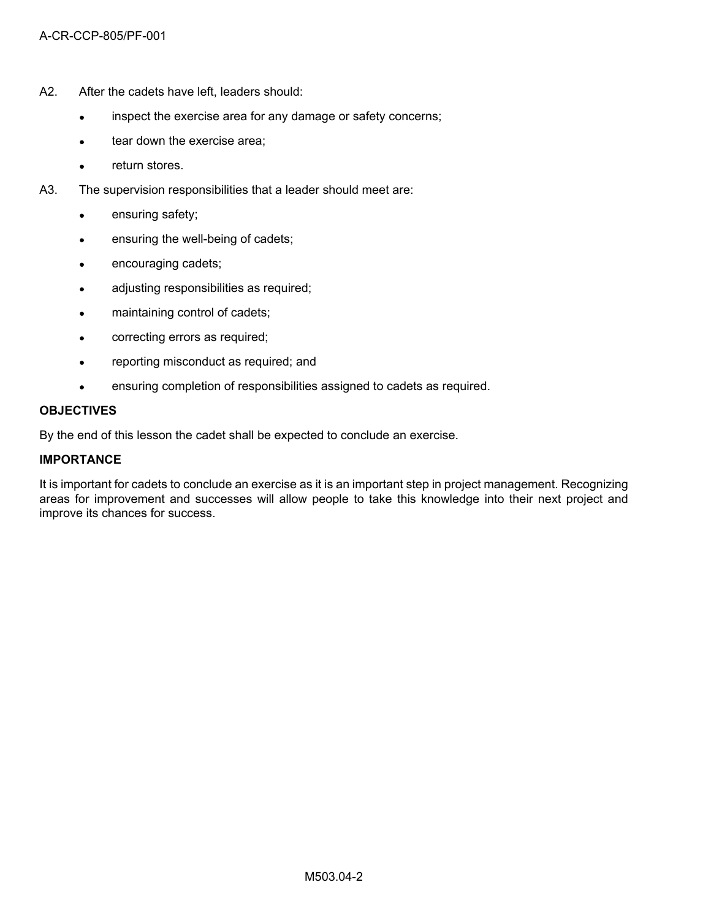- A2. After the cadets have left, leaders should:
	- inspect the exercise area for any damage or safety concerns;  $\bullet$
	- tear down the exercise area;  $\bullet$
	- return stores.  $\bullet$
- A3. The supervision responsibilities that a leader should meet are:
	- ensuring safety;  $\bullet$
	- ensuring the well-being of cadets;  $\bullet$
	- encouraging cadets;
	- adjusting responsibilities as required;
	- maintaining control of cadets;  $\bullet$
	- correcting errors as required;  $\bullet$
	- $\bullet$ reporting misconduct as required; and
	- ensuring completion of responsibilities assigned to cadets as required.  $\bullet$

## **OBJECTIVES**

By the end of this lesson the cadet shall be expected to conclude an exercise.

## **IMPORTANCE**

It is important for cadets to conclude an exercise as it is an important step in project management. Recognizing areas for improvement and successes will allow people to take this knowledge into their next project and improve its chances for success.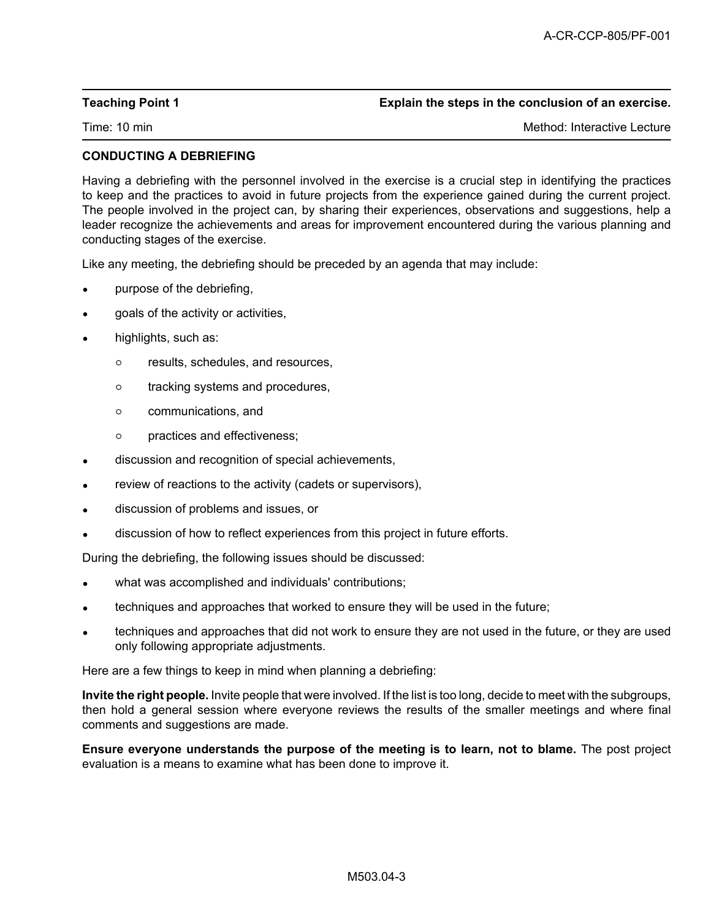# **Teaching Point 1 Explain the steps in the conclusion of an exercise.**

Time: 10 min Method: Interactive Lecture Communication of the Method: Interactive Lecture

## **CONDUCTING A DEBRIEFING**

Having a debriefing with the personnel involved in the exercise is a crucial step in identifying the practices to keep and the practices to avoid in future projects from the experience gained during the current project. The people involved in the project can, by sharing their experiences, observations and suggestions, help a leader recognize the achievements and areas for improvement encountered during the various planning and conducting stages of the exercise.

Like any meeting, the debriefing should be preceded by an agenda that may include:

- purpose of the debriefing,
- goals of the activity or activities,
- highlights, such as:
	- $\circ$ results, schedules, and resources,
	- $\circ$ tracking systems and procedures,
	- communications, and  $\circ$
	- $\circ$ practices and effectiveness;
- discussion and recognition of special achievements,
- review of reactions to the activity (cadets or supervisors),
- discussion of problems and issues, or
- discussion of how to reflect experiences from this project in future efforts.

During the debriefing, the following issues should be discussed:

- what was accomplished and individuals' contributions;
- techniques and approaches that worked to ensure they will be used in the future;
- techniques and approaches that did not work to ensure they are not used in the future, or they are used only following appropriate adjustments.

Here are a few things to keep in mind when planning a debriefing:

**Invite the right people.** Invite people that were involved. If the list is too long, decide to meet with the subgroups, then hold a general session where everyone reviews the results of the smaller meetings and where final comments and suggestions are made.

**Ensure everyone understands the purpose of the meeting is to learn, not to blame.** The post project evaluation is a means to examine what has been done to improve it.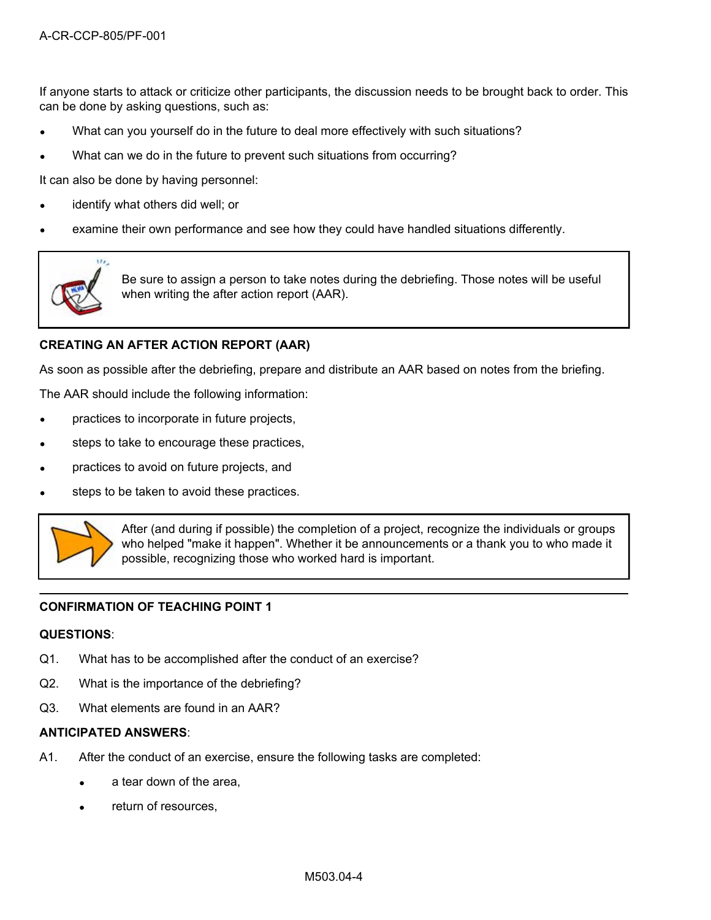If anyone starts to attack or criticize other participants, the discussion needs to be brought back to order. This can be done by asking questions, such as:

- What can you yourself do in the future to deal more effectively with such situations?
- What can we do in the future to prevent such situations from occurring?

It can also be done by having personnel:

- identify what others did well; or
- examine their own performance and see how they could have handled situations differently.



Be sure to assign a person to take notes during the debriefing. Those notes will be useful when writing the after action report (AAR).

# **CREATING AN AFTER ACTION REPORT (AAR)**

As soon as possible after the debriefing, prepare and distribute an AAR based on notes from the briefing.

The AAR should include the following information:

- practices to incorporate in future projects,
- steps to take to encourage these practices,
- practices to avoid on future projects, and
- steps to be taken to avoid these practices.



After (and during if possible) the completion of a project, recognize the individuals or groups who helped "make it happen". Whether it be announcements or a thank you to who made it possible, recognizing those who worked hard is important.

## **CONFIRMATION OF TEACHING POINT 1**

#### **QUESTIONS**:

- Q1. What has to be accomplished after the conduct of an exercise?
- Q2. What is the importance of the debriefing?
- Q3. What elements are found in an AAR?

#### **ANTICIPATED ANSWERS**:

- A1. After the conduct of an exercise, ensure the following tasks are completed:
	- a tear down of the area,
	- return of resources,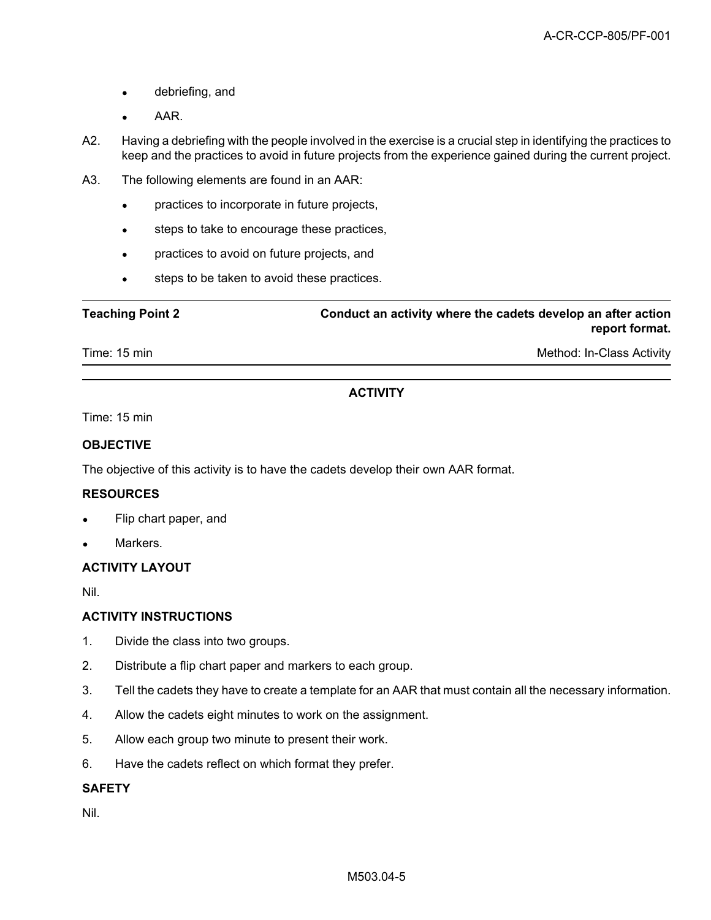- debriefing, and  $\bullet$
- AAR.
- A2. Having a debriefing with the people involved in the exercise is a crucial step in identifying the practices to keep and the practices to avoid in future projects from the experience gained during the current project.
- A3. The following elements are found in an AAR:
	- practices to incorporate in future projects,  $\bullet$
	- steps to take to encourage these practices,  $\bullet$
	- practices to avoid on future projects, and  $\bullet$
	- steps to be taken to avoid these practices.

**Teaching Point 2 Conduct an activity where the cadets develop an after action report format.**

Time: 15 min Method: In-Class Activity

# **ACTIVITY**

Time: 15 min

#### **OBJECTIVE**

The objective of this activity is to have the cadets develop their own AAR format.

#### **RESOURCES**

- Flip chart paper, and
- Markers.

#### **ACTIVITY LAYOUT**

Nil.

#### **ACTIVITY INSTRUCTIONS**

- 1. Divide the class into two groups.
- 2. Distribute a flip chart paper and markers to each group.
- 3. Tell the cadets they have to create a template for an AAR that must contain all the necessary information.
- 4. Allow the cadets eight minutes to work on the assignment.
- 5. Allow each group two minute to present their work.
- 6. Have the cadets reflect on which format they prefer.

# **SAFETY**

Nil.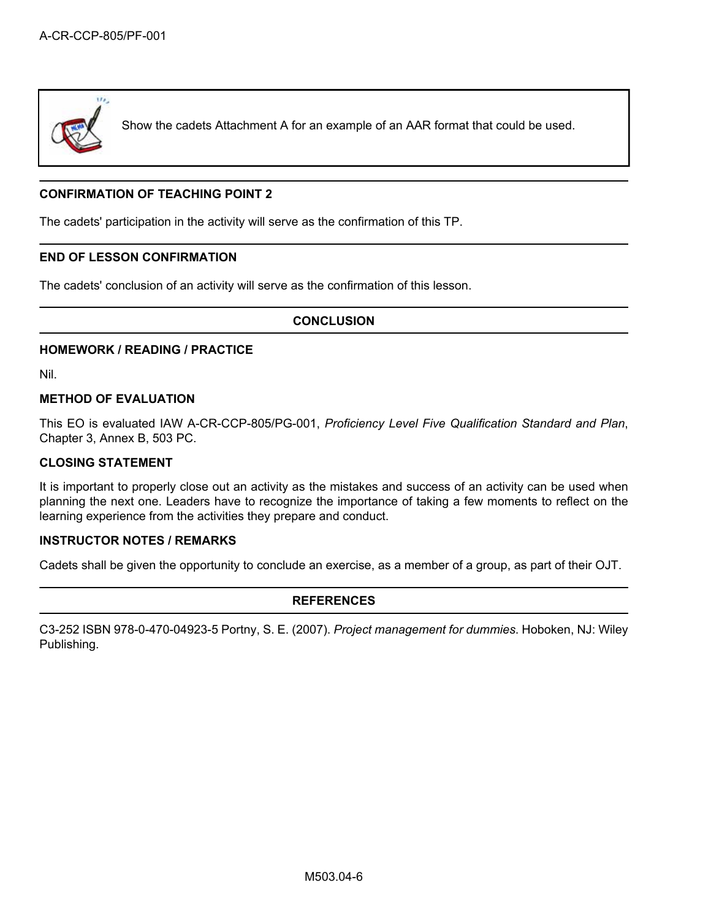

Show the cadets Attachment A for an example of an AAR format that could be used.

# **CONFIRMATION OF TEACHING POINT 2**

The cadets' participation in the activity will serve as the confirmation of this TP.

#### **END OF LESSON CONFIRMATION**

The cadets' conclusion of an activity will serve as the confirmation of this lesson.

# **CONCLUSION**

# **HOMEWORK / READING / PRACTICE**

Nil.

# **METHOD OF EVALUATION**

This EO is evaluated IAW A-CR-CCP-805/PG-001, *Proficiency Level Five Qualification Standard and Plan*, Chapter 3, Annex B, 503 PC.

# **CLOSING STATEMENT**

It is important to properly close out an activity as the mistakes and success of an activity can be used when planning the next one. Leaders have to recognize the importance of taking a few moments to reflect on the learning experience from the activities they prepare and conduct.

# **INSTRUCTOR NOTES / REMARKS**

Cadets shall be given the opportunity to conclude an exercise, as a member of a group, as part of their OJT.

#### **REFERENCES**

C3-252 ISBN 978-0-470-04923-5 Portny, S. E. (2007). *Project management for dummies*. Hoboken, NJ: Wiley Publishing.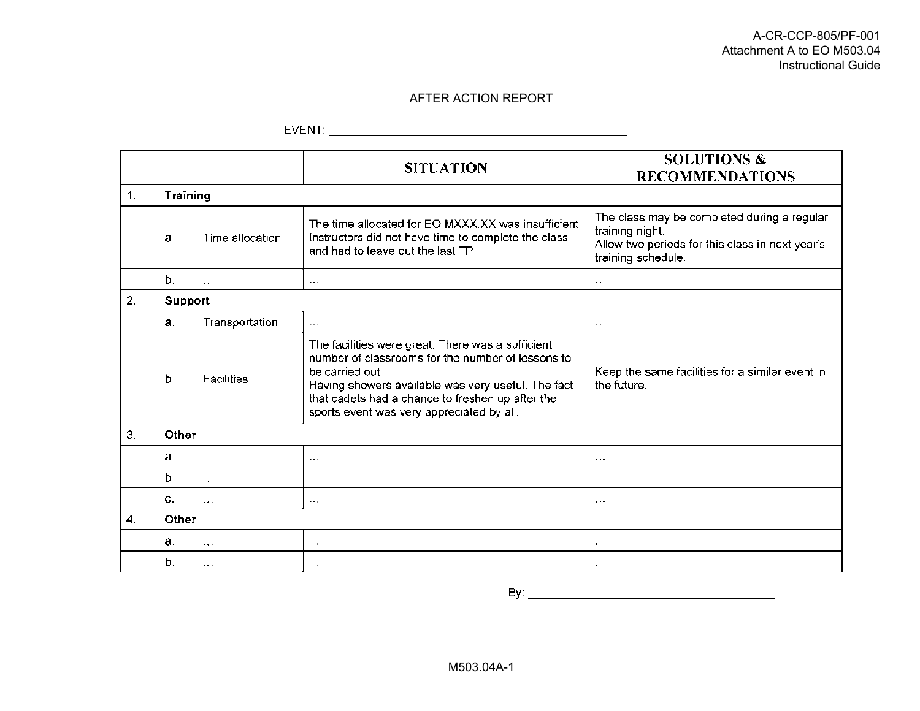# AFTER ACTION REPORT

|                |                |                  | <b>SITUATION</b>                                                                                                                                                                                                                                                                 | <b>SOLUTIONS &amp;</b><br><b>RECOMMENDATIONS</b>                                                                                        |
|----------------|----------------|------------------|----------------------------------------------------------------------------------------------------------------------------------------------------------------------------------------------------------------------------------------------------------------------------------|-----------------------------------------------------------------------------------------------------------------------------------------|
| 1 <sub>1</sub> | Training       |                  |                                                                                                                                                                                                                                                                                  |                                                                                                                                         |
|                | a.             | Time allocation  | The time allocated for EO MXXX.XX was insufficient.<br>Instructors did not have time to complete the class<br>and had to leave out the last TP.                                                                                                                                  | The class may be completed during a regular<br>training night.<br>Allow two periods for this class in next year's<br>training schedule. |
|                | b.             | $\ldots$         | $\ldots$                                                                                                                                                                                                                                                                         | $\ldots$                                                                                                                                |
| 2.             | <b>Support</b> |                  |                                                                                                                                                                                                                                                                                  |                                                                                                                                         |
|                | a.             | Transportation   | $\cdots$                                                                                                                                                                                                                                                                         | $\sim$ $\sim$                                                                                                                           |
|                | b.             | Facilities       | The facilities were great. There was a sufficient<br>number of classrooms for the number of lessons to<br>be carried out.<br>Having showers available was very useful. The fact<br>that cadets had a chance to freshen up after the<br>sports event was very appreciated by all. | Keep the same facilities for a similar event in<br>the future.                                                                          |
| 3.             | Other          |                  |                                                                                                                                                                                                                                                                                  |                                                                                                                                         |
|                | a.             | $\cdots$         | $\cdots$                                                                                                                                                                                                                                                                         | $\ldots$                                                                                                                                |
|                | b.             | $\cdots$         |                                                                                                                                                                                                                                                                                  |                                                                                                                                         |
|                | c.             | $\cdots$         | $\ldots$ .                                                                                                                                                                                                                                                                       | $\cdots$                                                                                                                                |
| 4.             | Other          |                  |                                                                                                                                                                                                                                                                                  |                                                                                                                                         |
|                | a.             | $\cdots$         | $\cdots$                                                                                                                                                                                                                                                                         | $\rightarrow +$                                                                                                                         |
|                | b.             | $\sim$ 4 $\,$ s. | $\sim$ $\sim$ $\sim$                                                                                                                                                                                                                                                             | $\cdots$                                                                                                                                |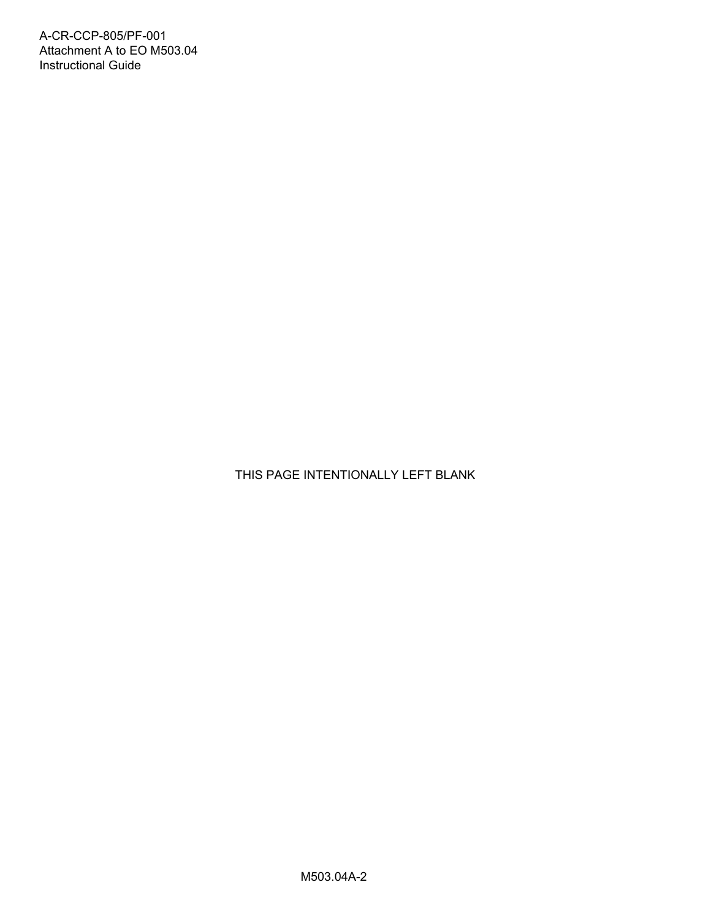A-CR-CCP-805/PF-001 Attachment A to EO M503.04 Instructional Guide

THIS PAGE INTENTIONALLY LEFT BLANK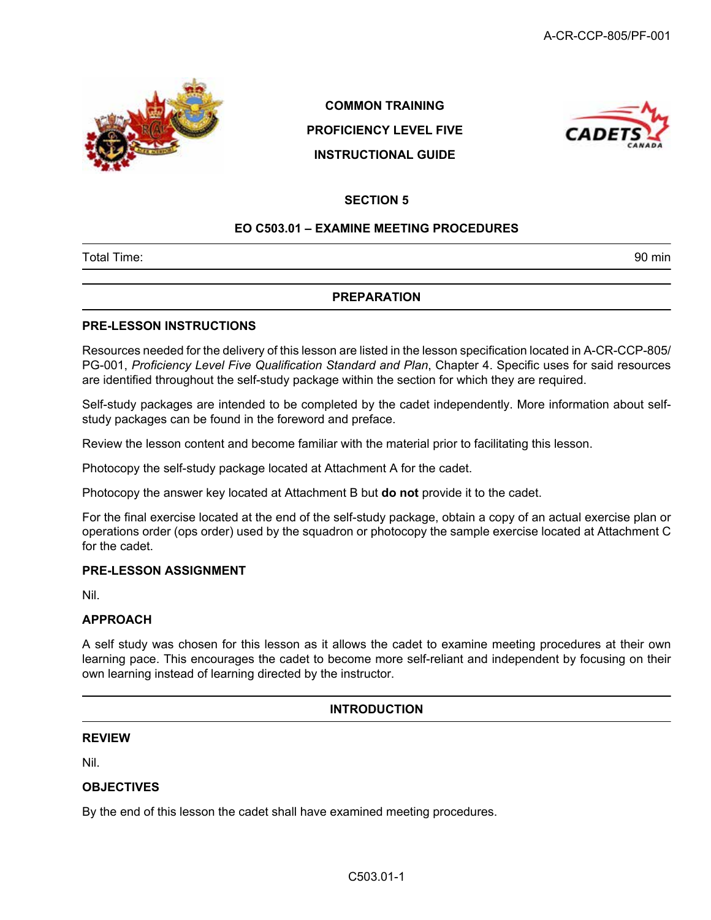

**COMMON TRAINING PROFICIENCY LEVEL FIVE INSTRUCTIONAL GUIDE**



# **SECTION 5**

# **EO C503.01 – EXAMINE MEETING PROCEDURES**

Total Time: 90 min

# **PREPARATION**

#### **PRE-LESSON INSTRUCTIONS**

Resources needed for the delivery of this lesson are listed in the lesson specification located in A-CR-CCP-805/ PG-001, *Proficiency Level Five Qualification Standard and Plan*, Chapter 4. Specific uses for said resources are identified throughout the self-study package within the section for which they are required.

Self-study packages are intended to be completed by the cadet independently. More information about selfstudy packages can be found in the foreword and preface.

Review the lesson content and become familiar with the material prior to facilitating this lesson.

Photocopy the self-study package located at Attachment A for the cadet.

Photocopy the answer key located at Attachment B but **do not** provide it to the cadet.

For the final exercise located at the end of the self-study package, obtain a copy of an actual exercise plan or operations order (ops order) used by the squadron or photocopy the sample exercise located at Attachment C for the cadet.

#### **PRE-LESSON ASSIGNMENT**

Nil.

# **APPROACH**

A self study was chosen for this lesson as it allows the cadet to examine meeting procedures at their own learning pace. This encourages the cadet to become more self-reliant and independent by focusing on their own learning instead of learning directed by the instructor.

# **INTRODUCTION**

#### **REVIEW**

Nil.

# **OBJECTIVES**

By the end of this lesson the cadet shall have examined meeting procedures.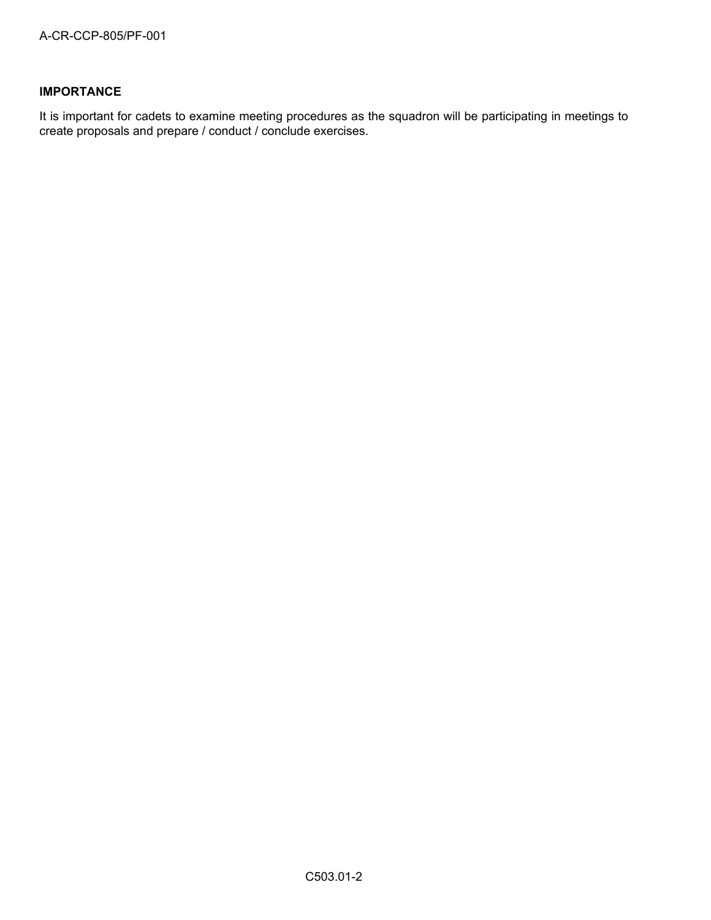# **IMPORTANCE**

It is important for cadets to examine meeting procedures as the squadron will be participating in meetings to create proposals and prepare / conduct / conclude exercises.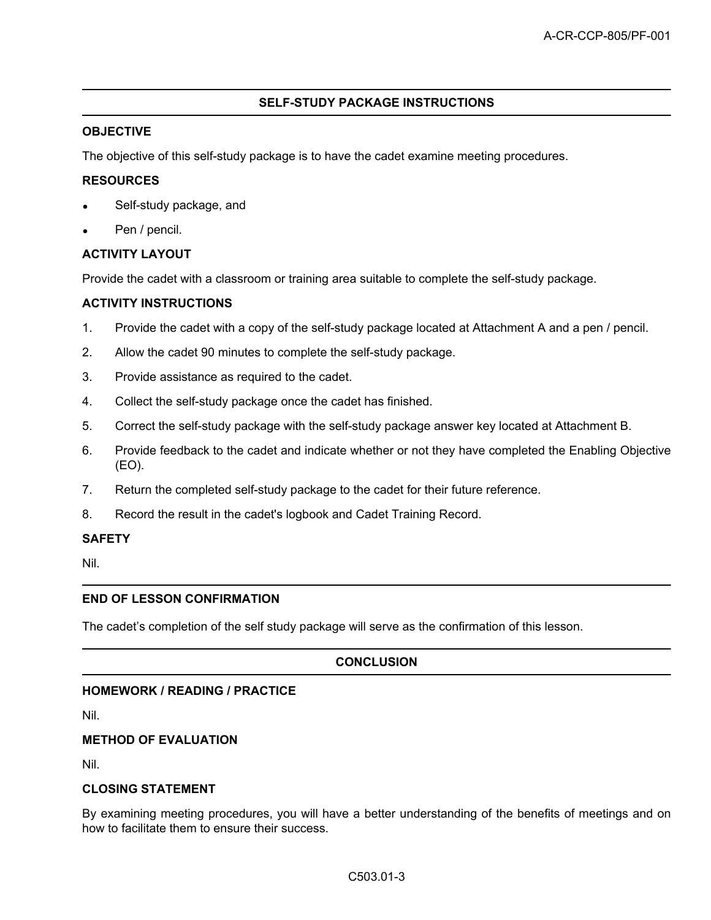# **SELF-STUDY PACKAGE INSTRUCTIONS**

# **OBJECTIVE**

The objective of this self-study package is to have the cadet examine meeting procedures.

# **RESOURCES**

- Self-study package, and
- Pen / pencil.

# **ACTIVITY LAYOUT**

Provide the cadet with a classroom or training area suitable to complete the self-study package.

# **ACTIVITY INSTRUCTIONS**

- 1. Provide the cadet with a copy of the self-study package located at Attachment A and a pen / pencil.
- 2. Allow the cadet 90 minutes to complete the self-study package.
- 3. Provide assistance as required to the cadet.
- 4. Collect the self-study package once the cadet has finished.
- 5. Correct the self-study package with the self-study package answer key located at Attachment B.
- 6. Provide feedback to the cadet and indicate whether or not they have completed the Enabling Objective (EO).
- 7. Return the completed self-study package to the cadet for their future reference.
- 8. Record the result in the cadet's logbook and Cadet Training Record.

#### **SAFETY**

Nil.

# **END OF LESSON CONFIRMATION**

The cadet's completion of the self study package will serve as the confirmation of this lesson.

# **CONCLUSION**

#### **HOMEWORK / READING / PRACTICE**

Nil.

# **METHOD OF EVALUATION**

Nil.

# **CLOSING STATEMENT**

By examining meeting procedures, you will have a better understanding of the benefits of meetings and on how to facilitate them to ensure their success.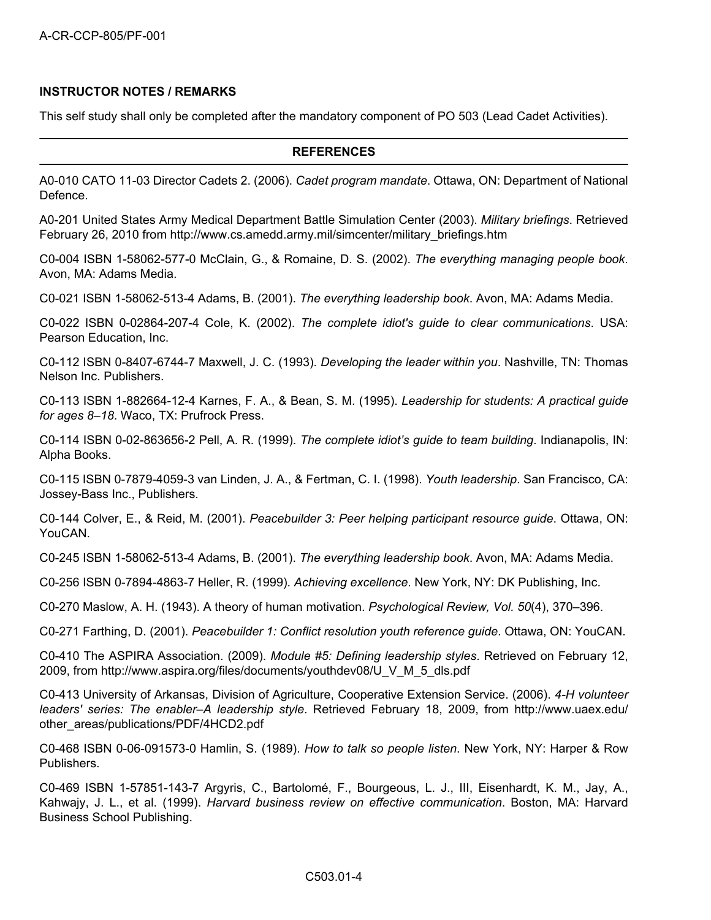# **INSTRUCTOR NOTES / REMARKS**

This self study shall only be completed after the mandatory component of PO 503 (Lead Cadet Activities).

#### **REFERENCES**

A0-010 CATO 11-03 Director Cadets 2. (2006). *Cadet program mandate*. Ottawa, ON: Department of National Defence.

A0-201 United States Army Medical Department Battle Simulation Center (2003). *Military briefings*. Retrieved February 26, 2010 from http://www.cs.amedd.army.mil/simcenter/military\_briefings.htm

C0-004 ISBN 1-58062-577-0 McClain, G., & Romaine, D. S. (2002). *The everything managing people book*. Avon, MA: Adams Media.

C0-021 ISBN 1-58062-513-4 Adams, B. (2001). *The everything leadership book*. Avon, MA: Adams Media.

C0-022 ISBN 0-02864-207-4 Cole, K. (2002). *The complete idiot's guide to clear communications*. USA: Pearson Education, Inc.

C0-112 ISBN 0-8407-6744-7 Maxwell, J. C. (1993). *Developing the leader within you*. Nashville, TN: Thomas Nelson Inc. Publishers.

C0-113 ISBN 1-882664-12-4 Karnes, F. A., & Bean, S. M. (1995). *Leadership for students: A practical guide for ages 8–18*. Waco, TX: Prufrock Press.

C0-114 ISBN 0-02-863656-2 Pell, A. R. (1999). *The complete idiot's guide to team building*. Indianapolis, IN: Alpha Books.

C0-115 ISBN 0-7879-4059-3 van Linden, J. A., & Fertman, C. I. (1998). *Youth leadership*. San Francisco, CA: Jossey-Bass Inc., Publishers.

C0-144 Colver, E., & Reid, M. (2001). *Peacebuilder 3: Peer helping participant resource guide*. Ottawa, ON: YouCAN.

C0-245 ISBN 1-58062-513-4 Adams, B. (2001). *The everything leadership book*. Avon, MA: Adams Media.

C0-256 ISBN 0-7894-4863-7 Heller, R. (1999). *Achieving excellence*. New York, NY: DK Publishing, Inc.

C0-270 Maslow, A. H. (1943). A theory of human motivation. *Psychological Review, Vol. 50*(4), 370–396.

C0-271 Farthing, D. (2001). *Peacebuilder 1: Conflict resolution youth reference guide*. Ottawa, ON: YouCAN.

C0-410 The ASPIRA Association. (2009). *Module #5: Defining leadership styles*. Retrieved on February 12, 2009, from http://www.aspira.org/files/documents/youthdev08/U\_V\_M\_5\_dls.pdf

C0-413 University of Arkansas, Division of Agriculture, Cooperative Extension Service. (2006). *4-H volunteer leaders' series: The enabler–A leadership style*. Retrieved February 18, 2009, from http://www.uaex.edu/ other\_areas/publications/PDF/4HCD2.pdf

C0-468 ISBN 0-06-091573-0 Hamlin, S. (1989). *How to talk so people listen*. New York, NY: Harper & Row Publishers.

C0-469 ISBN 1-57851-143-7 Argyris, C., Bartolomé, F., Bourgeous, L. J., III, Eisenhardt, K. M., Jay, A., Kahwajy, J. L., et al. (1999). *Harvard business review on effective communication*. Boston, MA: Harvard Business School Publishing.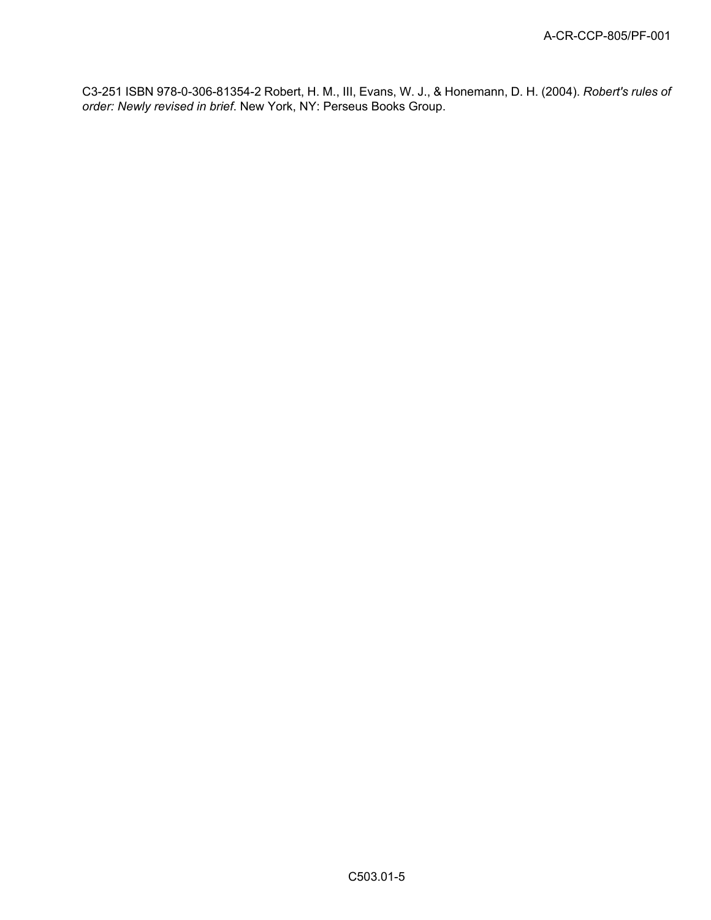C3-251 ISBN 978-0-306-81354-2 Robert, H. M., III, Evans, W. J., & Honemann, D. H. (2004). *Robert's rules of order: Newly revised in brief*. New York, NY: Perseus Books Group.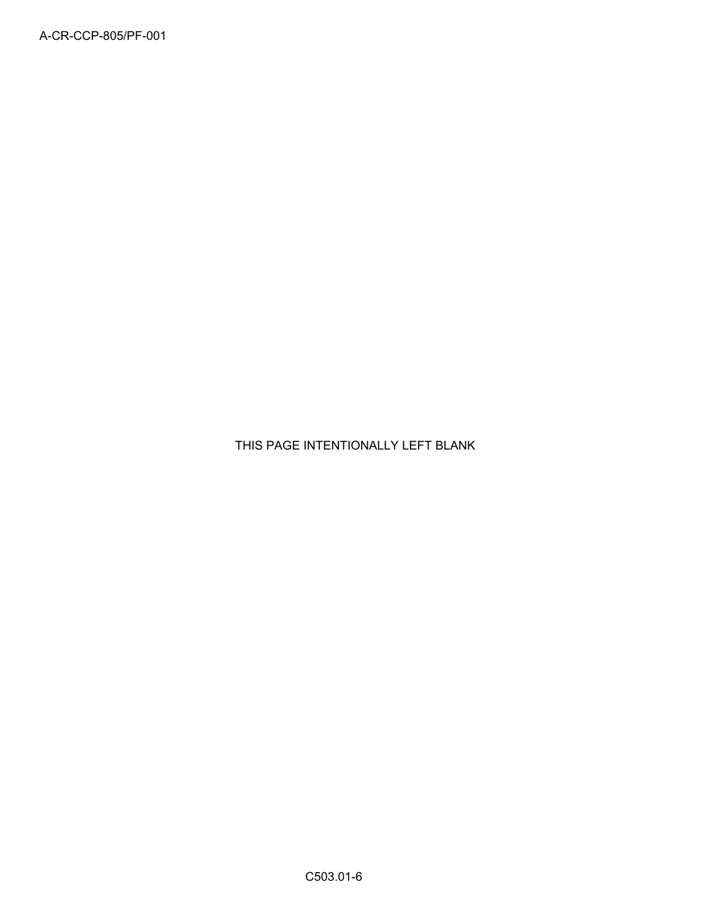THIS PAGE INTENTIONALLY LEFT BLANK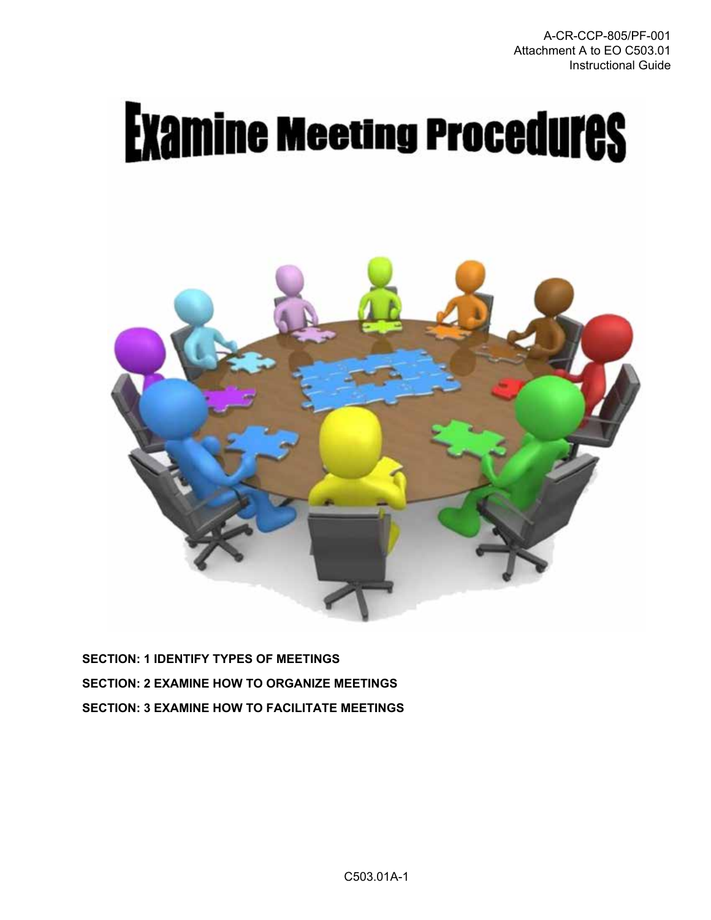A-CR-CCP-805/PF-001 Attachment A to EO C503.01 Instructional Guide

# **Examine Meeting Procedures**



**SECTION: 1 IDENTIFY TYPES OF MEETINGS SECTION: 2 EXAMINE HOW TO ORGANIZE MEETINGS SECTION: 3 EXAMINE HOW TO FACILITATE MEETINGS**

C503.01A-1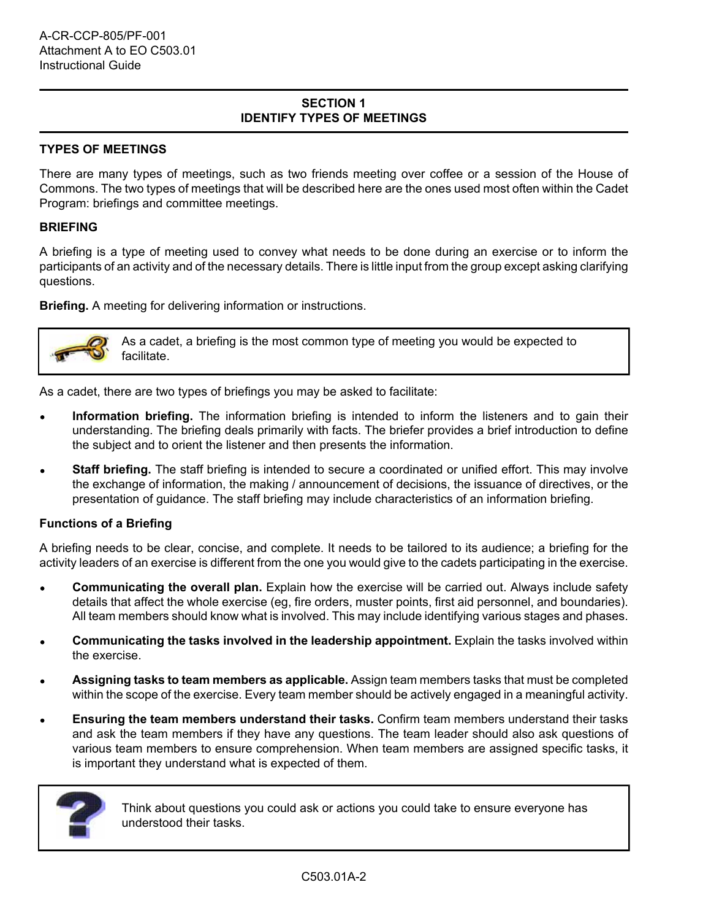# **SECTION 1 IDENTIFY TYPES OF MEETINGS**

# **TYPES OF MEETINGS**

There are many types of meetings, such as two friends meeting over coffee or a session of the House of Commons. The two types of meetings that will be described here are the ones used most often within the Cadet Program: briefings and committee meetings.

# **BRIEFING**

A briefing is a type of meeting used to convey what needs to be done during an exercise or to inform the participants of an activity and of the necessary details. There is little input from the group except asking clarifying questions.

**Briefing.** A meeting for delivering information or instructions.



As a cadet, a briefing is the most common type of meeting you would be expected to facilitate.

As a cadet, there are two types of briefings you may be asked to facilitate:

- **Information briefing.** The information briefing is intended to inform the listeners and to gain their understanding. The briefing deals primarily with facts. The briefer provides a brief introduction to define the subject and to orient the listener and then presents the information.
- **Staff briefing.** The staff briefing is intended to secure a coordinated or unified effort. This may involve  $\bullet$ the exchange of information, the making / announcement of decisions, the issuance of directives, or the presentation of guidance. The staff briefing may include characteristics of an information briefing.

# **Functions of a Briefing**

A briefing needs to be clear, concise, and complete. It needs to be tailored to its audience; a briefing for the activity leaders of an exercise is different from the one you would give to the cadets participating in the exercise.

- **Communicating the overall plan.** Explain how the exercise will be carried out. Always include safety  $\bullet$ details that affect the whole exercise (eg, fire orders, muster points, first aid personnel, and boundaries). All team members should know what is involved. This may include identifying various stages and phases.
- **Communicating the tasks involved in the leadership appointment.** Explain the tasks involved within the exercise.
- **Assigning tasks to team members as applicable.** Assign team members tasks that must be completed within the scope of the exercise. Every team member should be actively engaged in a meaningful activity.
- **Ensuring the team members understand their tasks.** Confirm team members understand their tasks and ask the team members if they have any questions. The team leader should also ask questions of various team members to ensure comprehension. When team members are assigned specific tasks, it is important they understand what is expected of them.



Think about questions you could ask or actions you could take to ensure everyone has understood their tasks.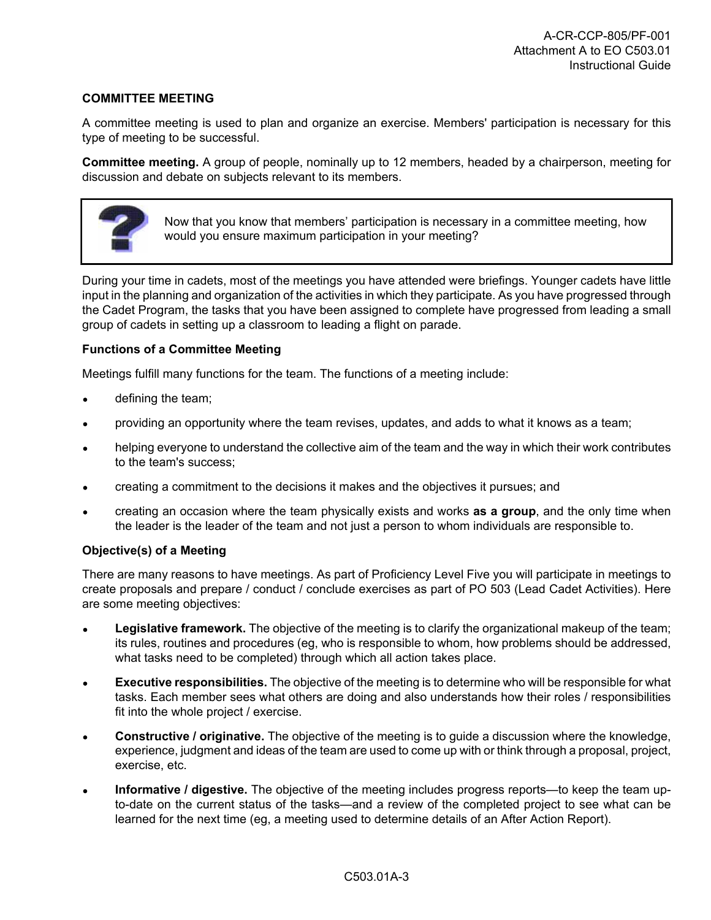# **COMMITTEE MEETING**

A committee meeting is used to plan and organize an exercise. Members' participation is necessary for this type of meeting to be successful.

**Committee meeting.** A group of people, nominally up to 12 members, headed by a chairperson, meeting for discussion and debate on subjects relevant to its members.



Now that you know that members' participation is necessary in a committee meeting, how would you ensure maximum participation in your meeting?

During your time in cadets, most of the meetings you have attended were briefings. Younger cadets have little input in the planning and organization of the activities in which they participate. As you have progressed through the Cadet Program, the tasks that you have been assigned to complete have progressed from leading a small group of cadets in setting up a classroom to leading a flight on parade.

# **Functions of a Committee Meeting**

Meetings fulfill many functions for the team. The functions of a meeting include:

- defining the team;
- providing an opportunity where the team revises, updates, and adds to what it knows as a team;
- helping everyone to understand the collective aim of the team and the way in which their work contributes to the team's success;
- creating a commitment to the decisions it makes and the objectives it pursues; and
- creating an occasion where the team physically exists and works **as a group**, and the only time when the leader is the leader of the team and not just a person to whom individuals are responsible to.

# **Objective(s) of a Meeting**

There are many reasons to have meetings. As part of Proficiency Level Five you will participate in meetings to create proposals and prepare / conduct / conclude exercises as part of PO 503 (Lead Cadet Activities). Here are some meeting objectives:

- **Legislative framework.** The objective of the meeting is to clarify the organizational makeup of the team; its rules, routines and procedures (eg, who is responsible to whom, how problems should be addressed, what tasks need to be completed) through which all action takes place.
- **Executive responsibilities.** The objective of the meeting is to determine who will be responsible for what  $\bullet$ tasks. Each member sees what others are doing and also understands how their roles / responsibilities fit into the whole project / exercise.
- **Constructive / originative.** The objective of the meeting is to guide a discussion where the knowledge, experience, judgment and ideas of the team are used to come up with or think through a proposal, project, exercise, etc.
- **Informative / digestive.** The objective of the meeting includes progress reports—to keep the team upto-date on the current status of the tasks—and a review of the completed project to see what can be learned for the next time (eg, a meeting used to determine details of an After Action Report).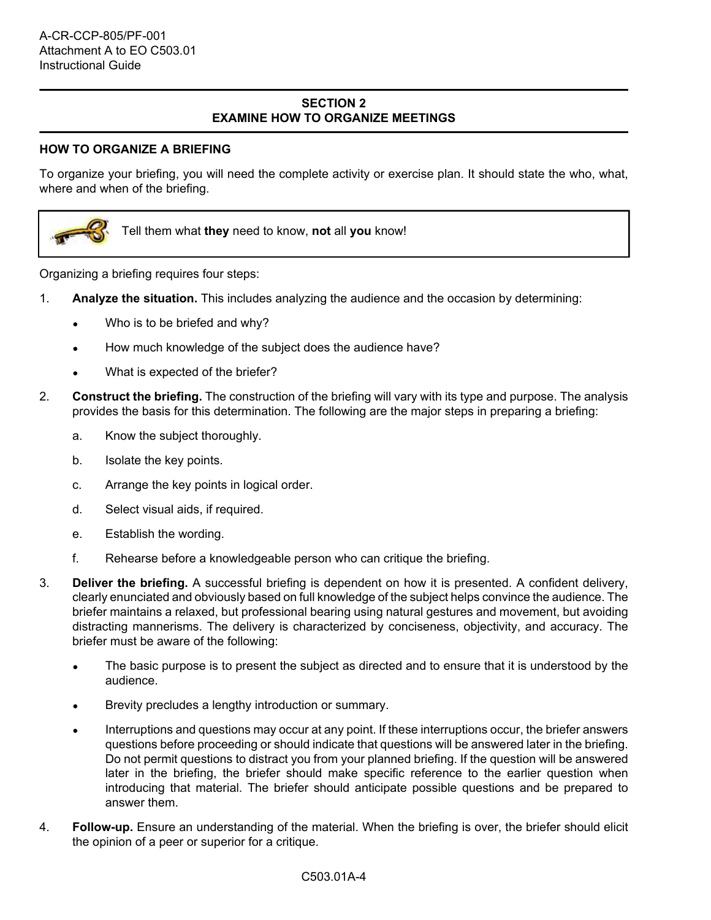# **SECTION 2 EXAMINE HOW TO ORGANIZE MEETINGS**

# **HOW TO ORGANIZE A BRIEFING**

To organize your briefing, you will need the complete activity or exercise plan. It should state the who, what, where and when of the briefing.



Tell them what **they** need to know, **not** all **you** know!

Organizing a briefing requires four steps:

- 1. **Analyze the situation.** This includes analyzing the audience and the occasion by determining:
	- Who is to be briefed and why?  $\bullet$
	- How much knowledge of the subject does the audience have?  $\bullet$
	- What is expected of the briefer?
- 2. **Construct the briefing.** The construction of the briefing will vary with its type and purpose. The analysis provides the basis for this determination. The following are the major steps in preparing a briefing:
	- a. Know the subject thoroughly.
	- b. Isolate the key points.
	- c. Arrange the key points in logical order.
	- d. Select visual aids, if required.
	- e. Establish the wording.
	- f. Rehearse before a knowledgeable person who can critique the briefing.
- 3. **Deliver the briefing.** A successful briefing is dependent on how it is presented. A confident delivery, clearly enunciated and obviously based on full knowledge of the subject helps convince the audience. The briefer maintains a relaxed, but professional bearing using natural gestures and movement, but avoiding distracting mannerisms. The delivery is characterized by conciseness, objectivity, and accuracy. The briefer must be aware of the following:
	- The basic purpose is to present the subject as directed and to ensure that it is understood by the  $\bullet$ audience.
	- Brevity precludes a lengthy introduction or summary.  $\bullet$
	- Interruptions and questions may occur at any point. If these interruptions occur, the briefer answers questions before proceeding or should indicate that questions will be answered later in the briefing. Do not permit questions to distract you from your planned briefing. If the question will be answered later in the briefing, the briefer should make specific reference to the earlier question when introducing that material. The briefer should anticipate possible questions and be prepared to answer them.
- 4. **Follow-up.** Ensure an understanding of the material. When the briefing is over, the briefer should elicit the opinion of a peer or superior for a critique.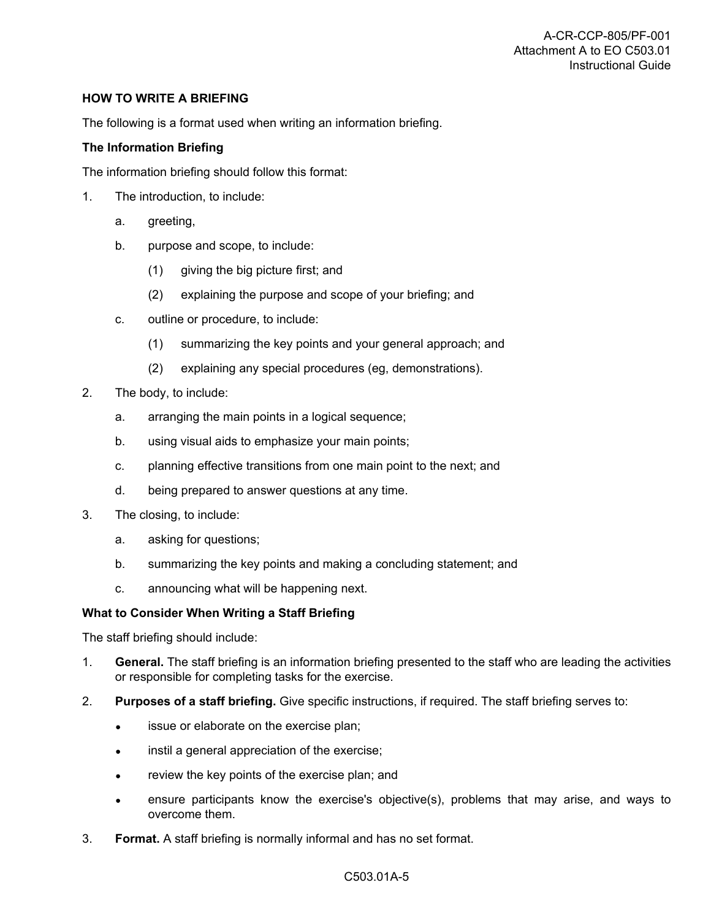# **HOW TO WRITE A BRIEFING**

The following is a format used when writing an information briefing.

# **The Information Briefing**

The information briefing should follow this format:

- 1. The introduction, to include:
	- a. greeting,
	- b. purpose and scope, to include:
		- (1) giving the big picture first; and
		- (2) explaining the purpose and scope of your briefing; and
	- c. outline or procedure, to include:
		- (1) summarizing the key points and your general approach; and
		- (2) explaining any special procedures (eg, demonstrations).
- 2. The body, to include:
	- a. arranging the main points in a logical sequence;
	- b. using visual aids to emphasize your main points;
	- c. planning effective transitions from one main point to the next; and
	- d. being prepared to answer questions at any time.
- 3. The closing, to include:
	- a. asking for questions;
	- b. summarizing the key points and making a concluding statement; and
	- c. announcing what will be happening next.

#### **What to Consider When Writing a Staff Briefing**

The staff briefing should include:

- 1. **General.** The staff briefing is an information briefing presented to the staff who are leading the activities or responsible for completing tasks for the exercise.
- 2. **Purposes of a staff briefing.** Give specific instructions, if required. The staff briefing serves to:
	- issue or elaborate on the exercise plan;  $\bullet$
	- instil a general appreciation of the exercise;
	- review the key points of the exercise plan; and
	- ensure participants know the exercise's objective(s), problems that may arise, and ways to overcome them.
- 3. **Format.** A staff briefing is normally informal and has no set format.

#### C503.01A-5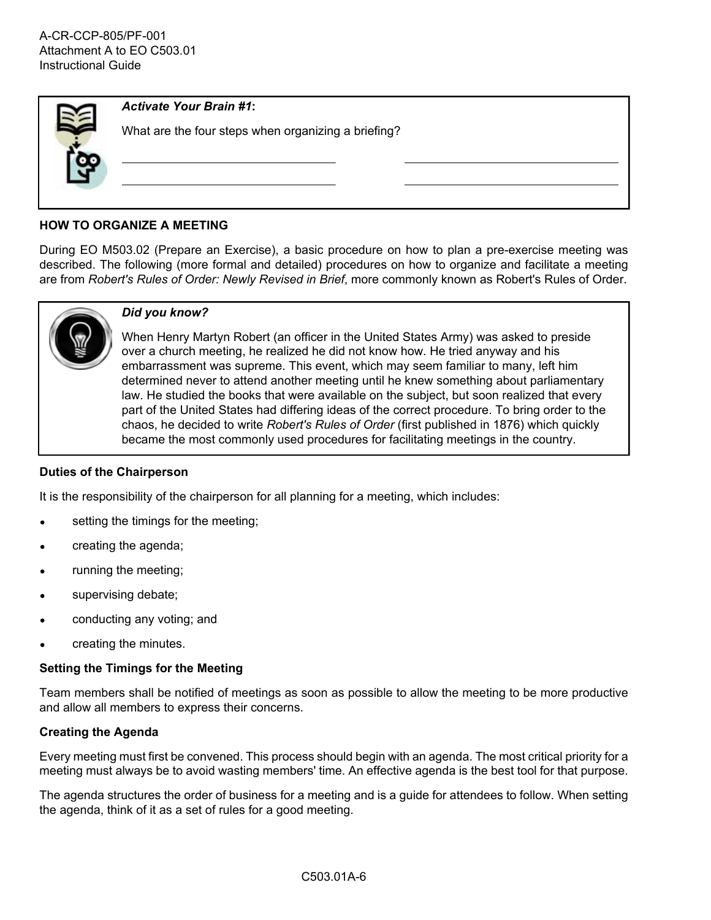

# **HOW TO ORGANIZE A MEETING**

During EO M503.02 (Prepare an Exercise), a basic procedure on how to plan a pre-exercise meeting was described. The following (more formal and detailed) procedures on how to organize and facilitate a meeting are from *Robert's Rules of Order: Newly Revised in Brief*, more commonly known as Robert's Rules of Order.



# *Did you know?*

When Henry Martyn Robert (an officer in the United States Army) was asked to preside over a church meeting, he realized he did not know how. He tried anyway and his embarrassment was supreme. This event, which may seem familiar to many, left him determined never to attend another meeting until he knew something about parliamentary law. He studied the books that were available on the subject, but soon realized that every part of the United States had differing ideas of the correct procedure. To bring order to the chaos, he decided to write *Robert's Rules of Order* (first published in 1876) which quickly became the most commonly used procedures for facilitating meetings in the country.

# **Duties of the Chairperson**

It is the responsibility of the chairperson for all planning for a meeting, which includes:

- setting the timings for the meeting;  $\bullet$
- creating the agenda;
- running the meeting;
- supervising debate;
- conducting any voting; and
- creating the minutes.

#### **Setting the Timings for the Meeting**

Team members shall be notified of meetings as soon as possible to allow the meeting to be more productive and allow all members to express their concerns.

#### **Creating the Agenda**

Every meeting must first be convened. This process should begin with an agenda. The most critical priority for a meeting must always be to avoid wasting members' time. An effective agenda is the best tool for that purpose.

The agenda structures the order of business for a meeting and is a guide for attendees to follow. When setting the agenda, think of it as a set of rules for a good meeting.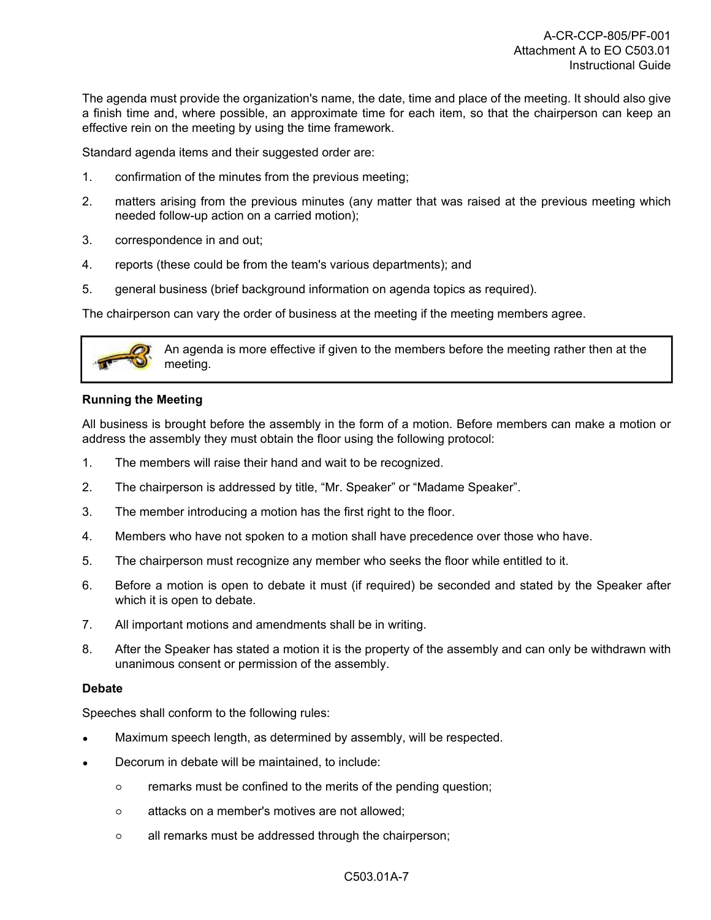The agenda must provide the organization's name, the date, time and place of the meeting. It should also give a finish time and, where possible, an approximate time for each item, so that the chairperson can keep an effective rein on the meeting by using the time framework.

Standard agenda items and their suggested order are:

- 1. confirmation of the minutes from the previous meeting;
- 2. matters arising from the previous minutes (any matter that was raised at the previous meeting which needed follow-up action on a carried motion);
- 3. correspondence in and out;
- 4. reports (these could be from the team's various departments); and
- 5. general business (brief background information on agenda topics as required).

The chairperson can vary the order of business at the meeting if the meeting members agree.



An agenda is more effective if given to the members before the meeting rather then at the meeting.

# **Running the Meeting**

All business is brought before the assembly in the form of a motion. Before members can make a motion or address the assembly they must obtain the floor using the following protocol:

- 1. The members will raise their hand and wait to be recognized.
- 2. The chairperson is addressed by title, "Mr. Speaker" or "Madame Speaker".
- 3. The member introducing a motion has the first right to the floor.
- 4. Members who have not spoken to a motion shall have precedence over those who have.
- 5. The chairperson must recognize any member who seeks the floor while entitled to it.
- 6. Before a motion is open to debate it must (if required) be seconded and stated by the Speaker after which it is open to debate.
- 7. All important motions and amendments shall be in writing.
- 8. After the Speaker has stated a motion it is the property of the assembly and can only be withdrawn with unanimous consent or permission of the assembly.

#### **Debate**

Speeches shall conform to the following rules:

- Maximum speech length, as determined by assembly, will be respected.
- Decorum in debate will be maintained, to include:
	- $\circ$ remarks must be confined to the merits of the pending question;
	- attacks on a member's motives are not allowed;  $\circ$
	- all remarks must be addressed through the chairperson; $\circ$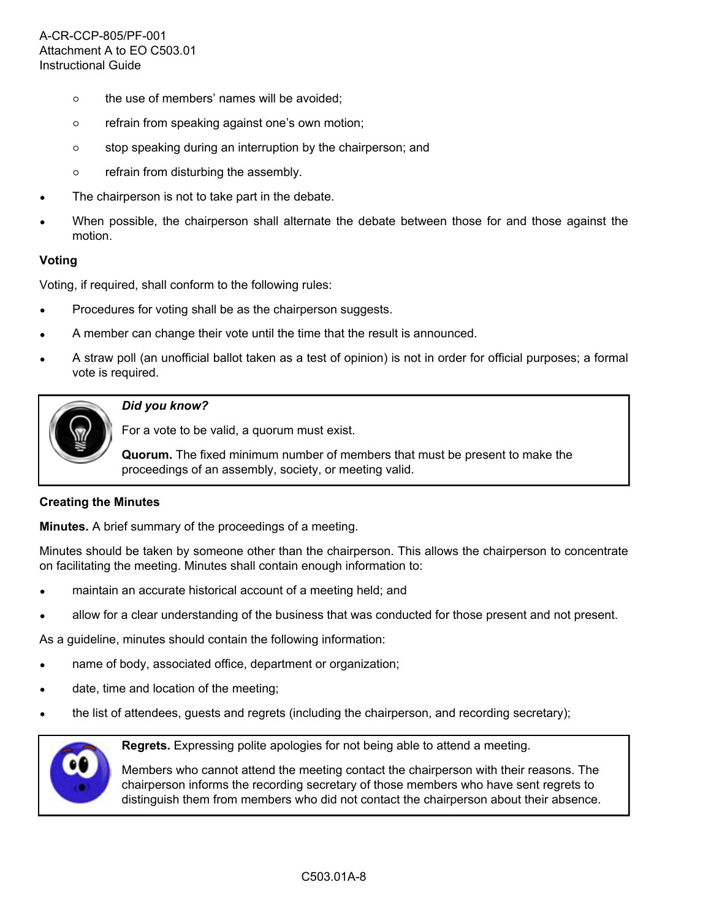- $\circ$ the use of members' names will be avoided;
- refrain from speaking against one's own motion;  $\circ$
- stop speaking during an interruption by the chairperson; and  $\circ$
- refrain from disturbing the assembly.  $\circ$
- The chairperson is not to take part in the debate.
- When possible, the chairperson shall alternate the debate between those for and those against the motion.

# **Voting**

Voting, if required, shall conform to the following rules:

- Procedures for voting shall be as the chairperson suggests.
- A member can change their vote until the time that the result is announced.
- A straw poll (an unofficial ballot taken as a test of opinion) is not in order for official purposes; a formal vote is required.



# *Did you know?*

For a vote to be valid, a quorum must exist.

**Quorum.** The fixed minimum number of members that must be present to make the proceedings of an assembly, society, or meeting valid.

# **Creating the Minutes**

**Minutes.** A brief summary of the proceedings of a meeting.

Minutes should be taken by someone other than the chairperson. This allows the chairperson to concentrate on facilitating the meeting. Minutes shall contain enough information to:

- maintain an accurate historical account of a meeting held; and
- allow for a clear understanding of the business that was conducted for those present and not present.

As a guideline, minutes should contain the following information:

- name of body, associated office, department or organization;
- date, time and location of the meeting;
- the list of attendees, guests and regrets (including the chairperson, and recording secretary);



**Regrets.** Expressing polite apologies for not being able to attend a meeting.

Members who cannot attend the meeting contact the chairperson with their reasons. The chairperson informs the recording secretary of those members who have sent regrets to distinguish them from members who did not contact the chairperson about their absence.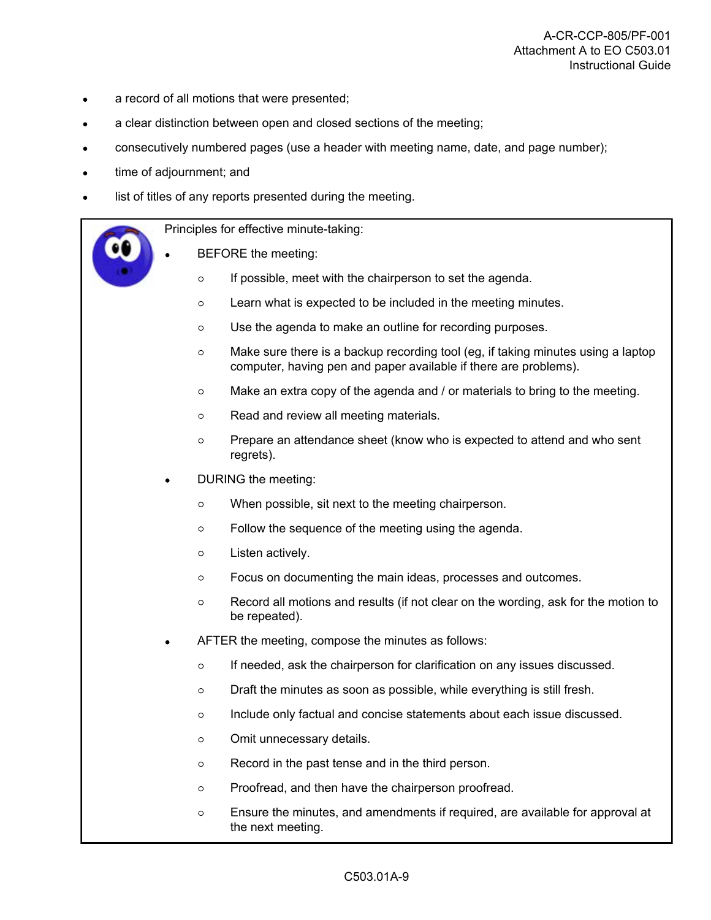- a record of all motions that were presented;
- a clear distinction between open and closed sections of the meeting;
- consecutively numbered pages (use a header with meeting name, date, and page number);
- time of adjournment; and
- list of titles of any reports presented during the meeting.

Principles for effective minute-taking:

- BEFORE the meeting:
	- $\circ$ If possible, meet with the chairperson to set the agenda.
	- $\circ$ Learn what is expected to be included in the meeting minutes.
	- Use the agenda to make an outline for recording purposes.  $\circ$
	- Make sure there is a backup recording tool (eg, if taking minutes using a laptop  $\circ$ computer, having pen and paper available if there are problems).
	- Make an extra copy of the agenda and / or materials to bring to the meeting.  $\circ$
	- Read and review all meeting materials.  $\circ$
	- Prepare an attendance sheet (know who is expected to attend and who sent  $\circ$ regrets).
- DURING the meeting:
	- $\circ$ When possible, sit next to the meeting chairperson.
	- Follow the sequence of the meeting using the agenda.  $\circ$
	- Listen actively.  $\circ$
	- Focus on documenting the main ideas, processes and outcomes.  $\circ$
	- Record all motions and results (if not clear on the wording, ask for the motion to  $\circ$ be repeated).
- AFTER the meeting, compose the minutes as follows:
	- $\circ$ If needed, ask the chairperson for clarification on any issues discussed.
	- Draft the minutes as soon as possible, while everything is still fresh.  $\circ$
	- $\circ$ Include only factual and concise statements about each issue discussed.
	- $\circ$ Omit unnecessary details.
	- Record in the past tense and in the third person.  $\circ$
	- Proofread, and then have the chairperson proofread.  $\circ$
	- $\circ$ Ensure the minutes, and amendments if required, are available for approval at the next meeting.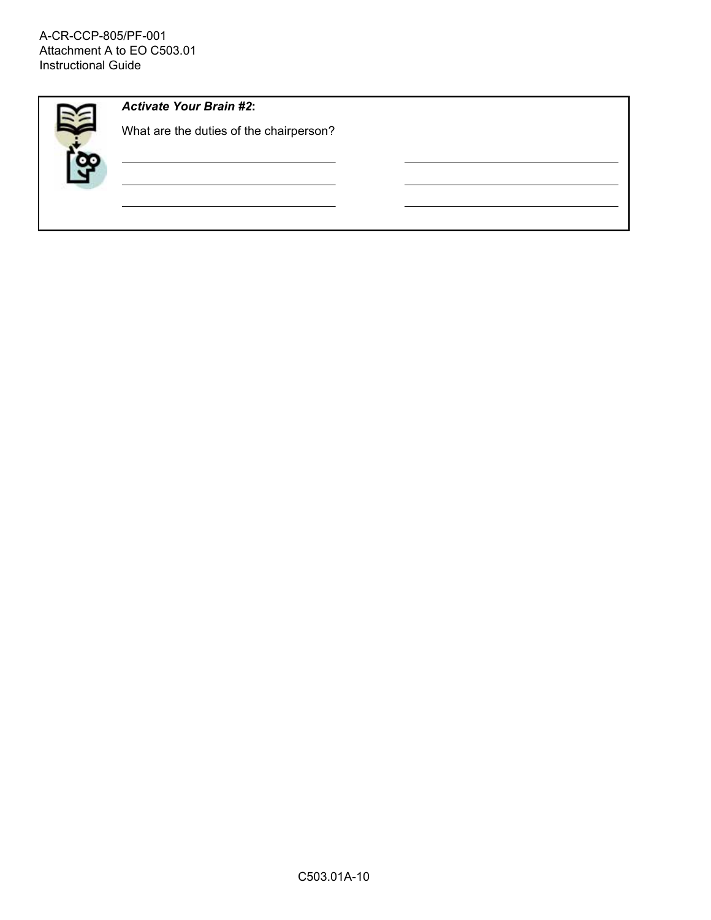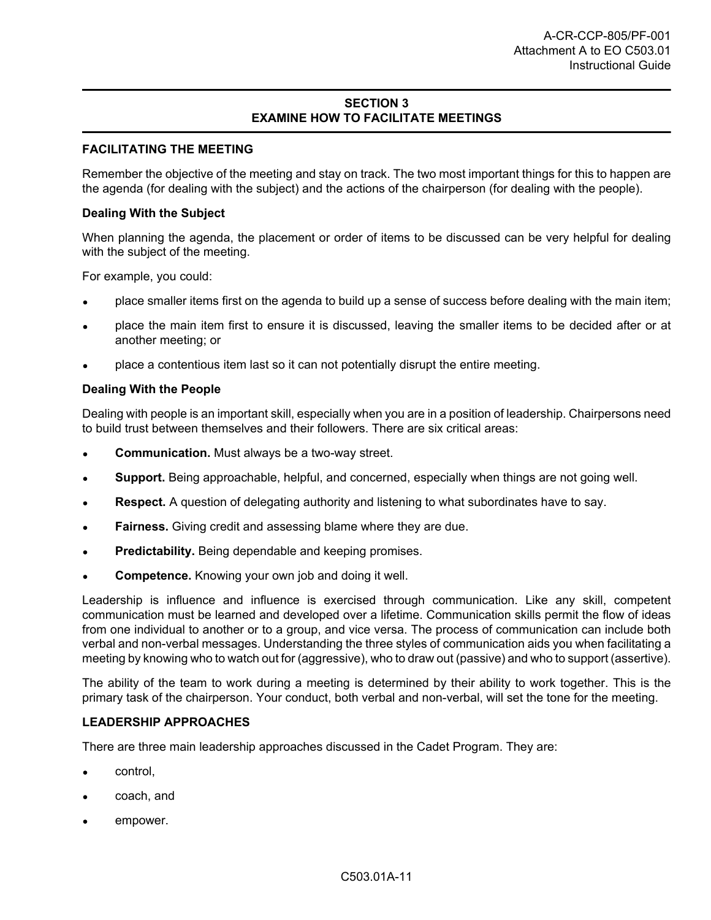# **SECTION 3 EXAMINE HOW TO FACILITATE MEETINGS**

# **FACILITATING THE MEETING**

Remember the objective of the meeting and stay on track. The two most important things for this to happen are the agenda (for dealing with the subject) and the actions of the chairperson (for dealing with the people).

# **Dealing With the Subject**

When planning the agenda, the placement or order of items to be discussed can be very helpful for dealing with the subject of the meeting.

For example, you could:

- place smaller items first on the agenda to build up a sense of success before dealing with the main item;
- place the main item first to ensure it is discussed, leaving the smaller items to be decided after or at another meeting; or
- place a contentious item last so it can not potentially disrupt the entire meeting.

# **Dealing With the People**

Dealing with people is an important skill, especially when you are in a position of leadership. Chairpersons need to build trust between themselves and their followers. There are six critical areas:

- **Communication.** Must always be a two-way street.
- **Support.** Being approachable, helpful, and concerned, especially when things are not going well.
- **Respect.** A question of delegating authority and listening to what subordinates have to say.
- **Fairness.** Giving credit and assessing blame where they are due.
- **Predictability.** Being dependable and keeping promises.
- **Competence.** Knowing your own job and doing it well.

Leadership is influence and influence is exercised through communication. Like any skill, competent communication must be learned and developed over a lifetime. Communication skills permit the flow of ideas from one individual to another or to a group, and vice versa. The process of communication can include both verbal and non-verbal messages. Understanding the three styles of communication aids you when facilitating a meeting by knowing who to watch out for (aggressive), who to draw out (passive) and who to support (assertive).

The ability of the team to work during a meeting is determined by their ability to work together. This is the primary task of the chairperson. Your conduct, both verbal and non-verbal, will set the tone for the meeting.

# **LEADERSHIP APPROACHES**

There are three main leadership approaches discussed in the Cadet Program. They are:

- control,
- coach, and
- empower.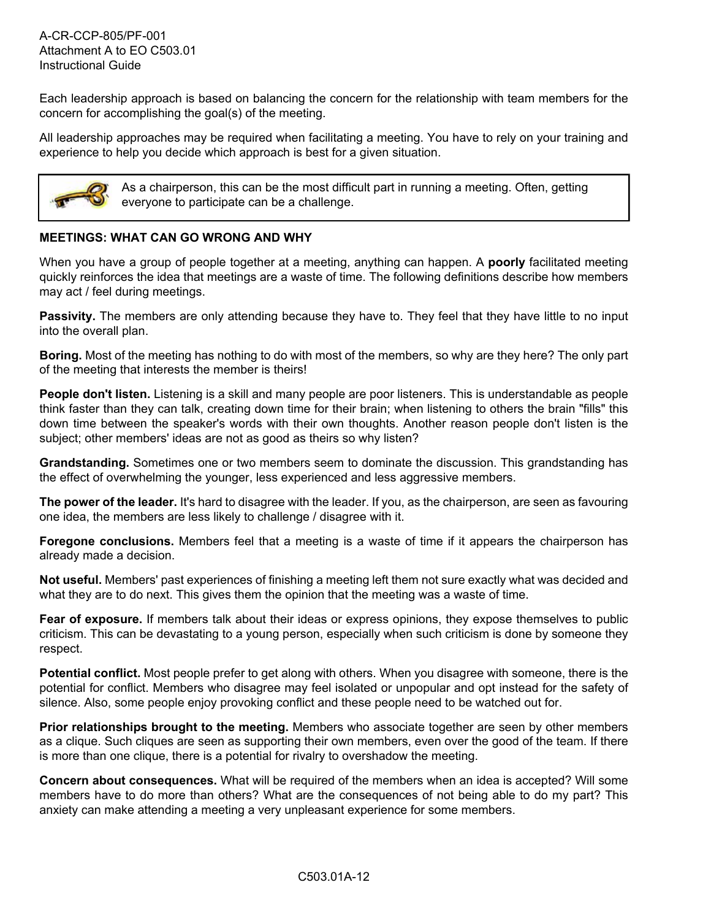A-CR-CCP-805/PF-001 Attachment A to EO C503.01 Instructional Guide

Each leadership approach is based on balancing the concern for the relationship with team members for the concern for accomplishing the goal(s) of the meeting.

All leadership approaches may be required when facilitating a meeting. You have to rely on your training and experience to help you decide which approach is best for a given situation.



As a chairperson, this can be the most difficult part in running a meeting. Often, getting everyone to participate can be a challenge.

# **MEETINGS: WHAT CAN GO WRONG AND WHY**

When you have a group of people together at a meeting, anything can happen. A **poorly** facilitated meeting quickly reinforces the idea that meetings are a waste of time. The following definitions describe how members may act / feel during meetings.

**Passivity.** The members are only attending because they have to. They feel that they have little to no input into the overall plan.

**Boring.** Most of the meeting has nothing to do with most of the members, so why are they here? The only part of the meeting that interests the member is theirs!

**People don't listen.** Listening is a skill and many people are poor listeners. This is understandable as people think faster than they can talk, creating down time for their brain; when listening to others the brain "fills" this down time between the speaker's words with their own thoughts. Another reason people don't listen is the subject; other members' ideas are not as good as theirs so why listen?

**Grandstanding.** Sometimes one or two members seem to dominate the discussion. This grandstanding has the effect of overwhelming the younger, less experienced and less aggressive members.

**The power of the leader.** It's hard to disagree with the leader. If you, as the chairperson, are seen as favouring one idea, the members are less likely to challenge / disagree with it.

**Foregone conclusions.** Members feel that a meeting is a waste of time if it appears the chairperson has already made a decision.

**Not useful.** Members' past experiences of finishing a meeting left them not sure exactly what was decided and what they are to do next. This gives them the opinion that the meeting was a waste of time.

**Fear of exposure.** If members talk about their ideas or express opinions, they expose themselves to public criticism. This can be devastating to a young person, especially when such criticism is done by someone they respect.

**Potential conflict.** Most people prefer to get along with others. When you disagree with someone, there is the potential for conflict. Members who disagree may feel isolated or unpopular and opt instead for the safety of silence. Also, some people enjoy provoking conflict and these people need to be watched out for.

**Prior relationships brought to the meeting.** Members who associate together are seen by other members as a clique. Such cliques are seen as supporting their own members, even over the good of the team. If there is more than one clique, there is a potential for rivalry to overshadow the meeting.

**Concern about consequences.** What will be required of the members when an idea is accepted? Will some members have to do more than others? What are the consequences of not being able to do my part? This anxiety can make attending a meeting a very unpleasant experience for some members.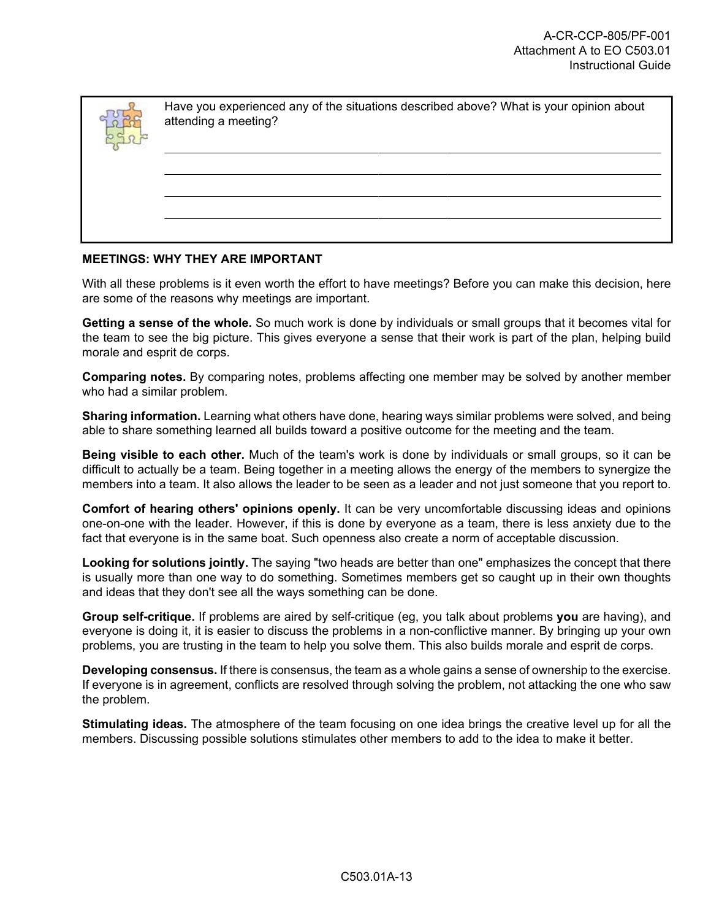Have you experienced any of the situations described above? What is your opinion about attending a meeting?

# **MEETINGS: WHY THEY ARE IMPORTANT**

With all these problems is it even worth the effort to have meetings? Before you can make this decision, here are some of the reasons why meetings are important.

**Getting a sense of the whole.** So much work is done by individuals or small groups that it becomes vital for the team to see the big picture. This gives everyone a sense that their work is part of the plan, helping build morale and esprit de corps.

**Comparing notes.** By comparing notes, problems affecting one member may be solved by another member who had a similar problem.

**Sharing information.** Learning what others have done, hearing ways similar problems were solved, and being able to share something learned all builds toward a positive outcome for the meeting and the team.

**Being visible to each other.** Much of the team's work is done by individuals or small groups, so it can be difficult to actually be a team. Being together in a meeting allows the energy of the members to synergize the members into a team. It also allows the leader to be seen as a leader and not just someone that you report to.

**Comfort of hearing others' opinions openly.** It can be very uncomfortable discussing ideas and opinions one-on-one with the leader. However, if this is done by everyone as a team, there is less anxiety due to the fact that everyone is in the same boat. Such openness also create a norm of acceptable discussion.

**Looking for solutions jointly.** The saying "two heads are better than one" emphasizes the concept that there is usually more than one way to do something. Sometimes members get so caught up in their own thoughts and ideas that they don't see all the ways something can be done.

**Group self-critique.** If problems are aired by self-critique (eg, you talk about problems **you** are having), and everyone is doing it, it is easier to discuss the problems in a non-conflictive manner. By bringing up your own problems, you are trusting in the team to help you solve them. This also builds morale and esprit de corps.

**Developing consensus.** If there is consensus, the team as a whole gains a sense of ownership to the exercise. If everyone is in agreement, conflicts are resolved through solving the problem, not attacking the one who saw the problem.

**Stimulating ideas.** The atmosphere of the team focusing on one idea brings the creative level up for all the members. Discussing possible solutions stimulates other members to add to the idea to make it better.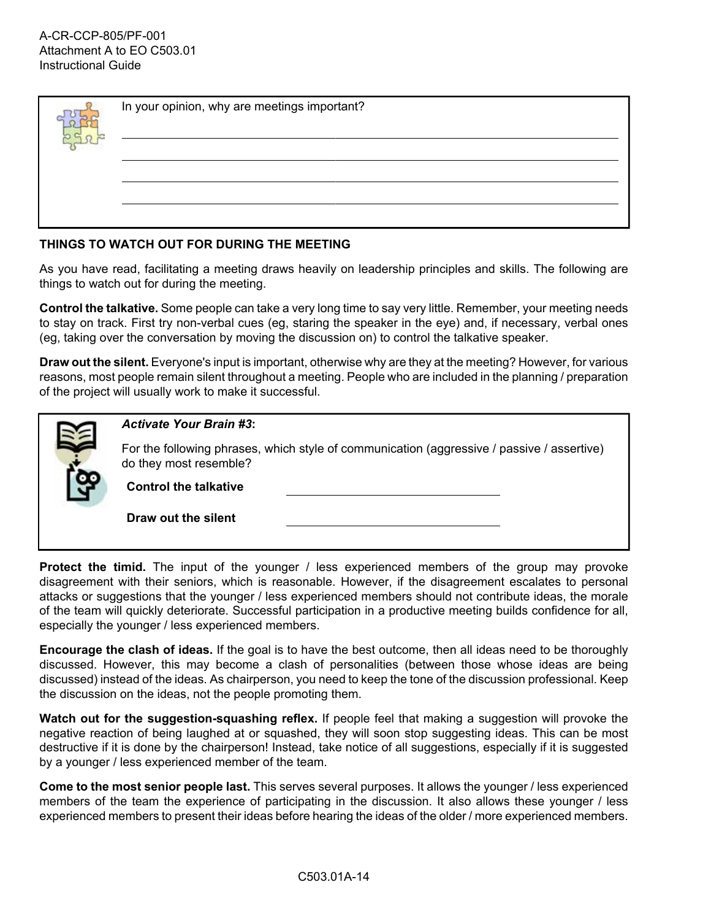| In your opinion, why are meetings important?<br>the control of the control of the control of the control of the control of the control of |
|-------------------------------------------------------------------------------------------------------------------------------------------|
|                                                                                                                                           |
|                                                                                                                                           |

# **THINGS TO WATCH OUT FOR DURING THE MEETING**

As you have read, facilitating a meeting draws heavily on leadership principles and skills. The following are things to watch out for during the meeting.

**Control the talkative.** Some people can take a very long time to say very little. Remember, your meeting needs to stay on track. First try non-verbal cues (eg, staring the speaker in the eye) and, if necessary, verbal ones (eg, taking over the conversation by moving the discussion on) to control the talkative speaker.

**Draw out the silent.** Everyone's input is important, otherwise why are they at the meeting? However, for various reasons, most people remain silent throughout a meeting. People who are included in the planning / preparation of the project will usually work to make it successful.

|            | <b>Activate Your Brain #3:</b>                                                                                       |
|------------|----------------------------------------------------------------------------------------------------------------------|
|            | For the following phrases, which style of communication (aggressive / passive / assertive)<br>do they most resemble? |
| <b>192</b> | <b>Control the talkative</b>                                                                                         |
|            | Draw out the silent                                                                                                  |

**Protect the timid.** The input of the younger / less experienced members of the group may provoke disagreement with their seniors, which is reasonable. However, if the disagreement escalates to personal attacks or suggestions that the younger / less experienced members should not contribute ideas, the morale of the team will quickly deteriorate. Successful participation in a productive meeting builds confidence for all, especially the younger / less experienced members.

**Encourage the clash of ideas.** If the goal is to have the best outcome, then all ideas need to be thoroughly discussed. However, this may become a clash of personalities (between those whose ideas are being discussed) instead of the ideas. As chairperson, you need to keep the tone of the discussion professional. Keep the discussion on the ideas, not the people promoting them.

**Watch out for the suggestion-squashing reflex.** If people feel that making a suggestion will provoke the negative reaction of being laughed at or squashed, they will soon stop suggesting ideas. This can be most destructive if it is done by the chairperson! Instead, take notice of all suggestions, especially if it is suggested by a younger / less experienced member of the team.

**Come to the most senior people last.** This serves several purposes. It allows the younger / less experienced members of the team the experience of participating in the discussion. It also allows these younger / less experienced members to present their ideas before hearing the ideas of the older / more experienced members.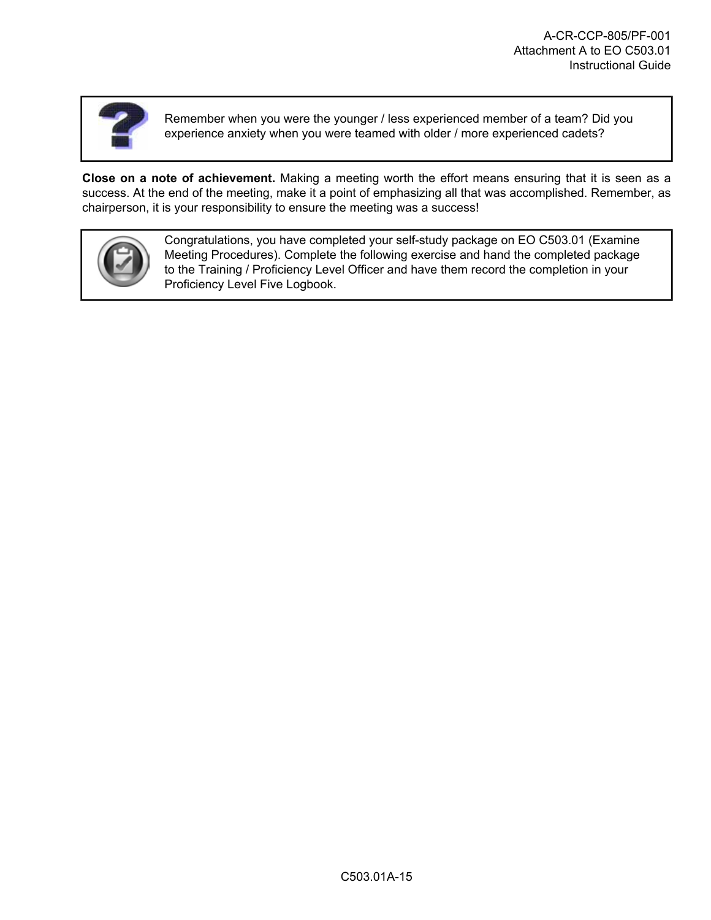

Remember when you were the younger / less experienced member of a team? Did you experience anxiety when you were teamed with older / more experienced cadets?

**Close on a note of achievement.** Making a meeting worth the effort means ensuring that it is seen as a success. At the end of the meeting, make it a point of emphasizing all that was accomplished. Remember, as chairperson, it is your responsibility to ensure the meeting was a success!



Congratulations, you have completed your self-study package on EO C503.01 (Examine Meeting Procedures). Complete the following exercise and hand the completed package to the Training / Proficiency Level Officer and have them record the completion in your Proficiency Level Five Logbook.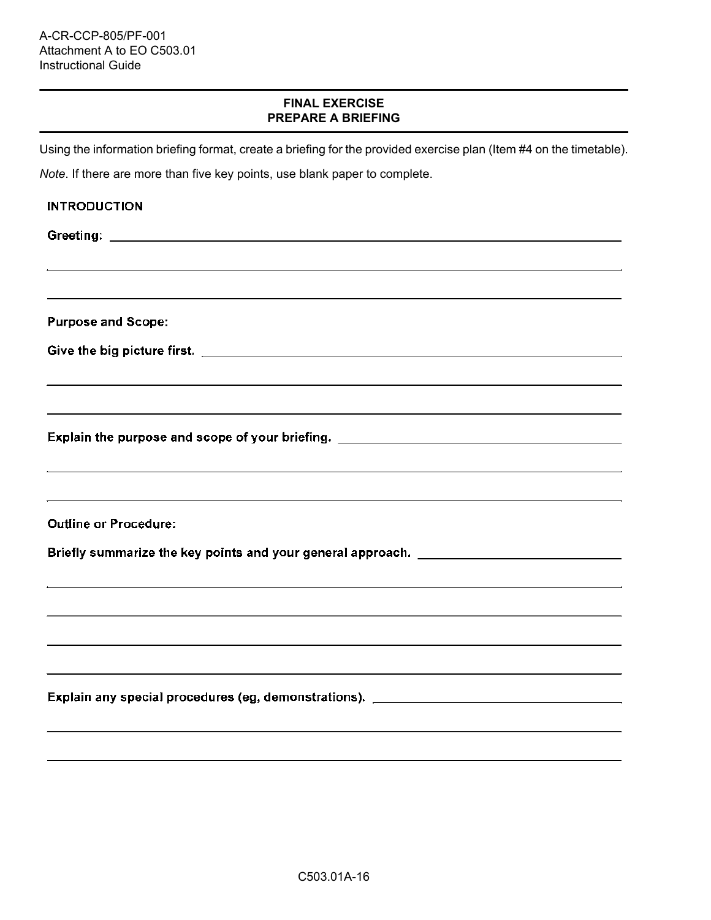# **FINAL EXERCISE PREPARE A BRIEFING**

Using the information briefing format, create a briefing for the provided exercise plan (Item #4 on the timetable).

|                              | Note. If there are more than five key points, use blank paper to complete.                                           |
|------------------------------|----------------------------------------------------------------------------------------------------------------------|
| <b>INTRODUCTION</b>          |                                                                                                                      |
|                              |                                                                                                                      |
|                              |                                                                                                                      |
|                              |                                                                                                                      |
| <b>Purpose and Scope:</b>    |                                                                                                                      |
|                              |                                                                                                                      |
|                              | ,我们也不会有什么?""我们的人,我们也不会有什么?""我们的人,我们也不会有什么?""我们的人,我们也不会有什么?""我们的人,我们也不会有什么?""我们的人                                     |
|                              |                                                                                                                      |
|                              | Explain the purpose and scope of your briefing. ________________________________                                     |
|                              |                                                                                                                      |
|                              |                                                                                                                      |
|                              |                                                                                                                      |
| <b>Outline or Procedure:</b> |                                                                                                                      |
|                              | Briefly summarize the key points and your general approach. _____________________                                    |
|                              | <u> 1989 - Andrea Santa Andrea Andrea Andrea Andrea Andrea Andrea Andrea Andrea Andrea Andrea Andrea Andrea Andr</u> |
|                              |                                                                                                                      |
|                              |                                                                                                                      |
|                              |                                                                                                                      |
|                              | Explain any special procedures (eg, demonstrations). ___________________________                                     |
|                              |                                                                                                                      |
|                              |                                                                                                                      |
|                              |                                                                                                                      |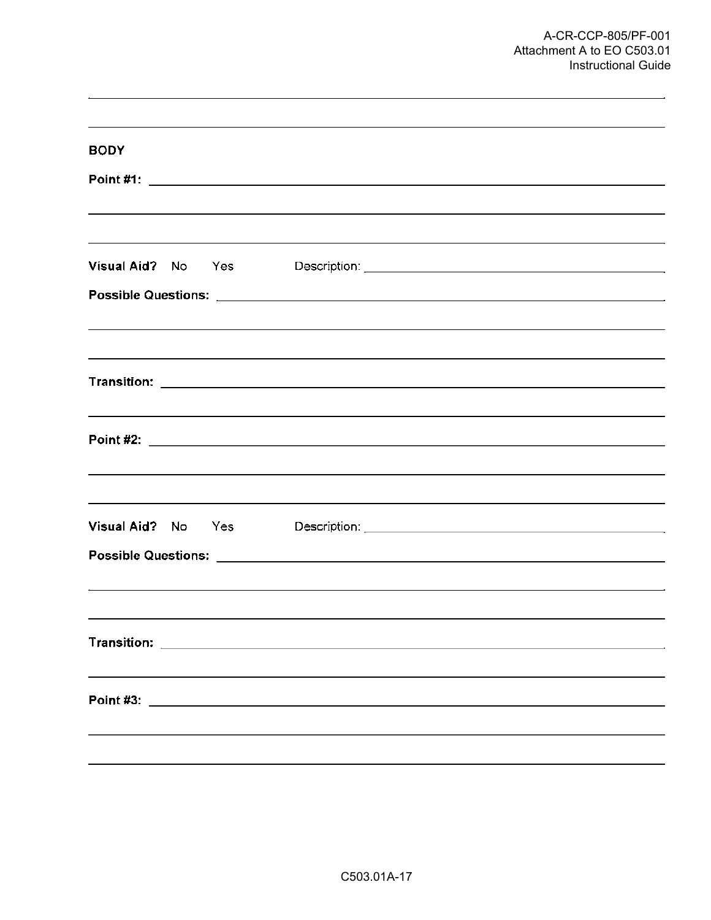| <b>BODY</b>        |                                                                                  |
|--------------------|----------------------------------------------------------------------------------|
|                    |                                                                                  |
|                    |                                                                                  |
|                    | <u> 1989 - Johann Stoff, amerikansk politiker (d. 1989)</u>                      |
| Visual Aid? No Yes |                                                                                  |
|                    |                                                                                  |
|                    |                                                                                  |
|                    |                                                                                  |
|                    |                                                                                  |
|                    | ,我们也不会有什么。""我们的人,我们也不会有什么?""我们的人,我们也不会有什么?""我们的人,我们也不会有什么?""我们的人,我们也不会有什么?""我们的人 |
|                    |                                                                                  |
|                    |                                                                                  |
|                    |                                                                                  |
| Visual Aid? No Yes |                                                                                  |
|                    |                                                                                  |
|                    | ,我们也不能在这里的时候,我们也不能在这里的时候,我们也不能不能不能不能不能不能不能不能不能不能不能不能不能不能。""我们,我们也不能不能不能不能不能不能不能不 |
|                    |                                                                                  |
| <b>Transition:</b> |                                                                                  |
|                    |                                                                                  |
| Point #3:          |                                                                                  |
|                    |                                                                                  |
|                    |                                                                                  |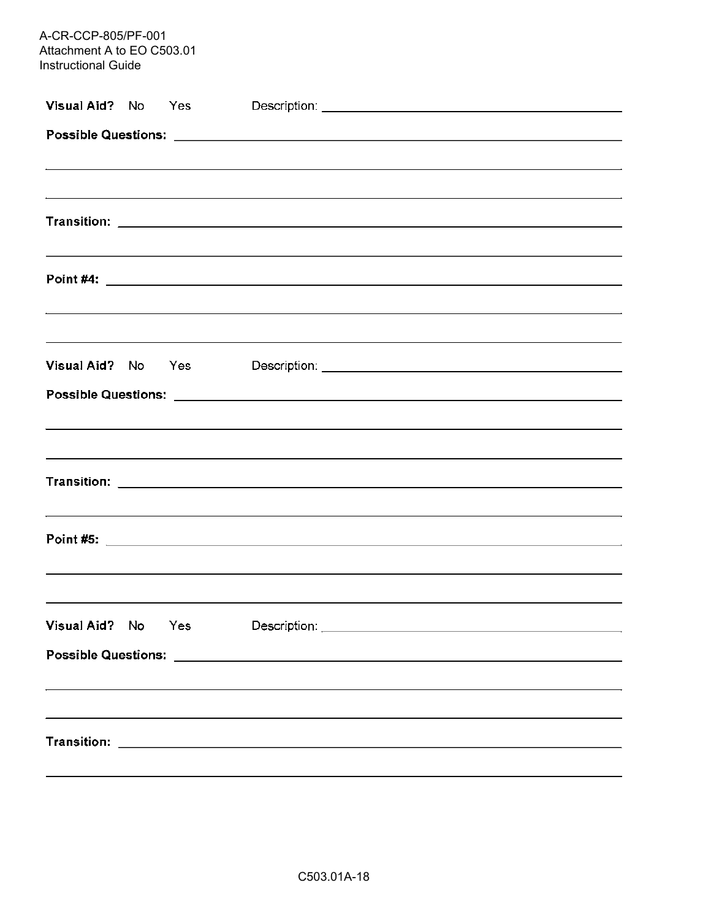| A-CR-CCP-805/PF-001<br>Attachment A to EO C503.01<br><b>Instructional Guide</b> |     |                                                                                                                      |                                                                                                                                                       |
|---------------------------------------------------------------------------------|-----|----------------------------------------------------------------------------------------------------------------------|-------------------------------------------------------------------------------------------------------------------------------------------------------|
| <b>Visual Aid?</b> No Yes                                                       |     |                                                                                                                      |                                                                                                                                                       |
|                                                                                 |     |                                                                                                                      | ,我们也不能在这里的时候,我们也不能在这里的时候,我们也不能会不能会不能会不能会不能会不能会不能会不能会不能会不能会不能会不能会。<br>第2012章 我们的时候,我们的时候,我们的时候,我们的时候,我们的时候,我们的时候,我们的时候,我们的时候,我们的时候,我们的时候,我们的时候,我们的时候,我 |
|                                                                                 |     |                                                                                                                      | ,我们也不能在这里的时候,我们也不能在这里的时候,我们也不能不能不能不能不能不能不能不能不能不能。""我们的人们也不能不能不能不能不能不能不能不能不能不能不能不                                                                      |
|                                                                                 |     |                                                                                                                      | ,我们也不会有什么。""我们的人,我们也不会有什么?""我们的人,我们也不会有什么?""我们的人,我们也不会有什么?""我们的人,我们也不会有什么?""我们的人                                                                      |
| <b>Visual Aid?</b> No Yes                                                       |     |                                                                                                                      |                                                                                                                                                       |
|                                                                                 |     |                                                                                                                      |                                                                                                                                                       |
|                                                                                 |     |                                                                                                                      | ,我们也不能在这里的时候,我们也不能在这里的时候,我们也不能在这里的时候,我们也不能会在这里的时候,我们也不能会在这里的时候,我们也不能会在这里的时候,我们也不                                                                      |
|                                                                                 |     |                                                                                                                      |                                                                                                                                                       |
| Visual Aid? No                                                                  | Yes |                                                                                                                      |                                                                                                                                                       |
|                                                                                 |     |                                                                                                                      |                                                                                                                                                       |
| Transition:                                                                     |     | <u> Alexandria de la contrada de la contrada de la contrada de la contrada de la contrada de la contrada de la c</u> |                                                                                                                                                       |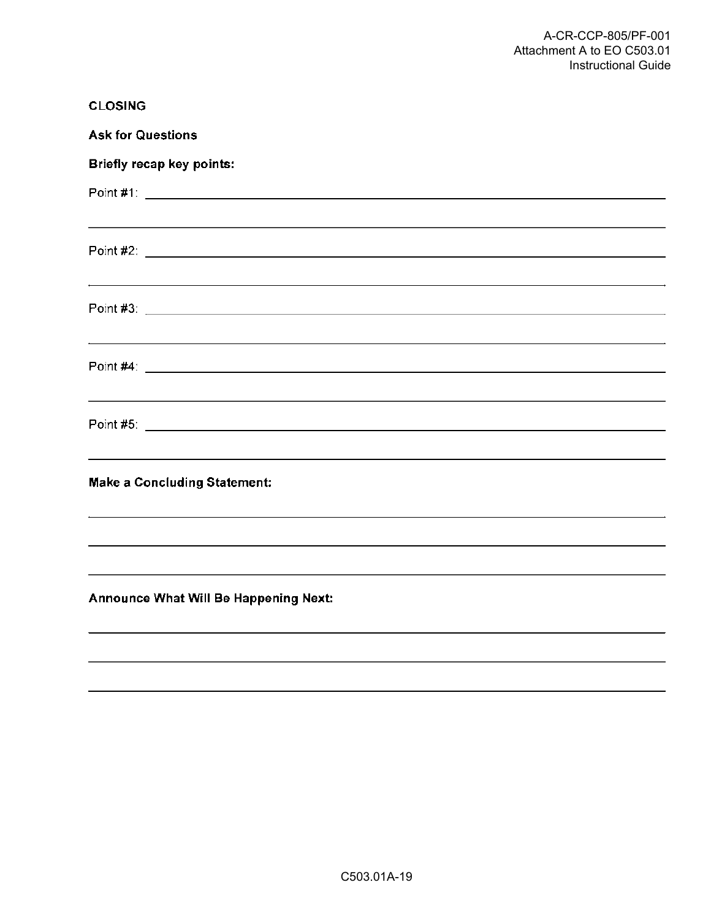| <b>Ask for Questions</b>                                                                       |  |
|------------------------------------------------------------------------------------------------|--|
| Briefly recap key points:                                                                      |  |
|                                                                                                |  |
|                                                                                                |  |
|                                                                                                |  |
| and the state of the state of the state of the state of the state of the state of the state of |  |
|                                                                                                |  |
| <b>Make a Concluding Statement:</b>                                                            |  |
|                                                                                                |  |
| Announce What Will Be Happening Next:                                                          |  |
|                                                                                                |  |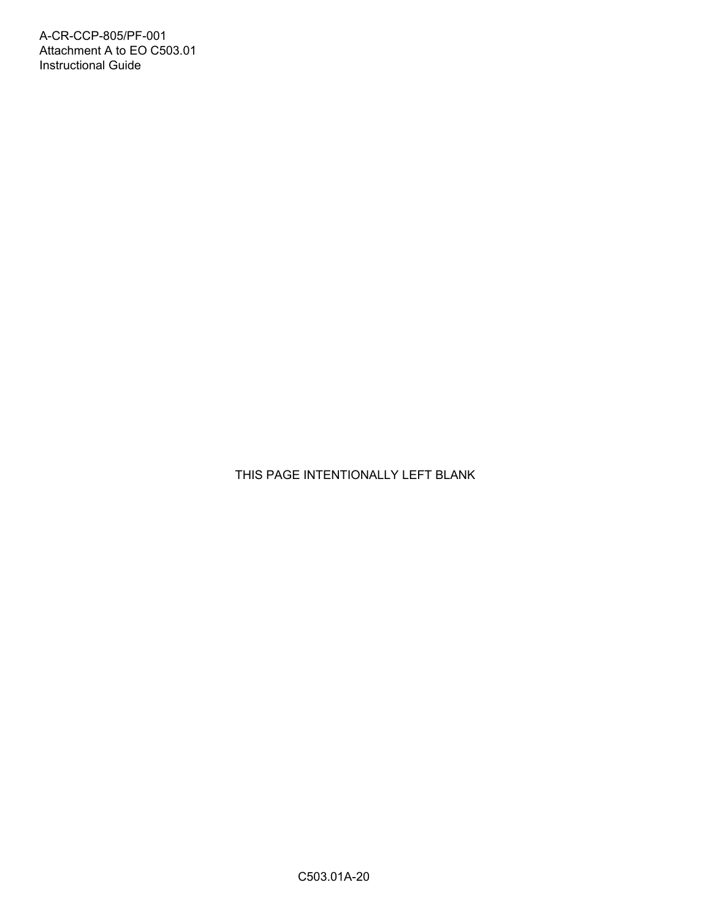A-CR-CCP-805/PF-001 Attachment A to EO C503.01 Instructional Guide

THIS PAGE INTENTIONALLY LEFT BLANK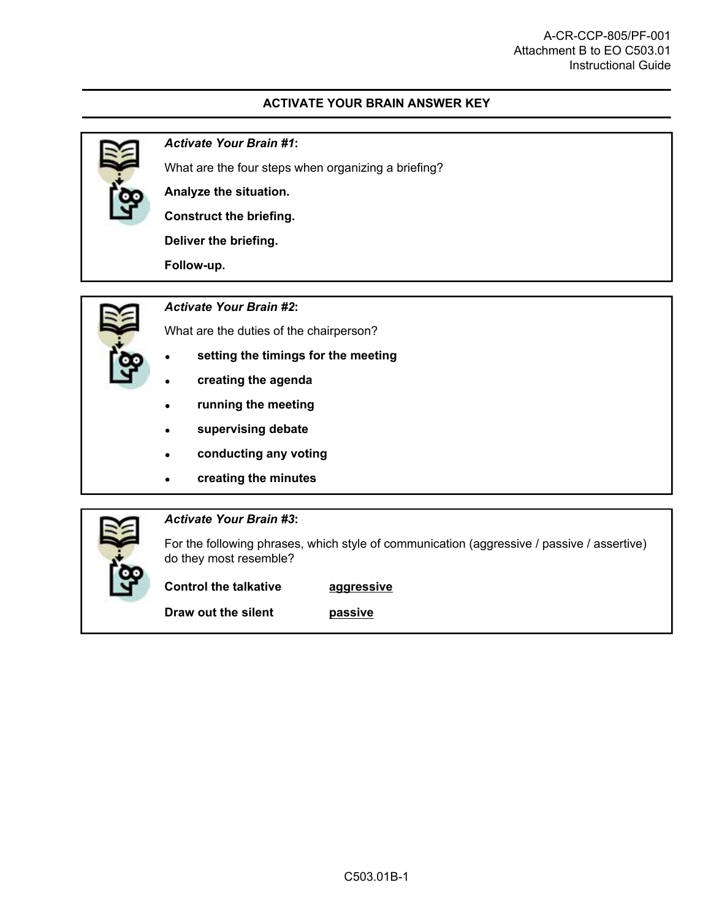# **ACTIVATE YOUR BRAIN ANSWER KEY**



*Activate Your Brain #1***:**

What are the four steps when organizing a briefing?

**Analyze the situation.**

**Construct the briefing.**

**Deliver the briefing.**

**Follow-up.**



*Activate Your Brain #2***:**

What are the duties of the chairperson?

- **setting the timings for the meeting**
- **creating the agenda**
- **running the meeting**  $\bullet$
- **supervising debate**  $\bullet$
- **conducting any voting**  $\bullet$
- **creating the minutes**  $\bullet$



# *Activate Your Brain #3***:**

For the following phrases, which style of communication (aggressive / passive / assertive) do they most resemble?

**Control the talkative aggressive Draw out the silent passive**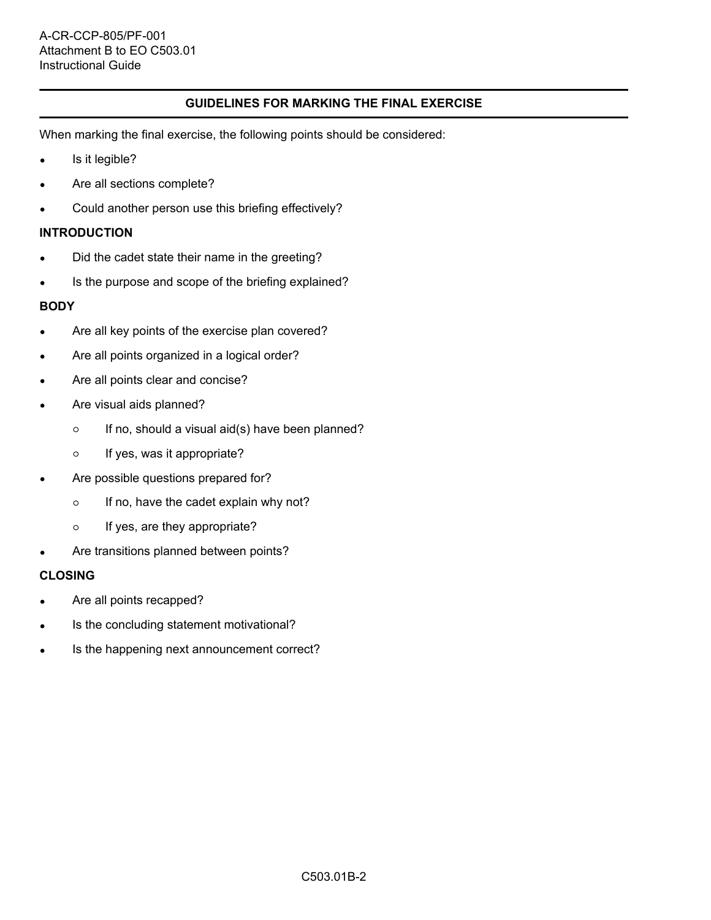# **GUIDELINES FOR MARKING THE FINAL EXERCISE**

When marking the final exercise, the following points should be considered:

- Is it legible?
- Are all sections complete?
- Could another person use this briefing effectively?  $\bullet$

# **INTRODUCTION**

- Did the cadet state their name in the greeting?  $\bullet$
- Is the purpose and scope of the briefing explained?  $\bullet$

# **BODY**

- Are all key points of the exercise plan covered?  $\bullet$
- Are all points organized in a logical order?  $\bullet$
- Are all points clear and concise?  $\bullet$
- Are visual aids planned?
	- If no, should a visual aid(s) have been planned?  $\circ$
	- $\circ$ If yes, was it appropriate?
- Are possible questions prepared for?
	- If no, have the cadet explain why not?  $\circ$
	- $\circ$ If yes, are they appropriate?
- Are transitions planned between points?

# **CLOSING**

- Are all points recapped?
- Is the concluding statement motivational?  $\bullet$
- Is the happening next announcement correct? $\bullet$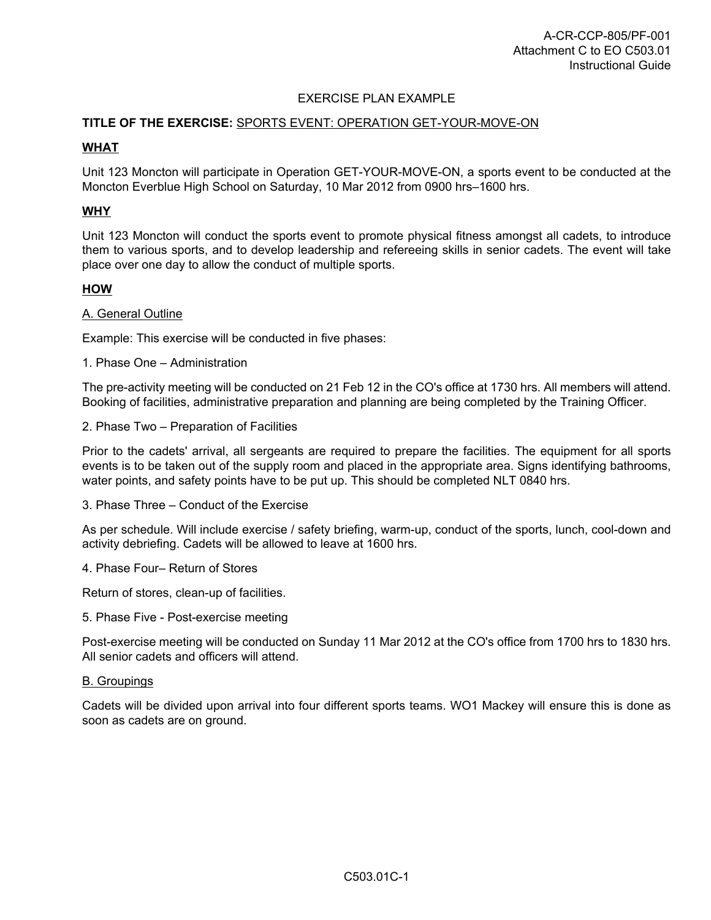# EXERCISE PLAN EXAMPLE

# **TITLE OF THE EXERCISE:** SPORTS EVENT: OPERATION GET-YOUR-MOVE-ON

# **WHAT**

Unit 123 Moncton will participate in Operation GET-YOUR-MOVE-ON, a sports event to be conducted at the Moncton Everblue High School on Saturday, 10 Mar 2012 from 0900 hrs–1600 hrs.

# **WHY**

Unit 123 Moncton will conduct the sports event to promote physical fitness amongst all cadets, to introduce them to various sports, and to develop leadership and refereeing skills in senior cadets. The event will take place over one day to allow the conduct of multiple sports.

# **HOW**

# A. General Outline

Example: This exercise will be conducted in five phases:

1. Phase One – Administration

The pre-activity meeting will be conducted on 21 Feb 12 in the CO's office at 1730 hrs. All members will attend. Booking of facilities, administrative preparation and planning are being completed by the Training Officer.

2. Phase Two – Preparation of Facilities

Prior to the cadets' arrival, all sergeants are required to prepare the facilities. The equipment for all sports events is to be taken out of the supply room and placed in the appropriate area. Signs identifying bathrooms, water points, and safety points have to be put up. This should be completed NLT 0840 hrs.

3. Phase Three – Conduct of the Exercise

As per schedule. Will include exercise / safety briefing, warm-up, conduct of the sports, lunch, cool-down and activity debriefing. Cadets will be allowed to leave at 1600 hrs.

#### 4. Phase Four– Return of Stores

Return of stores, clean-up of facilities.

5. Phase Five - Post-exercise meeting

Post-exercise meeting will be conducted on Sunday 11 Mar 2012 at the CO's office from 1700 hrs to 1830 hrs. All senior cadets and officers will attend.

#### B. Groupings

Cadets will be divided upon arrival into four different sports teams. WO1 Mackey will ensure this is done as soon as cadets are on ground.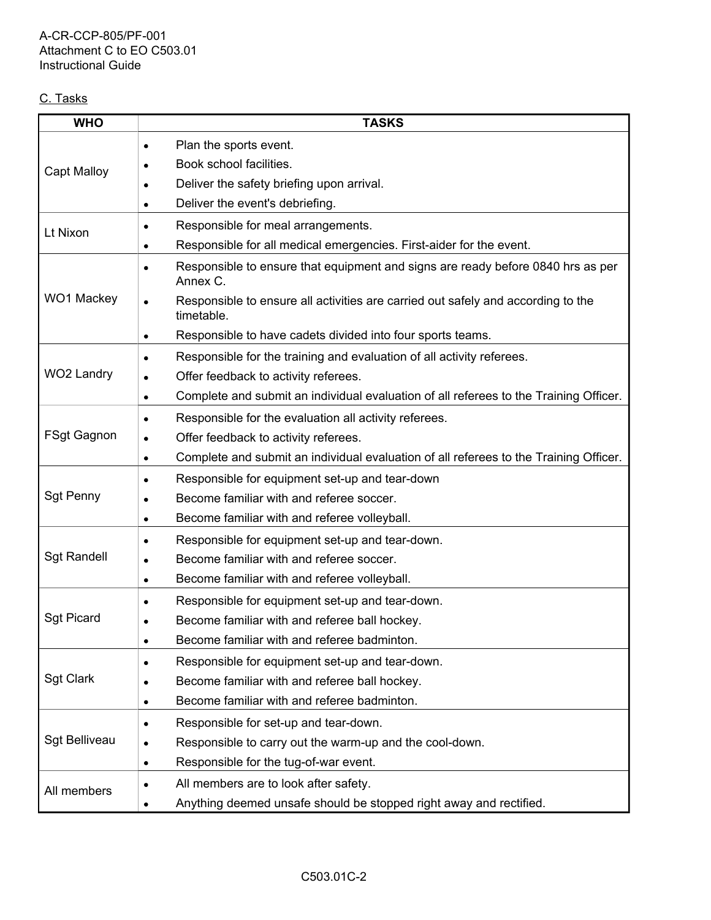# A-CR-CCP-805/PF-001 Attachment C to EO C503.01 Instructional Guide

# C. Tasks

| <b>WHO</b>         | <b>TASKS</b>                                                                                       |  |  |
|--------------------|----------------------------------------------------------------------------------------------------|--|--|
|                    | Plan the sports event.<br>$\bullet$                                                                |  |  |
| <b>Capt Malloy</b> | Book school facilities.                                                                            |  |  |
|                    | Deliver the safety briefing upon arrival.<br>٠                                                     |  |  |
|                    | Deliver the event's debriefing.<br>٠                                                               |  |  |
| Lt Nixon           | Responsible for meal arrangements.<br>$\bullet$                                                    |  |  |
|                    | Responsible for all medical emergencies. First-aider for the event.<br>$\bullet$                   |  |  |
|                    | Responsible to ensure that equipment and signs are ready before 0840 hrs as per<br>Annex C.        |  |  |
| WO1 Mackey         | Responsible to ensure all activities are carried out safely and according to the<br>timetable.     |  |  |
|                    | Responsible to have cadets divided into four sports teams.<br>٠                                    |  |  |
|                    | Responsible for the training and evaluation of all activity referees.<br>$\bullet$                 |  |  |
| WO2 Landry         | Offer feedback to activity referees.<br>$\bullet$                                                  |  |  |
|                    | Complete and submit an individual evaluation of all referees to the Training Officer.<br>$\bullet$ |  |  |
|                    | Responsible for the evaluation all activity referees.<br>$\bullet$                                 |  |  |
| <b>FSgt Gagnon</b> | Offer feedback to activity referees.<br>$\bullet$                                                  |  |  |
|                    | Complete and submit an individual evaluation of all referees to the Training Officer.<br>$\bullet$ |  |  |
|                    | Responsible for equipment set-up and tear-down<br>$\bullet$                                        |  |  |
| Sgt Penny          | Become familiar with and referee soccer.                                                           |  |  |
|                    | Become familiar with and referee volleyball.<br>$\bullet$                                          |  |  |
|                    | Responsible for equipment set-up and tear-down.<br>٠                                               |  |  |
| <b>Sgt Randell</b> | Become familiar with and referee soccer.                                                           |  |  |
|                    | Become familiar with and referee volleyball.<br>$\bullet$                                          |  |  |
|                    | Responsible for equipment set-up and tear-down.<br>٠                                               |  |  |
| <b>Sgt Picard</b>  | Become familiar with and referee ball hockey.                                                      |  |  |
|                    | Become familiar with and referee badminton.<br>٠                                                   |  |  |
|                    | Responsible for equipment set-up and tear-down.<br>$\bullet$                                       |  |  |
| <b>Sgt Clark</b>   | Become familiar with and referee ball hockey.<br>٠                                                 |  |  |
|                    | Become familiar with and referee badminton.<br>٠                                                   |  |  |
|                    | Responsible for set-up and tear-down.<br>٠                                                         |  |  |
| Sgt Belliveau      | Responsible to carry out the warm-up and the cool-down.<br>٠                                       |  |  |
|                    | Responsible for the tug-of-war event.<br>٠                                                         |  |  |
| All members        | All members are to look after safety.<br>٠                                                         |  |  |
|                    | Anything deemed unsafe should be stopped right away and rectified.<br>٠                            |  |  |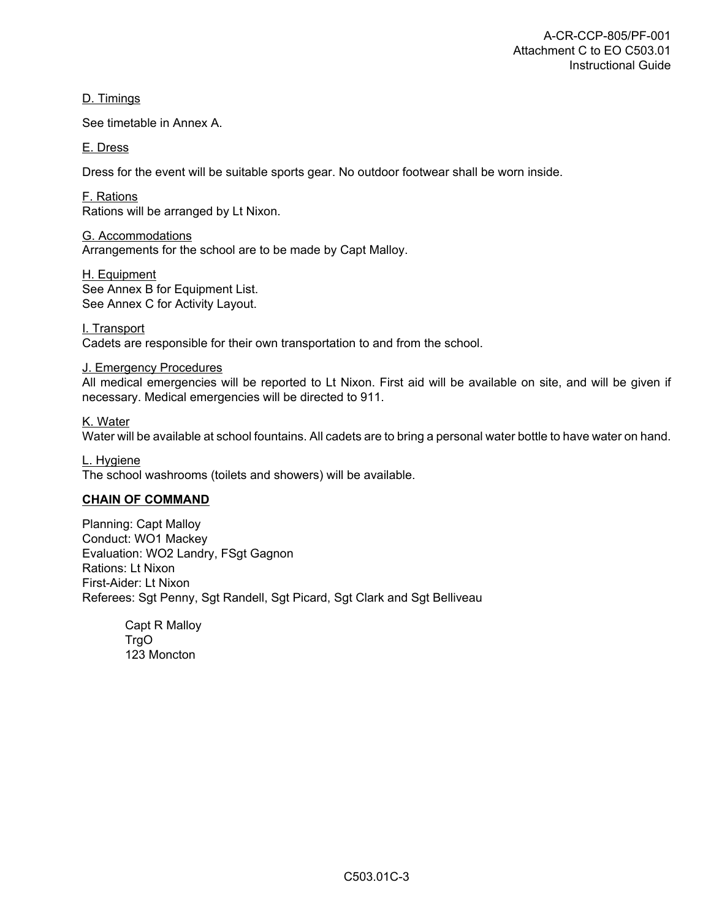D. Timings

See timetable in Annex A.

E. Dress

Dress for the event will be suitable sports gear. No outdoor footwear shall be worn inside.

F. Rations Rations will be arranged by Lt Nixon.

G. Accommodations Arrangements for the school are to be made by Capt Malloy.

H. Equipment See Annex B for Equipment List. See Annex C for Activity Layout.

I. Transport Cadets are responsible for their own transportation to and from the school.

# J. Emergency Procedures

All medical emergencies will be reported to Lt Nixon. First aid will be available on site, and will be given if necessary. Medical emergencies will be directed to 911.

K. Water Water will be available at school fountains. All cadets are to bring a personal water bottle to have water on hand.

L. Hygiene The school washrooms (toilets and showers) will be available.

# **CHAIN OF COMMAND**

Planning: Capt Malloy Conduct: WO1 Mackey Evaluation: WO2 Landry, FSgt Gagnon Rations: Lt Nixon First-Aider: Lt Nixon Referees: Sgt Penny, Sgt Randell, Sgt Picard, Sgt Clark and Sgt Belliveau

> Capt R Malloy TrgO 123 Moncton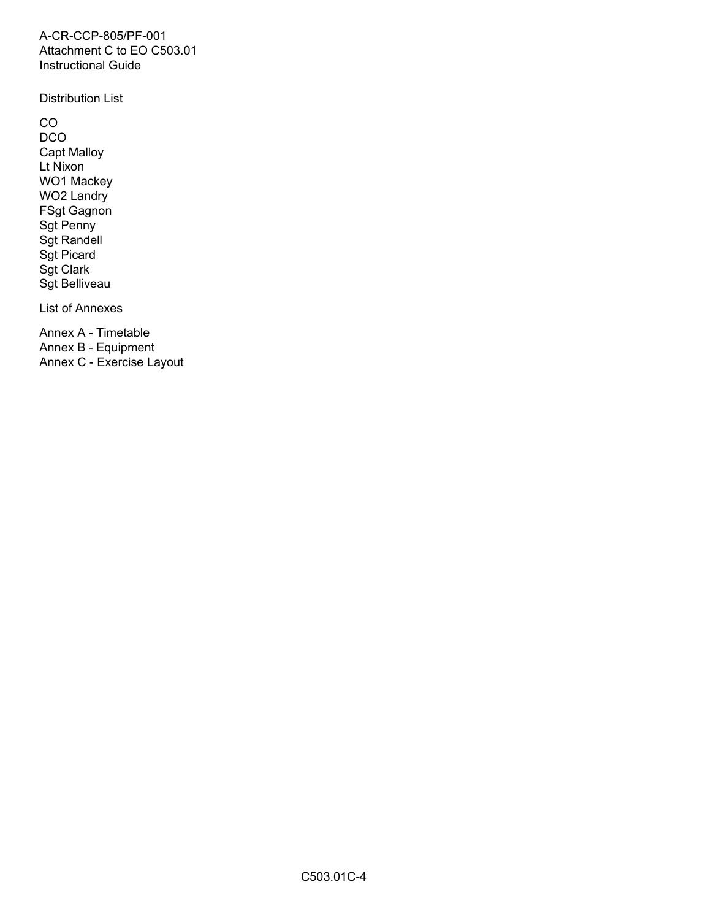A-CR-CCP-805/PF-001 Attachment C to EO C503.01 Instructional Guide

Distribution List

CO DC<sub>O</sub> Capt Malloy Lt Nixon WO1 Mackey WO2 Landry FSgt Gagnon Sgt Penny Sgt Randell Sgt Picard Sgt Clark Sgt Belliveau

List of Annexes

Annex A - Timetable Annex B - Equipment Annex C - Exercise Layout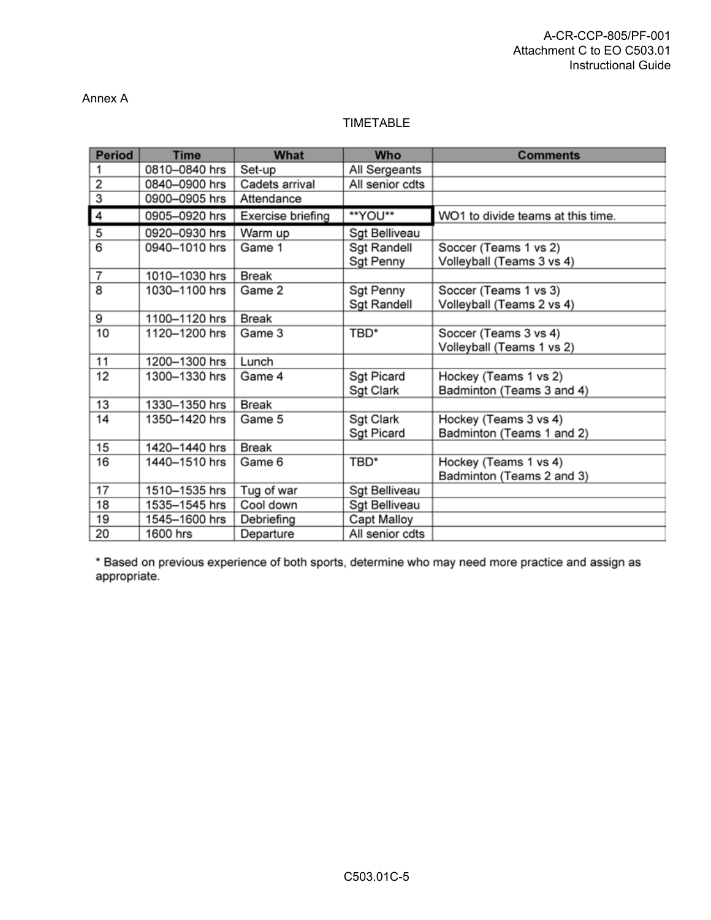#### Annex A

# TIMETABLE

| <b>Period</b>  | <b>Time</b>   | <b>What</b>       | Who               | <b>Comments</b>                   |
|----------------|---------------|-------------------|-------------------|-----------------------------------|
| 1              | 0810-0840 hrs | Set-up            | All Sergeants     |                                   |
| 2              | 0840-0900 hrs | Cadets arrival    | All senior cdts   |                                   |
| 3              | 0900-0905 hrs | Attendance        |                   |                                   |
| $\overline{4}$ | 0905-0920 hrs | Exercise briefing | <b>**YOU**</b>    | WO1 to divide teams at this time. |
| 5              | 0920-0930 hrs | Warm up           | Sgt Belliveau     |                                   |
| 6              | 0940-1010 hrs | Game 1            | Sgt Randell       | Soccer (Teams 1 vs 2)             |
|                |               |                   | Sgt Penny         | Volleyball (Teams 3 vs 4)         |
| 7              | 1010-1030 hrs | <b>Break</b>      |                   |                                   |
| $\overline{8}$ | 1030-1100 hrs | Game 2            | Sgt Penny         | Soccer (Teams 1 vs 3)             |
|                |               |                   | Sgt Randell       | Volleyball (Teams 2 vs 4)         |
| 9              | 1100-1120 hrs | <b>Break</b>      |                   |                                   |
| 10             | 1120-1200 hrs | Game 3            | TBD*              | Soccer (Teams 3 vs 4)             |
|                |               |                   |                   | Volleyball (Teams 1 vs 2)         |
| 11             | 1200-1300 hrs | Lunch             |                   |                                   |
| 12             | 1300-1330 hrs | Game 4            | <b>Sgt Picard</b> | Hockey (Teams 1 vs 2)             |
|                |               |                   | Sgt Clark         | Badminton (Teams 3 and 4)         |
| 13             | 1330-1350 hrs | <b>Break</b>      |                   |                                   |
| 14             | 1350-1420 hrs | Game 5            | Sgt Clark         | Hockey (Teams 3 vs 4)             |
|                |               |                   | Sgt Picard        | Badminton (Teams 1 and 2)         |
| 15             | 1420-1440 hrs | <b>Break</b>      |                   |                                   |
| 16             | 1440-1510 hrs | Game 6            | TBD*              | Hockey (Teams 1 vs 4)             |
|                |               |                   |                   | Badminton (Teams 2 and 3)         |
| 17             | 1510-1535 hrs | Tug of war        | Sgt Belliveau     |                                   |
| 18             | 1535-1545 hrs | Cool down         | Sgt Belliveau     |                                   |
| 19             | 1545-1600 hrs | Debriefing        | Capt Malloy       |                                   |
| 20             | 1600 hrs      | Departure         | All senior cdts   |                                   |

\* Based on previous experience of both sports, determine who may need more practice and assign as appropriate.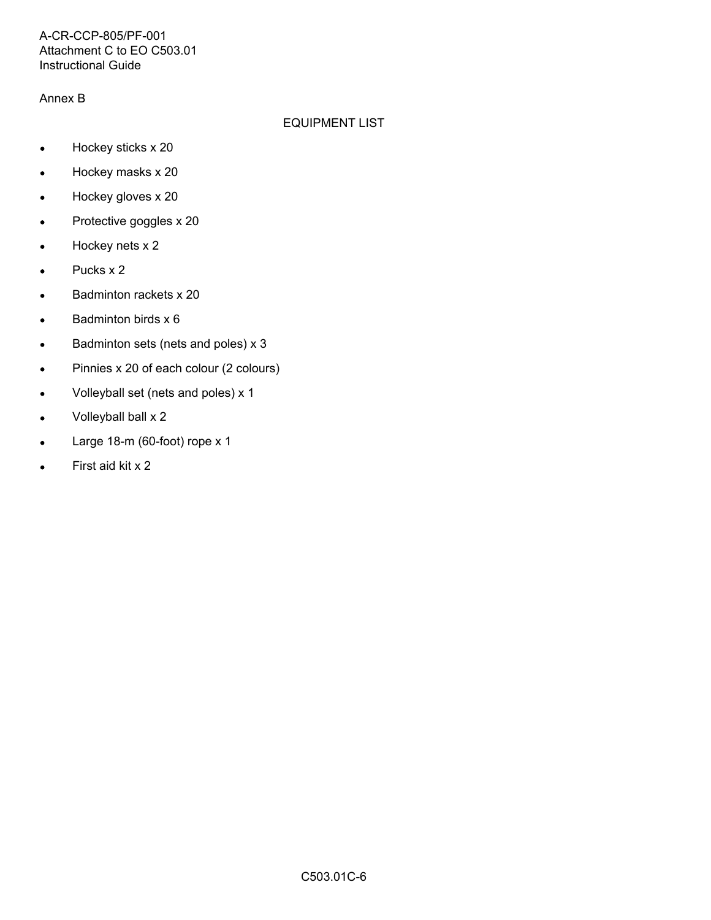### A-CR-CCP-805/PF-001 Attachment C to EO C503.01 Instructional Guide

## Annex B

#### EQUIPMENT LIST

- Hockey sticks x 20  $\bullet$
- Hockey masks x 20  $\bullet$
- Hockey gloves x 20  $\bullet$
- Protective goggles x 20  $\bullet$
- Hockey nets x 2  $\bullet$
- Pucks x 2  $\bullet$
- Badminton rackets x 20  $\bullet$
- Badminton birds x 6  $\bullet$
- Badminton sets (nets and poles) x 3  $\bullet$
- Pinnies x 20 of each colour (2 colours)  $\bullet$
- Volleyball set (nets and poles) x 1  $\bullet$
- Volleyball ball x 2  $\bullet$
- Large 18-m (60-foot) rope x 1  $\bullet$
- First aid kit x 2 $\bullet$